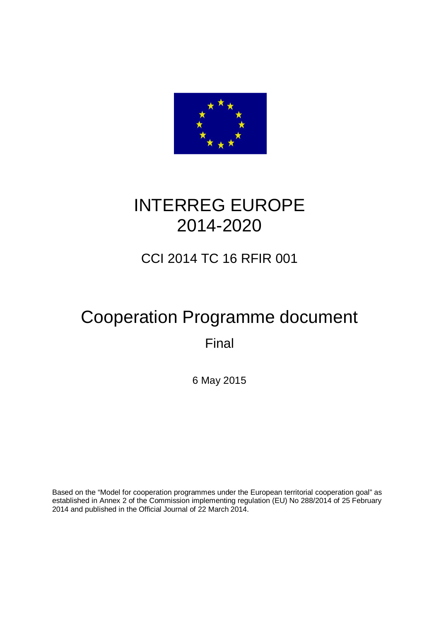

# INTERREG EUROPE 2014-2020

# CCI 2014 TC 16 RFIR 001

# Cooperation Programme document

Final

6 May 2015

Based on the "Model for cooperation programmes under the European territorial cooperation goal" as established in Annex 2 of the Commission implementing regulation (EU) No 288/2014 of 25 February 2014 and published in the Official Journal of 22 March 2014.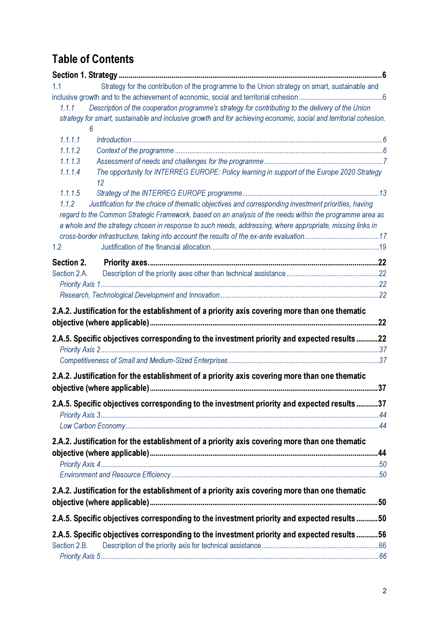# Table of Contents

| Strategy for the contribution of the programme to the Union strategy on smart, sustainable and<br>1.1             |     |
|-------------------------------------------------------------------------------------------------------------------|-----|
|                                                                                                                   |     |
| 1.1.1<br>Description of the cooperation programme's strategy for contributing to the delivery of the Union        |     |
| strategy for smart, sustainable and inclusive growth and for achieving economic, social and territorial cohesion. |     |
| 6                                                                                                                 |     |
| 1.1.1.1                                                                                                           |     |
| 1.1.1.2                                                                                                           |     |
| 1.1.1.3                                                                                                           |     |
| The opportunity for INTERREG EUROPE: Policy learning in support of the Europe 2020 Strategy<br>1.1.1.4<br>12      |     |
| 1.1.1.5                                                                                                           |     |
| 1.1.2<br>Justification for the choice of thematic objectives and corresponding investment priorities, having      |     |
| regard to the Common Strategic Framework, based on an analysis of the needs within the programme area as          |     |
| a whole and the strategy chosen in response to such needs, addressing, where appropriate, missing links in        |     |
|                                                                                                                   |     |
| 1.2                                                                                                               |     |
| Section 2.                                                                                                        |     |
| Section 2.A.                                                                                                      |     |
|                                                                                                                   |     |
|                                                                                                                   |     |
| 2.A.2. Justification for the establishment of a priority axis covering more than one thematic                     |     |
|                                                                                                                   |     |
|                                                                                                                   |     |
| 2.A.5. Specific objectives corresponding to the investment priority and expected results 22                       |     |
|                                                                                                                   |     |
|                                                                                                                   |     |
| 2.A.2. Justification for the establishment of a priority axis covering more than one thematic                     |     |
|                                                                                                                   | .37 |
| 2.A.5. Specific objectives corresponding to the investment priority and expected results 37                       |     |
|                                                                                                                   |     |
|                                                                                                                   |     |
| 2.A.2. Justification for the establishment of a priority axis covering more than one thematic                     |     |
|                                                                                                                   |     |
|                                                                                                                   |     |
|                                                                                                                   |     |
|                                                                                                                   |     |
| 2.A.2. Justification for the establishment of a priority axis covering more than one thematic                     |     |
|                                                                                                                   |     |
| 2.A.5. Specific objectives corresponding to the investment priority and expected results50                        |     |
| 2.A.5. Specific objectives corresponding to the investment priority and expected results56                        |     |
| Section 2.B.                                                                                                      |     |
|                                                                                                                   |     |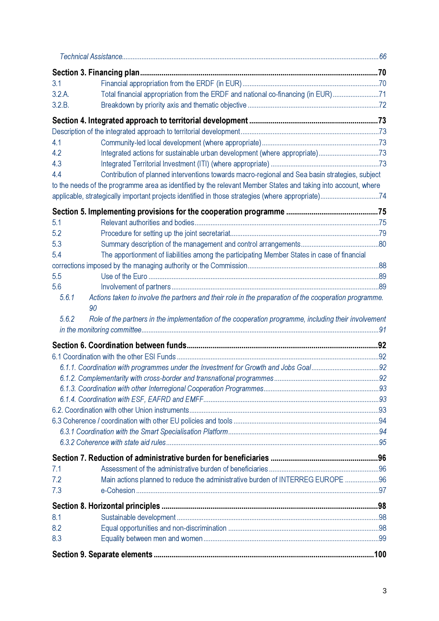| 3.1                                                                                                            |  |
|----------------------------------------------------------------------------------------------------------------|--|
| Total financial appropriation from the ERDF and national co-financing (in EUR)71<br>3.2.A.                     |  |
| 3.2.B.                                                                                                         |  |
|                                                                                                                |  |
|                                                                                                                |  |
| 4.1                                                                                                            |  |
| Integrated actions for sustainable urban development (where appropriate)73<br>4.2                              |  |
| 4.3                                                                                                            |  |
| Contribution of planned interventions towards macro-regional and Sea basin strategies, subject<br>4.4          |  |
| to the needs of the programme area as identified by the relevant Member States and taking into account, where  |  |
| applicable, strategically important projects identified in those strategies (where appropriate)74              |  |
|                                                                                                                |  |
| 5.1                                                                                                            |  |
| 5.2                                                                                                            |  |
| 5.3                                                                                                            |  |
| 5.4<br>The apportionment of liabilities among the participating Member States in case of financial             |  |
|                                                                                                                |  |
| 5.5<br>5.6                                                                                                     |  |
| Actions taken to involve the partners and their role in the preparation of the cooperation programme.<br>5.6.1 |  |
| Role of the partners in the implementation of the cooperation programme, including their involvement<br>5.6.2  |  |
|                                                                                                                |  |
|                                                                                                                |  |
|                                                                                                                |  |
|                                                                                                                |  |
|                                                                                                                |  |
|                                                                                                                |  |
|                                                                                                                |  |
|                                                                                                                |  |
|                                                                                                                |  |
|                                                                                                                |  |
| 7.1                                                                                                            |  |
| Main actions planned to reduce the administrative burden of INTERREG EUROPE 96<br>7.2                          |  |
| 7.3                                                                                                            |  |
|                                                                                                                |  |
| 8.1                                                                                                            |  |
| 8.2                                                                                                            |  |
| 8.3                                                                                                            |  |
|                                                                                                                |  |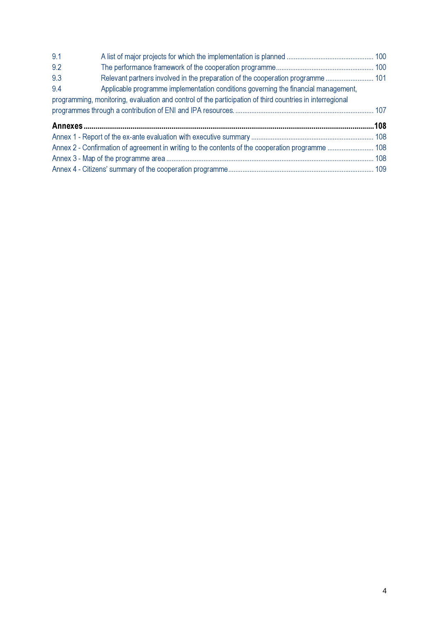| 9.1 |                                                                                                          |  |
|-----|----------------------------------------------------------------------------------------------------------|--|
| 9.2 |                                                                                                          |  |
| 9.3 |                                                                                                          |  |
| 9.4 | Applicable programme implementation conditions governing the financial management,                       |  |
|     | programming, monitoring, evaluation and control of the participation of third countries in interregional |  |
|     |                                                                                                          |  |
|     |                                                                                                          |  |
|     |                                                                                                          |  |
|     |                                                                                                          |  |
|     |                                                                                                          |  |
|     |                                                                                                          |  |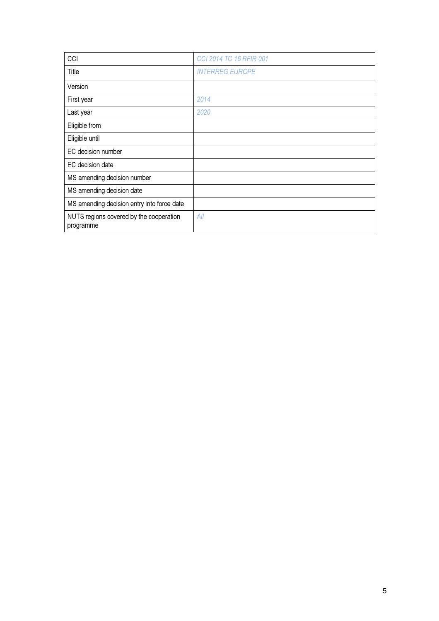| CCI                                                  | <b>CCI 2014 TC 16 RFIR 001</b> |
|------------------------------------------------------|--------------------------------|
| Title                                                | <b>INTERREG EUROPE</b>         |
| Version                                              |                                |
| First year                                           | 2014                           |
| Last year                                            | 2020                           |
| Eligible from                                        |                                |
| Eligible until                                       |                                |
| EC decision number                                   |                                |
| EC decision date                                     |                                |
| MS amending decision number                          |                                |
| MS amending decision date                            |                                |
| MS amending decision entry into force date           |                                |
| NUTS regions covered by the cooperation<br>programme | All                            |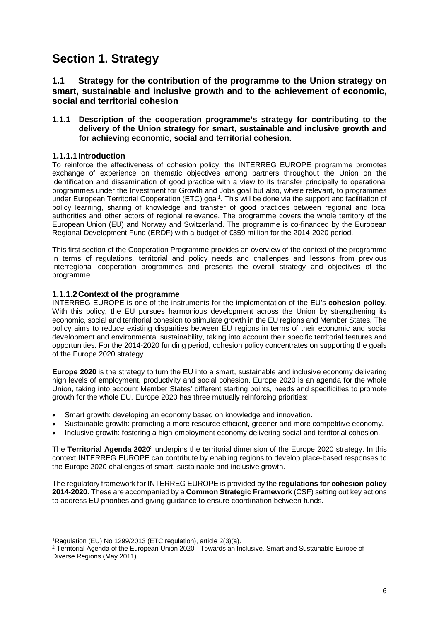# **Section 1. Strategy**

#### **1.1 Strategy for the contribution of the programme to the Union strategy on smart, sustainable and inclusive growth and to the achievement of economic, social and territorial cohesion**

#### **1.1.1 Description of the cooperation programme's strategy for contributing to the delivery of the Union strategy for smart, sustainable and inclusive growth and for achieving economic, social and territorial cohesion.**

#### **1.1.1.1 Introduction**

To reinforce the effectiveness of cohesion policy, the INTERREG EUROPE programme promotes exchange of experience on thematic objectives among partners throughout the Union on the identification and dissemination of good practice with a view to its transfer principally to operational programmes under the Investment for Growth and Jobs goal but also, where relevant, to programmes under European Territorial Cooperation (ETC) goal<sup>1</sup>. This will be done via the support and facilitation of policy learning, sharing of knowledge and transfer of good practices between regional and local authorities and other actors of regional relevance. The programme covers the whole territory of the European Union (EU) and Norway and Switzerland. The programme is co-financed by the European Regional Development Fund (ERDF) with a budget of €359 million for the 2014-2020 period.

This first section of the Cooperation Programme provides an overview of the context of the programme in terms of regulations, territorial and policy needs and challenges and lessons from previous interregional cooperation programmes and presents the overall strategy and objectives of the programme.

#### **1.1.1.2 Context of the programme**

INTERREG EUROPE is one of the instruments for the implementation of the EU's **cohesion policy**. With this policy, the EU pursues harmonious development across the Union by strengthening its economic, social and territorial cohesion to stimulate growth in the EU regions and Member States. The policy aims to reduce existing disparities between EU regions in terms of their economic and social development and environmental sustainability, taking into account their specific territorial features and opportunities. For the 2014-2020 funding period, cohesion policy concentrates on supporting the goals of the Europe 2020 strategy.

**Europe 2020** is the strategy to turn the EU into a smart, sustainable and inclusive economy delivering high levels of employment, productivity and social cohesion. Europe 2020 is an agenda for the whole Union, taking into account Member States' different starting points, needs and specificities to promote growth for the whole EU. Europe 2020 has three mutually reinforcing priorities:

- Smart growth: developing an economy based on knowledge and innovation.
- Sustainable growth: promoting a more resource efficient, greener and more competitive economy.
- Inclusive growth: fostering a high-employment economy delivering social and territorial cohesion.

The Territorial Agenda 2020<sup>2</sup> underpins the territorial dimension of the Europe 2020 strategy. In this context INTERREG EUROPE can contribute by enabling regions to develop place-based responses to the Europe 2020 challenges of smart, sustainable and inclusive growth.

The regulatory framework for INTERREG EUROPE is provided by the **regulations for cohesion policy 2014-2020**. These are accompanied by a **Common Strategic Framework** (CSF) setting out key actions to address EU priorities and giving guidance to ensure coordination between funds.

l <sup>1</sup>Regulation (EU) No 1299/2013 (ETC regulation), article 2(3)(a).

 $2$  Territorial Agenda of the European Union 2020 - Towards an Inclusive, Smart and Sustainable Europe of Diverse Regions (May 2011)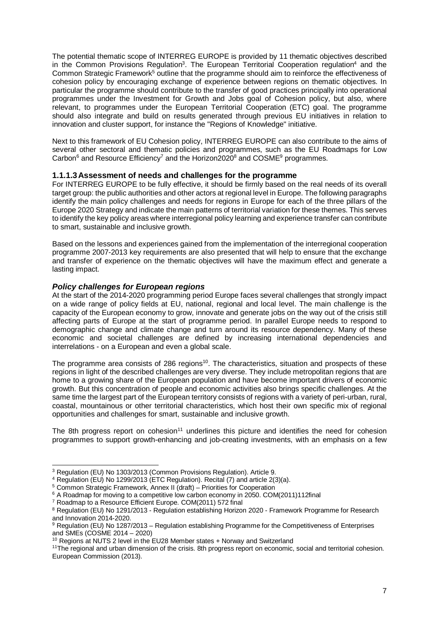The potential thematic scope of INTERREG EUROPE is provided by 11 thematic objectives described in the Common Provisions Regulation<sup>3</sup>. The European Territorial Cooperation regulation<sup>4</sup> and the Common Strategic Framework<sup>5</sup> outline that the programme should aim to reinforce the effectiveness of cohesion policy by encouraging exchange of experience between regions on thematic objectives. In particular the programme should contribute to the transfer of good practices principally into operational programmes under the Investment for Growth and Jobs goal of Cohesion policy, but also, where relevant, to programmes under the European Territorial Cooperation (ETC) goal. The programme should also integrate and build on results generated through previous EU initiatives in relation to innovation and cluster support, for instance the "Regions of Knowledge" initiative.

Next to this framework of EU Cohesion policy, INTERREG EUROPE can also contribute to the aims of several other sectoral and thematic policies and programmes, such as the EU Roadmaps for Low Carbon<sup>6</sup> and Resource Efficiency<sup>7</sup> and the Horizon2020<sup>8</sup> and COSME<sup>9</sup> programmes.

#### **1.1.1.3 Assessment of needs and challenges for the programme**

For INTERREG EUROPE to be fully effective, it should be firmly based on the real needs of its overall target group: the public authorities and other actors at regional level in Europe. The following paragraphs identify the main policy challenges and needs for regions in Europe for each of the three pillars of the Europe 2020 Strategy and indicate the main patterns of territorial variation for these themes. This serves to identify the key policy areas where interregional policy learning and experience transfer can contribute to smart, sustainable and inclusive growth.

Based on the lessons and experiences gained from the implementation of the interregional cooperation programme 2007-2013 key requirements are also presented that will help to ensure that the exchange and transfer of experience on the thematic objectives will have the maximum effect and generate a lasting impact.

#### **Policy challenges for European regions**

At the start of the 2014-2020 programming period Europe faces several challenges that strongly impact on a wide range of policy fields at EU, national, regional and local level. The main challenge is the capacity of the European economy to grow, innovate and generate jobs on the way out of the crisis still affecting parts of Europe at the start of programme period. In parallel Europe needs to respond to demographic change and climate change and turn around its resource dependency. Many of these economic and societal challenges are defined by increasing international dependencies and interrelations - on a European and even a global scale.

The programme area consists of 286 regions<sup>10</sup>. The characteristics, situation and prospects of these regions in light of the described challenges are very diverse. They include metropolitan regions that are home to a growing share of the European population and have become important drivers of economic growth. But this concentration of people and economic activities also brings specific challenges. At the same time the largest part of the European territory consists of regions with a variety of peri-urban, rural, coastal, mountainous or other territorial characteristics, which host their own specific mix of regional opportunities and challenges for smart, sustainable and inclusive growth.

The 8th progress report on cohesion<sup>11</sup> underlines this picture and identifies the need for cohesion programmes to support growth-enhancing and job-creating investments, with an emphasis on a few

 3 Regulation (EU) No 1303/2013 (Common Provisions Regulation). Article 9. 4 Regulation (EU) No 1299/2013 (ETC Regulation). Recital (7) and article 2(3)(a).

<sup>5</sup> Common Strategic Framework, Annex II (draft) – Priorities for Cooperation

<sup>&</sup>lt;sup>6</sup> A Roadmap for moving to a competitive low carbon economy in 2050. COM(2011)112final

<sup>&</sup>lt;sup>7</sup> Roadmap to a Resource Efficient Europe. COM(2011) 572 final

<sup>&</sup>lt;sup>8</sup> Regulation (EU) No 1291/2013 - Regulation establishing Horizon 2020 - Framework Programme for Research and Innovation 2014-2020.

<sup>&</sup>lt;sup>9</sup> Regulation (EU) No 1287/2013 – Regulation establishing Programme for the Competitiveness of Enterprises and SMEs (COSME 2014 – 2020)

 $10$  Regions at NUTS 2 level in the EU28 Member states  $+$  Norway and Switzerland

<sup>11</sup>The regional and urban dimension of the crisis. 8th progress report on economic, social and territorial cohesion. European Commission (2013).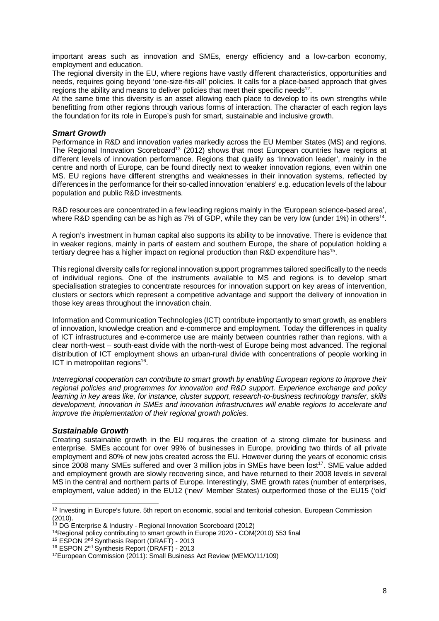important areas such as innovation and SMEs, energy efficiency and a low-carbon economy, employment and education.

The regional diversity in the EU, where regions have vastly different characteristics, opportunities and needs, requires going beyond 'one-size-fits-all' policies. It calls for a place-based approach that gives regions the ability and means to deliver policies that meet their specific needs $12$ .

At the same time this diversity is an asset allowing each place to develop to its own strengths while benefitting from other regions through various forms of interaction. The character of each region lays the foundation for its role in Europe's push for smart, sustainable and inclusive growth.

#### **Smart Growth**

Performance in R&D and innovation varies markedly across the EU Member States (MS) and regions. The Regional Innovation Scoreboard<sup>13</sup> (2012) shows that most European countries have regions at different levels of innovation performance. Regions that qualify as 'Innovation leader', mainly in the centre and north of Europe, can be found directly next to weaker innovation regions, even within one MS. EU regions have different strengths and weaknesses in their innovation systems, reflected by differences in the performance for their so-called innovation 'enablers' e.g. education levels of the labour population and public R&D investments.

R&D resources are concentrated in a few leading regions mainly in the 'European science-based area', where R&D spending can be as high as 7% of GDP, while they can be very low (under 1%) in others<sup>14</sup>.

A region's investment in human capital also supports its ability to be innovative. There is evidence that in weaker regions, mainly in parts of eastern and southern Europe, the share of population holding a tertiary degree has a higher impact on regional production than R&D expenditure has<sup>15</sup>.

This regional diversity calls for regional innovation support programmes tailored specifically to the needs of individual regions. One of the instruments available to MS and regions is to develop smart specialisation strategies to concentrate resources for innovation support on key areas of intervention, clusters or sectors which represent a competitive advantage and support the delivery of innovation in those key areas throughout the innovation chain.

Information and Communication Technologies (ICT) contribute importantly to smart growth, as enablers of innovation, knowledge creation and e-commerce and employment. Today the differences in quality of ICT infrastructures and e-commerce use are mainly between countries rather than regions, with a clear north-west – south-east divide with the north-west of Europe being most advanced. The regional distribution of ICT employment shows an urban-rural divide with concentrations of people working in ICT in metropolitan regions<sup>16</sup>.

Interregional cooperation can contribute to smart growth by enabling European regions to improve their regional policies and programmes for innovation and R&D support. Experience exchange and policy learning in key areas like, for instance, cluster support, research-to-business technology transfer, skills development, innovation in SMEs and innovation infrastructures will enable regions to accelerate and improve the implementation of their regional growth policies.

#### **Sustainable Growth**

Creating sustainable growth in the EU requires the creation of a strong climate for business and enterprise. SMEs account for over 99% of businesses in Europe, providing two thirds of all private employment and 80% of new jobs created across the EU. However during the years of economic crisis since 2008 many SMEs suffered and over 3 million jobs in SMEs have been lost<sup>17</sup>. SME value added and employment growth are slowly recovering since, and have returned to their 2008 levels in several MS in the central and northern parts of Europe. Interestingly, SME growth rates (number of enterprises, employment, value added) in the EU12 ('new' Member States) outperformed those of the EU15 ('old'

l  $12$  Investing in Europe's future. 5th report on economic, social and territorial cohesion. European Commission (2010).

<sup>&</sup>lt;sup>13</sup> DG Enterprise & Industry - Regional Innovation Scoreboard (2012)

<sup>&</sup>lt;sup>14</sup>Regional policy contributing to smart growth in Europe 2020 - COM(2010) 553 final

<sup>&</sup>lt;sup>15</sup> ESPON 2<sup>nd</sup> Synthesis Report (DRAFT) - 2013

<sup>16</sup> ESPON 2nd Synthesis Report (DRAFT) - 2013

<sup>17</sup>European Commission (2011): Small Business Act Review (MEMO/11/109)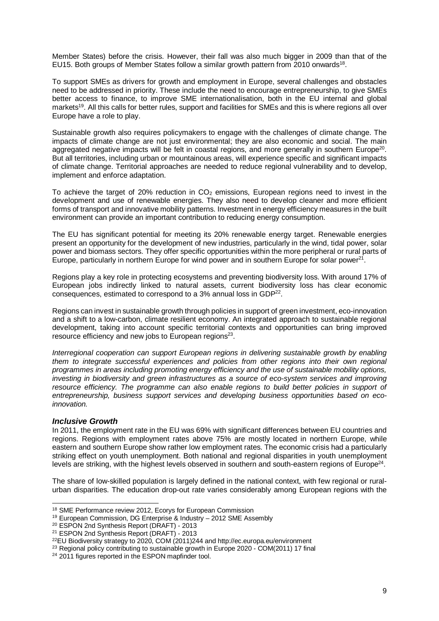Member States) before the crisis. However, their fall was also much bigger in 2009 than that of the EU15. Both groups of Member States follow a similar growth pattern from 2010 onwards<sup>18</sup>.

To support SMEs as drivers for growth and employment in Europe, several challenges and obstacles need to be addressed in priority. These include the need to encourage entrepreneurship, to give SMEs better access to finance, to improve SME internationalisation, both in the EU internal and global markets<sup>19</sup>. All this calls for better rules, support and facilities for SMEs and this is where regions all over Europe have a role to play.

Sustainable growth also requires policymakers to engage with the challenges of climate change. The impacts of climate change are not just environmental; they are also economic and social. The main aggregated negative impacts will be felt in coastal regions, and more generally in southern Europe<sup>20</sup>. But all territories, including urban or mountainous areas, will experience specific and significant impacts of climate change. Territorial approaches are needed to reduce regional vulnerability and to develop, implement and enforce adaptation.

To achieve the target of 20% reduction in  $CO<sub>2</sub>$  emissions, European regions need to invest in the development and use of renewable energies. They also need to develop cleaner and more efficient forms of transport and innovative mobility patterns. Investment in energy efficiency measures in the built environment can provide an important contribution to reducing energy consumption.

The EU has significant potential for meeting its 20% renewable energy target. Renewable energies present an opportunity for the development of new industries, particularly in the wind, tidal power, solar power and biomass sectors. They offer specific opportunities within the more peripheral or rural parts of Europe, particularly in northern Europe for wind power and in southern Europe for solar power<sup>21</sup>.

Regions play a key role in protecting ecosystems and preventing biodiversity loss. With around 17% of European jobs indirectly linked to natural assets, current biodiversity loss has clear economic consequences, estimated to correspond to a 3% annual loss in GDP<sup>22</sup>.

Regions can invest in sustainable growth through policies in support of green investment, eco-innovation and a shift to a low-carbon, climate resilient economy. An integrated approach to sustainable regional development, taking into account specific territorial contexts and opportunities can bring improved resource efficiency and new jobs to European regions<sup>23</sup>.

Interregional cooperation can support European regions in delivering sustainable growth by enabling them to integrate successful experiences and policies from other regions into their own regional programmes in areas including promoting energy efficiency and the use of sustainable mobility options, investing in biodiversity and green infrastructures as a source of eco-system services and improving resource efficiency. The programme can also enable regions to build better policies in support of entrepreneurship, business support services and developing business opportunities based on ecoinnovation.

#### **Inclusive Growth**

In 2011, the employment rate in the EU was 69% with significant differences between EU countries and regions. Regions with employment rates above 75% are mostly located in northern Europe, while eastern and southern Europe show rather low employment rates. The economic crisis had a particularly striking effect on youth unemployment. Both national and regional disparities in youth unemployment levels are striking, with the highest levels observed in southern and south-eastern regions of Europe<sup>24</sup>.

The share of low-skilled population is largely defined in the national context, with few regional or ruralurban disparities. The education drop-out rate varies considerably among European regions with the

l <sup>18</sup> SME Performance review 2012, Ecorys for European Commission

<sup>19</sup> European Commission, DG Enterprise & Industry – 2012 SME Assembly

<sup>20</sup> ESPON 2nd Synthesis Report (DRAFT) - 2013

<sup>21</sup> ESPON 2nd Synthesis Report (DRAFT) - 2013

<sup>22</sup>EU Biodiversity strategy to 2020, COM (2011)244 and http://ec.europa.eu/environment

<sup>&</sup>lt;sup>23</sup> Regional policy contributing to sustainable growth in Europe 2020 - COM(2011) 17 final

<sup>&</sup>lt;sup>24</sup> 2011 figures reported in the ESPON mapfinder tool.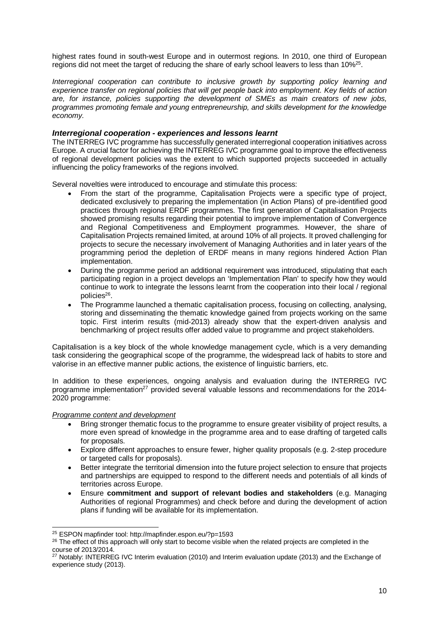highest rates found in south-west Europe and in outermost regions. In 2010, one third of European regions did not meet the target of reducing the share of early school leavers to less than 10%<sup>25</sup>.

Interregional cooperation can contribute to inclusive growth by supporting policy learning and experience transfer on regional policies that will get people back into employment. Key fields of action are, for instance, policies supporting the development of SMEs as main creators of new jobs, programmes promoting female and young entrepreneurship, and skills development for the knowledge economy.

#### **Interregional cooperation - experiences and lessons learnt**

The INTERREG IVC programme has successfully generated interregional cooperation initiatives across Europe. A crucial factor for achieving the INTERREG IVC programme goal to improve the effectiveness of regional development policies was the extent to which supported projects succeeded in actually influencing the policy frameworks of the regions involved.

Several novelties were introduced to encourage and stimulate this process:

- From the start of the programme, Capitalisation Projects were a specific type of project, dedicated exclusively to preparing the implementation (in Action Plans) of pre-identified good practices through regional ERDF programmes. The first generation of Capitalisation Projects showed promising results regarding their potential to improve implementation of Convergence and Regional Competitiveness and Employment programmes. However, the share of Capitalisation Projects remained limited, at around 10% of all projects. It proved challenging for projects to secure the necessary involvement of Managing Authorities and in later years of the programming period the depletion of ERDF means in many regions hindered Action Plan implementation.
- During the programme period an additional requirement was introduced, stipulating that each participating region in a project develops an 'Implementation Plan' to specify how they would continue to work to integrate the lessons learnt from the cooperation into their local / regional policies<sup>26</sup>.
- The Programme launched a thematic capitalisation process, focusing on collecting, analysing, storing and disseminating the thematic knowledge gained from projects working on the same topic. First interim results (mid-2013) already show that the expert-driven analysis and benchmarking of project results offer added value to programme and project stakeholders.

Capitalisation is a key block of the whole knowledge management cycle, which is a very demanding task considering the geographical scope of the programme, the widespread lack of habits to store and valorise in an effective manner public actions, the existence of linguistic barriers, etc.

In addition to these experiences, ongoing analysis and evaluation during the INTERREG IVC programme implementation<sup>27</sup> provided several valuable lessons and recommendations for the 2014-2020 programme:

#### Programme content and development

-

- Bring stronger thematic focus to the programme to ensure greater visibility of project results, a more even spread of knowledge in the programme area and to ease drafting of targeted calls for proposals.
- Explore different approaches to ensure fewer, higher quality proposals (e.g. 2-step procedure or targeted calls for proposals).
- Better integrate the territorial dimension into the future project selection to ensure that projects and partnerships are equipped to respond to the different needs and potentials of all kinds of territories across Europe.
- Ensure **commitment and support of relevant bodies and stakeholders** (e.g. Managing Authorities of regional Programmes) and check before and during the development of action plans if funding will be available for its implementation.

<sup>25</sup> ESPON mapfinder tool: http://mapfinder.espon.eu/?p=1593

<sup>&</sup>lt;sup>26</sup> The effect of this approach will only start to become visible when the related projects are completed in the course of 2013/2014.

<sup>&</sup>lt;sup>27</sup> Notably: INTERREG IVC Interim evaluation (2010) and Interim evaluation update (2013) and the Exchange of experience study (2013).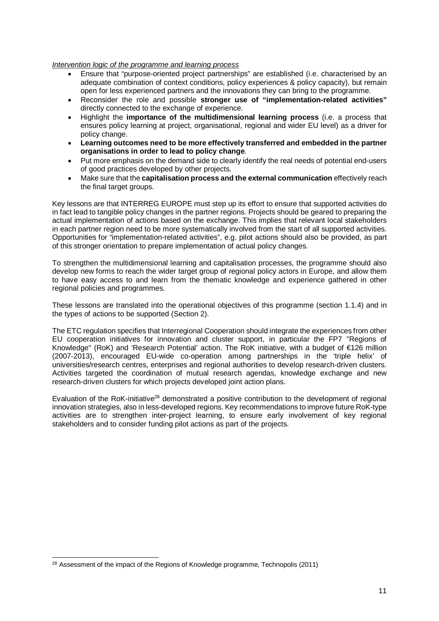#### Intervention logic of the programme and learning process

- Ensure that "purpose-oriented project partnerships" are established (i.e. characterised by an adequate combination of context conditions, policy experiences & policy capacity), but remain open for less experienced partners and the innovations they can bring to the programme.
- Reconsider the role and possible **stronger use of "implementation-related activities"** directly connected to the exchange of experience.
- Highlight the **importance of the multidimensional learning process** (i.e. a process that ensures policy learning at project, organisational, regional and wider EU level) as a driver for policy change.
- **Learning outcomes need to be more effectively transferred and embedded in the partner organisations in order to lead to policy change**.
- Put more emphasis on the demand side to clearly identify the real needs of potential end-users of good practices developed by other projects.
- Make sure that the **capitalisation process and the external communication** effectively reach the final target groups.

Key lessons are that INTERREG EUROPE must step up its effort to ensure that supported activities do in fact lead to tangible policy changes in the partner regions. Projects should be geared to preparing the actual implementation of actions based on the exchange. This implies that relevant local stakeholders in each partner region need to be more systematically involved from the start of all supported activities. Opportunities for "implementation-related activities", e.g. pilot actions should also be provided, as part of this stronger orientation to prepare implementation of actual policy changes.

To strengthen the multidimensional learning and capitalisation processes, the programme should also develop new forms to reach the wider target group of regional policy actors in Europe, and allow them to have easy access to and learn from the thematic knowledge and experience gathered in other regional policies and programmes.

These lessons are translated into the operational objectives of this programme (section 1.1.4) and in the types of actions to be supported (Section 2).

The ETC regulation specifies that Interregional Cooperation should integrate the experiences from other EU cooperation initiatives for innovation and cluster support, in particular the FP7 "Regions of Knowledge" (RoK) and 'Research Potential' action. The RoK initiative, with a budget of €126 million (2007-2013), encouraged EU-wide co-operation among partnerships in the 'triple helix' of universities/research centres, enterprises and regional authorities to develop research-driven clusters. Activities targeted the coordination of mutual research agendas, knowledge exchange and new research-driven clusters for which projects developed joint action plans.

Evaluation of the RoK-initiative<sup>28</sup> demonstrated a positive contribution to the development of regional innovation strategies, also in less-developed regions. Key recommendations to improve future RoK-type activities are to strengthen inter-project learning, to ensure early involvement of key regional stakeholders and to consider funding pilot actions as part of the projects.

l <sup>28</sup> Assessment of the impact of the Regions of Knowledge programme, Technopolis (2011)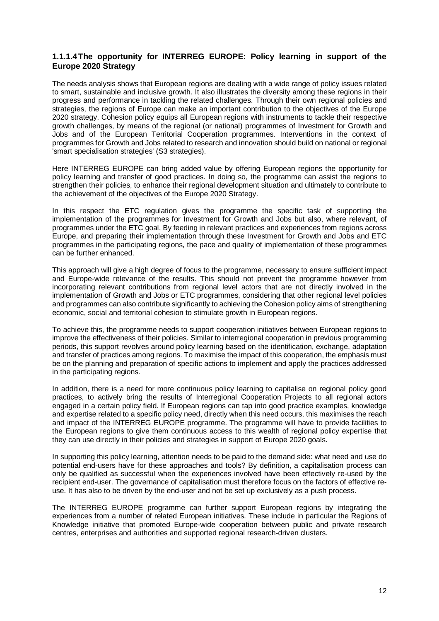#### **1.1.1.4 The opportunity for INTERREG EUROPE: Policy learning in support of the Europe 2020 Strategy**

The needs analysis shows that European regions are dealing with a wide range of policy issues related to smart, sustainable and inclusive growth. It also illustrates the diversity among these regions in their progress and performance in tackling the related challenges. Through their own regional policies and strategies, the regions of Europe can make an important contribution to the objectives of the Europe 2020 strategy. Cohesion policy equips all European regions with instruments to tackle their respective growth challenges, by means of the regional (or national) programmes of Investment for Growth and Jobs and of the European Territorial Cooperation programmes. Interventions in the context of programmes for Growth and Jobs related to research and innovation should build on national or regional 'smart specialisation strategies' (S3 strategies).

Here INTERREG EUROPE can bring added value by offering European regions the opportunity for policy learning and transfer of good practices. In doing so, the programme can assist the regions to strengthen their policies, to enhance their regional development situation and ultimately to contribute to the achievement of the objectives of the Europe 2020 Strategy.

In this respect the ETC regulation gives the programme the specific task of supporting the implementation of the programmes for Investment for Growth and Jobs but also, where relevant, of programmes under the ETC goal. By feeding in relevant practices and experiences from regions across Europe, and preparing their implementation through these Investment for Growth and Jobs and ETC programmes in the participating regions, the pace and quality of implementation of these programmes can be further enhanced.

This approach will give a high degree of focus to the programme, necessary to ensure sufficient impact and Europe-wide relevance of the results. This should not prevent the programme however from incorporating relevant contributions from regional level actors that are not directly involved in the implementation of Growth and Jobs or ETC programmes, considering that other regional level policies and programmes can also contribute significantly to achieving the Cohesion policy aims of strengthening economic, social and territorial cohesion to stimulate growth in European regions.

To achieve this, the programme needs to support cooperation initiatives between European regions to improve the effectiveness of their policies. Similar to interregional cooperation in previous programming periods, this support revolves around policy learning based on the identification, exchange, adaptation and transfer of practices among regions. To maximise the impact of this cooperation, the emphasis must be on the planning and preparation of specific actions to implement and apply the practices addressed in the participating regions.

In addition, there is a need for more continuous policy learning to capitalise on regional policy good practices, to actively bring the results of Interregional Cooperation Projects to all regional actors engaged in a certain policy field. If European regions can tap into good practice examples, knowledge and expertise related to a specific policy need, directly when this need occurs, this maximises the reach and impact of the INTERREG EUROPE programme. The programme will have to provide facilities to the European regions to give them continuous access to this wealth of regional policy expertise that they can use directly in their policies and strategies in support of Europe 2020 goals.

In supporting this policy learning, attention needs to be paid to the demand side: what need and use do potential end-users have for these approaches and tools? By definition, a capitalisation process can only be qualified as successful when the experiences involved have been effectively re-used by the recipient end-user. The governance of capitalisation must therefore focus on the factors of effective reuse. It has also to be driven by the end-user and not be set up exclusively as a push process.

The INTERREG EUROPE programme can further support European regions by integrating the experiences from a number of related European initiatives. These include in particular the Regions of Knowledge initiative that promoted Europe-wide cooperation between public and private research centres, enterprises and authorities and supported regional research-driven clusters.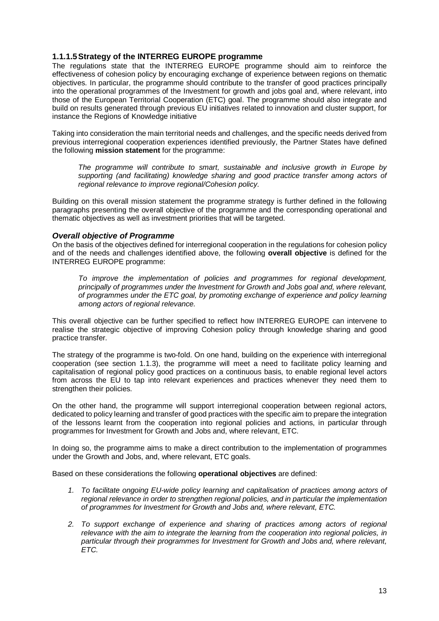#### **1.1.1.5 Strategy of the INTERREG EUROPE programme**

The regulations state that the INTERREG EUROPE programme should aim to reinforce the effectiveness of cohesion policy by encouraging exchange of experience between regions on thematic objectives. In particular, the programme should contribute to the transfer of good practices principally into the operational programmes of the Investment for growth and jobs goal and, where relevant, into those of the European Territorial Cooperation (ETC) goal. The programme should also integrate and build on results generated through previous EU initiatives related to innovation and cluster support, for instance the Regions of Knowledge initiative

Taking into consideration the main territorial needs and challenges, and the specific needs derived from previous interregional cooperation experiences identified previously, the Partner States have defined the following **mission statement** for the programme:

The programme will contribute to smart, sustainable and inclusive growth in Europe by supporting (and facilitating) knowledge sharing and good practice transfer among actors of regional relevance to improve regional/Cohesion policy.

Building on this overall mission statement the programme strategy is further defined in the following paragraphs presenting the overall objective of the programme and the corresponding operational and thematic objectives as well as investment priorities that will be targeted.

#### **Overall objective of Programme**

On the basis of the objectives defined for interregional cooperation in the regulations for cohesion policy and of the needs and challenges identified above, the following **overall objective** is defined for the INTERREG EUROPE programme:

To improve the implementation of policies and programmes for regional development, principally of programmes under the Investment for Growth and Jobs goal and, where relevant, of programmes under the ETC goal, by promoting exchange of experience and policy learning among actors of regional relevance.

This overall objective can be further specified to reflect how INTERREG EUROPE can intervene to realise the strategic objective of improving Cohesion policy through knowledge sharing and good practice transfer.

The strategy of the programme is two-fold. On one hand, building on the experience with interregional cooperation (see section 1.1.3), the programme will meet a need to facilitate policy learning and capitalisation of regional policy good practices on a continuous basis, to enable regional level actors from across the EU to tap into relevant experiences and practices whenever they need them to strengthen their policies.

On the other hand, the programme will support interregional cooperation between regional actors, dedicated to policy learning and transfer of good practices with the specific aim to prepare the integration of the lessons learnt from the cooperation into regional policies and actions, in particular through programmes for Investment for Growth and Jobs and, where relevant, ETC.

In doing so, the programme aims to make a direct contribution to the implementation of programmes under the Growth and Jobs, and, where relevant, ETC goals.

Based on these considerations the following **operational objectives** are defined:

- 1. To facilitate ongoing EU-wide policy learning and capitalisation of practices among actors of regional relevance in order to strengthen regional policies, and in particular the implementation of programmes for Investment for Growth and Jobs and, where relevant, ETC.
- 2. To support exchange of experience and sharing of practices among actors of regional relevance with the aim to integrate the learning from the cooperation into regional policies, in particular through their programmes for Investment for Growth and Jobs and, where relevant, ETC.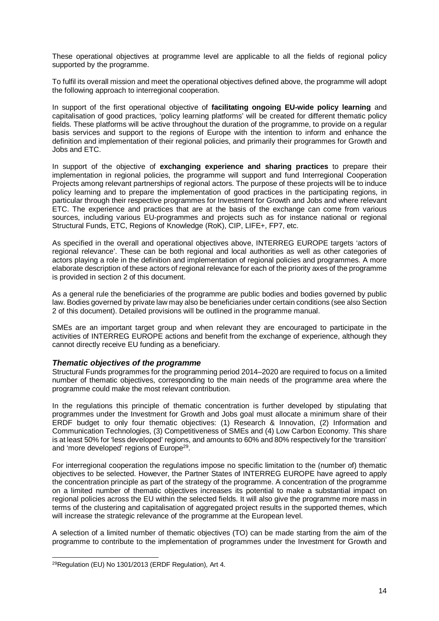These operational objectives at programme level are applicable to all the fields of regional policy supported by the programme.

To fulfil its overall mission and meet the operational objectives defined above, the programme will adopt the following approach to interregional cooperation.

In support of the first operational objective of **facilitating ongoing EU-wide policy learning** and capitalisation of good practices, 'policy learning platforms' will be created for different thematic policy fields. These platforms will be active throughout the duration of the programme, to provide on a regular basis services and support to the regions of Europe with the intention to inform and enhance the definition and implementation of their regional policies, and primarily their programmes for Growth and Jobs and ETC.

In support of the objective of **exchanging experience and sharing practices** to prepare their implementation in regional policies, the programme will support and fund Interregional Cooperation Projects among relevant partnerships of regional actors. The purpose of these projects will be to induce policy learning and to prepare the implementation of good practices in the participating regions, in particular through their respective programmes for Investment for Growth and Jobs and where relevant ETC. The experience and practices that are at the basis of the exchange can come from various sources, including various EU-programmes and projects such as for instance national or regional Structural Funds, ETC, Regions of Knowledge (RoK), CIP, LIFE+, FP7, etc.

As specified in the overall and operational objectives above, INTERREG EUROPE targets 'actors of regional relevance'. These can be both regional and local authorities as well as other categories of actors playing a role in the definition and implementation of regional policies and programmes. A more elaborate description of these actors of regional relevance for each of the priority axes of the programme is provided in section 2 of this document.

As a general rule the beneficiaries of the programme are public bodies and bodies governed by public law. Bodies governed by private law may also be beneficiaries under certain conditions (see also Section 2 of this document). Detailed provisions will be outlined in the programme manual.

SMEs are an important target group and when relevant they are encouraged to participate in the activities of INTERREG EUROPE actions and benefit from the exchange of experience, although they cannot directly receive EU funding as a beneficiary.

#### **Thematic objectives of the programme**

Structural Funds programmes for the programming period 2014–2020 are required to focus on a limited number of thematic objectives, corresponding to the main needs of the programme area where the programme could make the most relevant contribution.

In the regulations this principle of thematic concentration is further developed by stipulating that programmes under the Investment for Growth and Jobs goal must allocate a minimum share of their ERDF budget to only four thematic objectives: (1) Research & Innovation, (2) Information and Communication Technologies, (3) Competitiveness of SMEs and (4) Low Carbon Economy. This share is at least 50% for 'less developed' regions, and amounts to 60% and 80% respectively for the 'transition' and 'more developed' regions of Europe<sup>29</sup>.

For interregional cooperation the regulations impose no specific limitation to the (number of) thematic objectives to be selected. However, the Partner States of INTERREG EUROPE have agreed to apply the concentration principle as part of the strategy of the programme. A concentration of the programme on a limited number of thematic objectives increases its potential to make a substantial impact on regional policies across the EU within the selected fields. It will also give the programme more mass in terms of the clustering and capitalisation of aggregated project results in the supported themes, which will increase the strategic relevance of the programme at the European level.

A selection of a limited number of thematic objectives (TO) can be made starting from the aim of the programme to contribute to the implementation of programmes under the Investment for Growth and

l

<sup>29</sup>Regulation (EU) No 1301/2013 (ERDF Regulation), Art 4.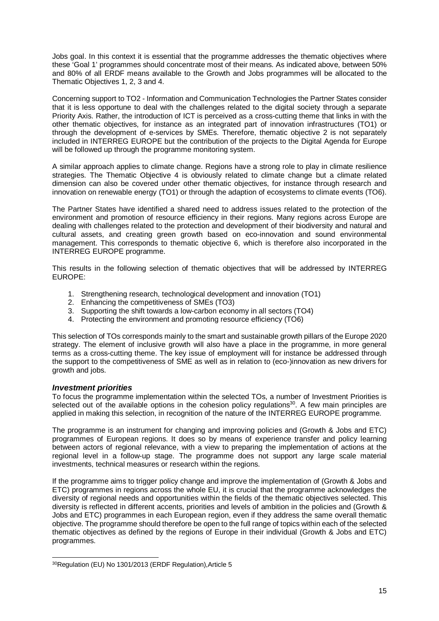Jobs goal. In this context it is essential that the programme addresses the thematic objectives where these 'Goal 1' programmes should concentrate most of their means. As indicated above, between 50% and 80% of all ERDF means available to the Growth and Jobs programmes will be allocated to the Thematic Objectives 1, 2, 3 and 4.

Concerning support to TO2 - Information and Communication Technologies the Partner States consider that it is less opportune to deal with the challenges related to the digital society through a separate Priority Axis. Rather, the introduction of ICT is perceived as a cross-cutting theme that links in with the other thematic objectives, for instance as an integrated part of innovation infrastructures (TO1) or through the development of e-services by SMEs. Therefore, thematic objective 2 is not separately included in INTERREG EUROPE but the contribution of the projects to the Digital Agenda for Europe will be followed up through the programme monitoring system.

A similar approach applies to climate change. Regions have a strong role to play in climate resilience strategies. The Thematic Objective 4 is obviously related to climate change but a climate related dimension can also be covered under other thematic objectives, for instance through research and innovation on renewable energy (TO1) or through the adaption of ecosystems to climate events (TO6).

The Partner States have identified a shared need to address issues related to the protection of the environment and promotion of resource efficiency in their regions. Many regions across Europe are dealing with challenges related to the protection and development of their biodiversity and natural and cultural assets, and creating green growth based on eco-innovation and sound environmental management. This corresponds to thematic objective 6, which is therefore also incorporated in the INTERREG EUROPE programme.

This results in the following selection of thematic objectives that will be addressed by INTERREG EUROPE:

- 1. Strengthening research, technological development and innovation (TO1)
- 2. Enhancing the competitiveness of SMEs (TO3)
- 3. Supporting the shift towards a low-carbon economy in all sectors (TO4)
- 4. Protecting the environment and promoting resource efficiency (TO6)

This selection of TOs corresponds mainly to the smart and sustainable growth pillars of the Europe 2020 strategy. The element of inclusive growth will also have a place in the programme, in more general terms as a cross-cutting theme. The key issue of employment will for instance be addressed through the support to the competitiveness of SME as well as in relation to (eco-)innovation as new drivers for growth and jobs.

#### **Investment priorities**

To focus the programme implementation within the selected TOs, a number of Investment Priorities is selected out of the available options in the cohesion policy regulations<sup>30</sup>. A few main principles are applied in making this selection, in recognition of the nature of the INTERREG EUROPE programme.

The programme is an instrument for changing and improving policies and (Growth & Jobs and ETC) programmes of European regions. It does so by means of experience transfer and policy learning between actors of regional relevance, with a view to preparing the implementation of actions at the regional level in a follow-up stage. The programme does not support any large scale material investments, technical measures or research within the regions.

If the programme aims to trigger policy change and improve the implementation of (Growth & Jobs and ETC) programmes in regions across the whole EU, it is crucial that the programme acknowledges the diversity of regional needs and opportunities within the fields of the thematic objectives selected. This diversity is reflected in different accents, priorities and levels of ambition in the policies and (Growth & Jobs and ETC) programmes in each European region, even if they address the same overall thematic objective. The programme should therefore be open to the full range of topics within each of the selected thematic objectives as defined by the regions of Europe in their individual (Growth & Jobs and ETC) programmes.

l 30Regulation (EU) No 1301/2013 (ERDF Regulation),Article 5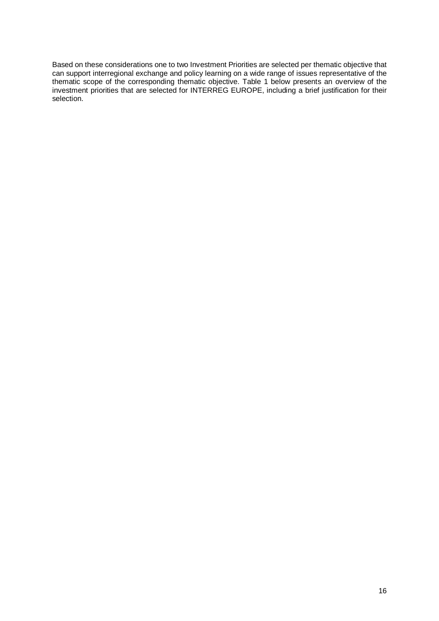Based on these considerations one to two Investment Priorities are selected per thematic objective that can support interregional exchange and policy learning on a wide range of issues representative of the thematic scope of the corresponding thematic objective. Table 1 below presents an overview of the investment priorities that are selected for INTERREG EUROPE, including a brief justification for their selection.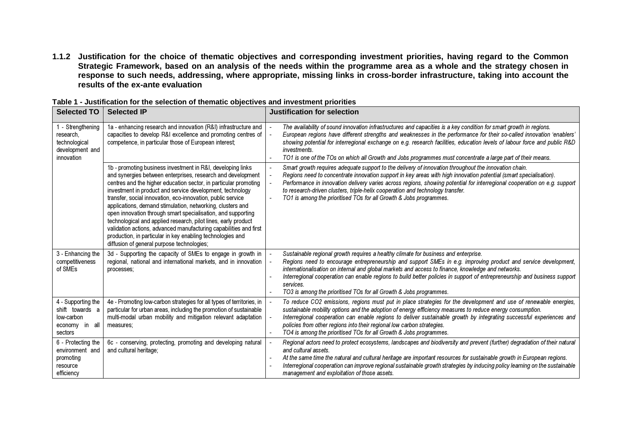**1.1.2 Justification for the choice of thematic objectives and corresponding investment priorities, having regard to the Common Strategic Framework, based on an analysis of the needs within the programme area as a whole and the strategy chosen in response to such needs, addressing, where appropriate, missing links in cross-border infrastructure, taking into account the results of the ex-ante evaluation** 

|                                                                                  | 「able 1 - Justification for the selection of thematic objectives and investment priorities                                                                                                                                                                                                                                                                                                                                                                                                                                                                                                                                                                                                                  |                                                                                                                                                                                                                                                                                                                                                                                                                                                                                                                             |
|----------------------------------------------------------------------------------|-------------------------------------------------------------------------------------------------------------------------------------------------------------------------------------------------------------------------------------------------------------------------------------------------------------------------------------------------------------------------------------------------------------------------------------------------------------------------------------------------------------------------------------------------------------------------------------------------------------------------------------------------------------------------------------------------------------|-----------------------------------------------------------------------------------------------------------------------------------------------------------------------------------------------------------------------------------------------------------------------------------------------------------------------------------------------------------------------------------------------------------------------------------------------------------------------------------------------------------------------------|
| <b>Selected TO</b>                                                               | <b>Selected IP</b>                                                                                                                                                                                                                                                                                                                                                                                                                                                                                                                                                                                                                                                                                          | <b>Justification for selection</b>                                                                                                                                                                                                                                                                                                                                                                                                                                                                                          |
| - Strengthening<br>research,<br>technological<br>development and<br>innovation   | 1a - enhancing research and innovation (R&I) infrastructure and<br>capacities to develop R&I excellence and promoting centres of<br>competence, in particular those of European interest;                                                                                                                                                                                                                                                                                                                                                                                                                                                                                                                   | The availability of sound innovation infrastructures and capacities is a key condition for smart growth in regions.<br>European regions have different strengths and weaknesses in the performance for their so-called innovation 'enablers'<br>showing potential for interregional exchange on e.g. research facilities, education levels of labour force and public R&D<br>investments.<br>TO1 is one of the TOs on which all Growth and Jobs programmes must concentrate a large part of their means.                    |
|                                                                                  | 1b - promoting business investment in R&I, developing links<br>and synergies between enterprises, research and development<br>centres and the higher education sector, in particular promoting<br>investment in product and service development, technology<br>transfer, social innovation, eco-innovation, public service<br>applications, demand stimulation, networking, clusters and<br>open innovation through smart specialisation, and supporting<br>technological and applied research, pilot lines, early product<br>validation actions, advanced manufacturing capabilities and first<br>production, in particular in key enabling technologies and<br>diffusion of general purpose technologies; | Smart growth requires adequate support to the delivery of innovation throughout the innovation chain.<br>Regions need to concentrate innovation support in key areas with high innovation potential (smart specialisation).<br>Performance in innovation delivery varies across regions, showing potential for interregional cooperation on e.g. support<br>to research-driven clusters, triple-helix cooperation and technology transfer.<br>TO1 is among the prioritised TOs for all Growth & Jobs programmes.            |
| 3 - Enhancing the<br>competitiveness<br>of SMEs                                  | 3d - Supporting the capacity of SMEs to engage in growth in<br>regional, national and international markets, and in innovation<br>processes;                                                                                                                                                                                                                                                                                                                                                                                                                                                                                                                                                                | Sustainable regional growth requires a healthy climate for business and enterprise.<br>Regions need to encourage entrepreneurship and support SMEs in e.g. improving product and service development,<br>internationalisation on internal and global markets and access to finance, knowledge and networks.<br>Interregional cooperation can enable regions to build better policies in support of entrepreneurship and business support<br>services.<br>TO3 is among the prioritised TOs for all Growth & Jobs programmes. |
| 4 - Supporting the<br>shift towards a<br>low-carbon<br>economy in all<br>sectors | 4e - Promoting low-carbon strategies for all types of territories, in<br>particular for urban areas, including the promotion of sustainable<br>multi-modal urban mobility and mitigation relevant adaptation<br>measures;                                                                                                                                                                                                                                                                                                                                                                                                                                                                                   | To reduce CO2 emissions, regions must put in place strategies for the development and use of renewable energies,<br>sustainable mobility options and the adoption of energy efficiency measures to reduce energy consumption.<br>Interregional cooperation can enable regions to deliver sustainable growth by integrating successful experiences and<br>policies from other regions into their regional low carbon strategies.<br>TO4 is among the prioritised TOs for all Growth & Jobs programmes.                       |
| 6 - Protecting the<br>environment and<br>promoting<br>resource<br>efficiency     | 6c - conserving, protecting, promoting and developing natural<br>and cultural heritage;                                                                                                                                                                                                                                                                                                                                                                                                                                                                                                                                                                                                                     | Regional actors need to protect ecosystems, landscapes and biodiversity and prevent (further) degradation of their natural<br>and cultural assets.<br>At the same time the natural and cultural heritage are important resources for sustainable growth in European regions.<br>Interregional cooperation can improve regional sustainable growth strategies by inducing policy learning on the sustainable<br>management and exploitation of those assets.                                                                 |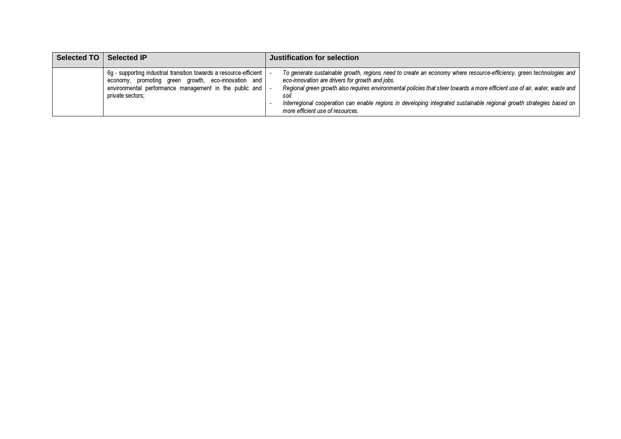| Selected TO | <b>Selected IP</b>                                                                                                                                                                                      | Justification for selection                                                                                                                                                                                                                                                                                                                                                                                                                                                 |
|-------------|---------------------------------------------------------------------------------------------------------------------------------------------------------------------------------------------------------|-----------------------------------------------------------------------------------------------------------------------------------------------------------------------------------------------------------------------------------------------------------------------------------------------------------------------------------------------------------------------------------------------------------------------------------------------------------------------------|
|             | 6q - supporting industrial transition towards a resource-efficient<br>economy, promoting green growth, eco-innovation and<br>environmental performance management in the public and<br>private sectors; | To generate sustainable growth, regions need to create an economy where resource-efficiency, green technologies and<br>eco-innovation are drivers for growth and jobs.<br>Regional green growth also requires environmental policies that steer towards a more efficient use of air, water, waste and<br>soil.<br>Interregional cooperation can enable regions in developing integrated sustainable regional growth strategies based on<br>more efficient use of resources. |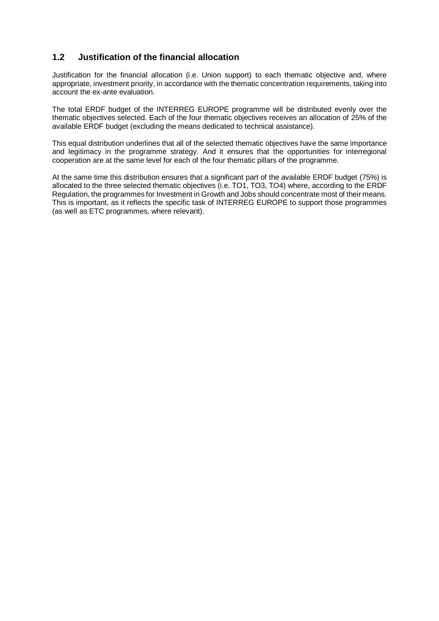#### **1.2 Justification of the financial allocation**

Justification for the financial allocation (i.e. Union support) to each thematic objective and, where appropriate, investment priority, in accordance with the thematic concentration requirements, taking into account the ex-ante evaluation.

The total ERDF budget of the INTERREG EUROPE programme will be distributed evenly over the thematic objectives selected. Each of the four thematic objectives receives an allocation of 25% of the available ERDF budget (excluding the means dedicated to technical assistance).

This equal distribution underlines that all of the selected thematic objectives have the same importance and legitimacy in the programme strategy. And it ensures that the opportunities for interregional cooperation are at the same level for each of the four thematic pillars of the programme.

At the same time this distribution ensures that a significant part of the available ERDF budget (75%) is allocated to the three selected thematic objectives (i.e. TO1, TO3, TO4) where, according to the ERDF Regulation, the programmes for Investment in Growth and Jobs should concentrate most of their means. This is important, as it reflects the specific task of INTERREG EUROPE to support those programmes (as well as ETC programmes, where relevant).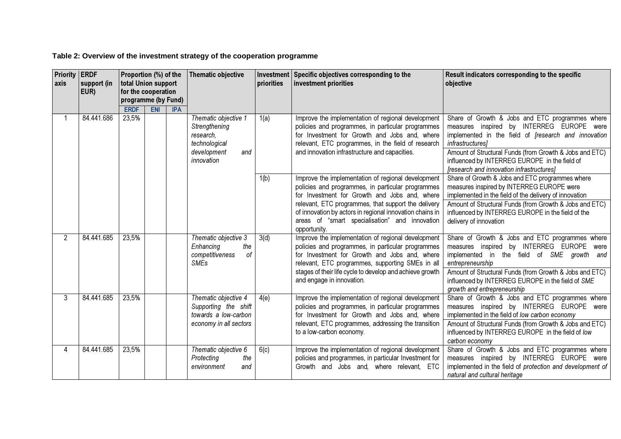**Table 2: Overview of the investment strategy of the cooperation programme** 

| <b>Priority</b><br><b>axis</b> | <b>ERDF</b><br>support (in<br>EUR) | Proportion (%) of the<br>total Union support<br>for the cooperation<br>programme (by Fund)<br><b>ERDF</b><br><b>ENI</b><br><b>IPA</b> |  |  |                                                                                                         | <b>Thematic objective</b> | Investment<br>priorities                                                                                                                                                                                                                                                                                                                      | Specific objectives corresponding to the<br>investment priorities                                                                                                                                                                                                                                                                        | Result indicators corresponding to the specific<br>objective |
|--------------------------------|------------------------------------|---------------------------------------------------------------------------------------------------------------------------------------|--|--|---------------------------------------------------------------------------------------------------------|---------------------------|-----------------------------------------------------------------------------------------------------------------------------------------------------------------------------------------------------------------------------------------------------------------------------------------------------------------------------------------------|------------------------------------------------------------------------------------------------------------------------------------------------------------------------------------------------------------------------------------------------------------------------------------------------------------------------------------------|--------------------------------------------------------------|
|                                | 84.441.686                         | 23,5%                                                                                                                                 |  |  | Thematic objective 1<br>Strengthening<br>research,<br>technological<br>development<br>and<br>innovation | 1(a)                      | Improve the implementation of regional development<br>policies and programmes, in particular programmes<br>for Investment for Growth and Jobs and, where<br>relevant, ETC programmes, in the field of research<br>and innovation infrastructure and capacities.                                                                               | Share of Growth & Jobs and ETC programmes where<br>measures inspired by INTERREG EUROPE were<br>implemented in the field of <i>[research and innovation</i><br>infrastructures]<br>Amount of Structural Funds (from Growth & Jobs and ETC)<br>influenced by INTERREG EUROPE in the field of<br>[research and innovation infrastructures] |                                                              |
|                                |                                    |                                                                                                                                       |  |  |                                                                                                         | 1(b)                      | Improve the implementation of regional development<br>policies and programmes, in particular programmes<br>for Investment for Growth and Jobs and, where<br>relevant, ETC programmes, that support the delivery<br>of innovation by actors in regional innovation chains in<br>areas of "smart specialisation" and innovation<br>opportunity. | Share of Growth & Jobs and ETC programmes where<br>measures inspired by INTERREG EUROPE were<br>implemented in the field of the delivery of innovation<br>Amount of Structural Funds (from Growth & Jobs and ETC)<br>influenced by INTERREG EUROPE in the field of the<br>delivery of innovation                                         |                                                              |
| $\overline{2}$                 | 84.441.685                         | 23,5%                                                                                                                                 |  |  | Thematic objective 3<br>Enhancing<br>the<br>competitiveness<br>of<br><b>SMEs</b>                        | 3(d)                      | Improve the implementation of regional development<br>policies and programmes, in particular programmes<br>for Investment for Growth and Jobs and, where<br>relevant, ETC programmes, supporting SMEs in all<br>stages of their life cycle to develop and achieve growth<br>and engage in innovation.                                         | Share of Growth & Jobs and ETC programmes where<br>measures inspired by INTERREG EUROPE<br>were<br>implemented in the field of SME growth and<br>entrepreneurship<br>Amount of Structural Funds (from Growth & Jobs and ETC)<br>influenced by INTERREG EUROPE in the field of SME                                                        |                                                              |
| 3                              | 84.441.685                         | 23,5%                                                                                                                                 |  |  | Thematic objective 4<br>Supporting the shift<br>towards a low-carbon<br>economy in all sectors          | 4(e)                      | Improve the implementation of regional development<br>policies and programmes, in particular programmes<br>for Investment for Growth and Jobs and, where<br>relevant, ETC programmes, addressing the transition<br>to a low-carbon economy.                                                                                                   | growth and entrepreneurship<br>Share of Growth & Jobs and ETC programmes where<br>measures inspired by INTERREG EUROPE were<br>implemented in the field of low carbon economy<br>Amount of Structural Funds (from Growth & Jobs and ETC)<br>influenced by INTERREG EUROPE in the field of low<br>carbon economy                          |                                                              |
| 4                              | 84.441.685                         | 23,5%                                                                                                                                 |  |  | Thematic objective 6<br>Protecting<br>the<br>environment<br>and                                         | 6(c)                      | Improve the implementation of regional development<br>policies and programmes, in particular Investment for<br>Growth and Jobs and, where relevant, ETC                                                                                                                                                                                       | Share of Growth & Jobs and ETC programmes where<br>measures inspired by INTERREG EUROPE were<br>implemented in the field of protection and development of<br>natural and cultural heritage                                                                                                                                               |                                                              |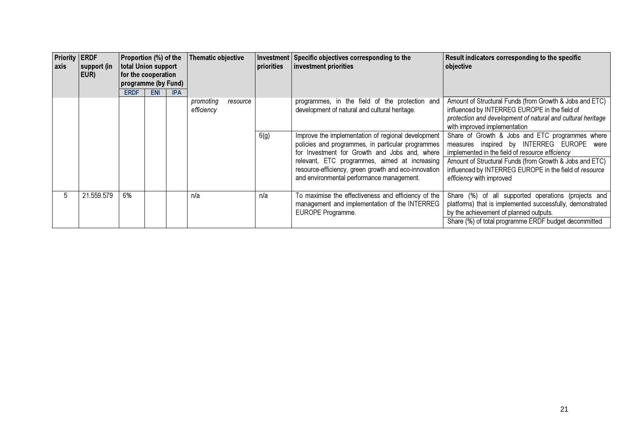| <b>Priority ERDF</b><br><b>axis</b> | support (in<br>EUR) | Proportion (%) of the<br>total Union support<br>for the cooperation<br>programme (by Fund) |            |            |                         | <b>Thematic objective</b> |      | priorities                                                                                                                                                                                                                                               | Investment Specific objectives corresponding to the<br>investment priorities                                                                                                                                                                               | Result indicators corresponding to the specific<br>objective |
|-------------------------------------|---------------------|--------------------------------------------------------------------------------------------|------------|------------|-------------------------|---------------------------|------|----------------------------------------------------------------------------------------------------------------------------------------------------------------------------------------------------------------------------------------------------------|------------------------------------------------------------------------------------------------------------------------------------------------------------------------------------------------------------------------------------------------------------|--------------------------------------------------------------|
|                                     |                     | <b>ERDF</b>                                                                                | <b>ENI</b> | <b>IPA</b> | promoting<br>efficiency | resource                  | 6(g) | programmes, in the field of the protection and<br>development of natural and cultural heritage.<br>Improve the implementation of regional development                                                                                                    | Amount of Structural Funds (from Growth & Jobs and ETC)<br>influenced by INTERREG EUROPE in the field of<br>protection and development of natural and cultural heritage<br>with improved implementation<br>Share of Growth & Jobs and ETC programmes where |                                                              |
|                                     |                     |                                                                                            |            |            |                         |                           |      | policies and programmes, in particular programmes<br>for Investment for Growth and Jobs and, where<br>relevant, ETC programmes, aimed at increasing<br>resource-efficiency, green growth and eco-innovation<br>and environmental performance management. | measures inspired by INTERREG EUROPE were<br>implemented in the field of resource efficiency<br>Amount of Structural Funds (from Growth & Jobs and ETC)<br>influenced by INTERREG EUROPE in the field of resource<br>efficiency with improved              |                                                              |
| 5                                   | 21.559.579          | 6%                                                                                         |            |            | n/a                     |                           | n/a  | To maximise the effectiveness and efficiency of the<br>management and implementation of the INTERREG<br>EUROPE Programme.                                                                                                                                | Share (%) of all supported operations (projects and<br>platforms) that is implemented successfully, demonstrated<br>by the achievement of planned outputs.<br>Share (%) of total programme ERDF budget decommitted                                         |                                                              |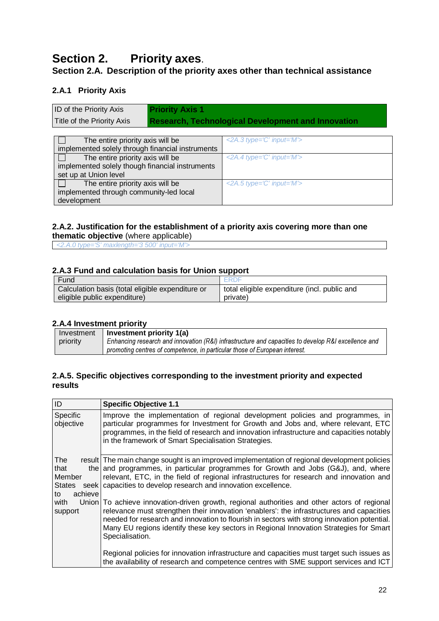# **Section 2. Priority axes**.

## **Section 2.A. Description of the priority axes other than technical assistance**

## **2.A.1 Priority Axis**

| <b>ID of the Priority Axis</b> | <b>Priority Axis 1</b>                                    |
|--------------------------------|-----------------------------------------------------------|
| Title of the Priority Axis     | <b>Research, Technological Development and Innovation</b> |

| The entire priority axis will be                 | $\langle$ 2A.3 type= $\hat{C}'$ input= $M'$ > |
|--------------------------------------------------|-----------------------------------------------|
| implemented solely through financial instruments |                                               |
| The entire priority axis will be                 | $\leq$ 2A.4 type='C' input='M'>               |
| implemented solely though financial instruments  |                                               |
| set up at Union level                            |                                               |
| The entire priority axis will be                 | $\leq$ 2A.5 type='C' input='M'>               |
| implemented through community-led local          |                                               |
| development                                      |                                               |

#### **2.A.2. Justification for the establishment of a priority axis covering more than one thematic objective** (where applicable)

<2.A.0 type='S' maxlength='3 500' input='M'>

#### **2.A.3 Fund and calculation basis for Union support**

| Fund                                             | <b>ERDE</b>                                  |
|--------------------------------------------------|----------------------------------------------|
| Calculation basis (total eligible expenditure or | total eligible expenditure (incl. public and |
| eligible public expenditure)                     | private)                                     |

#### **2.A.4 Investment priority**

| Investment | Investment priority 1(a)                                                                            |
|------------|-----------------------------------------------------------------------------------------------------|
| priority   | Enhancing research and innovation (R&I) infrastructure and capacities to develop R&I excellence and |
|            | promoting centres of competence, in particular those of European interest.                          |

#### **2.A.5. Specific objectives corresponding to the investment priority and expected results**

| ID                                                      | <b>Specific Objective 1.1</b>                                                                                                                                                                                                                                                                                                                                                                         |
|---------------------------------------------------------|-------------------------------------------------------------------------------------------------------------------------------------------------------------------------------------------------------------------------------------------------------------------------------------------------------------------------------------------------------------------------------------------------------|
| <b>Specific</b><br>objective                            | Improve the implementation of regional development policies and programmes, in<br>particular programmes for Investment for Growth and Jobs and, where relevant, ETC<br>programmes, in the field of research and innovation infrastructure and capacities notably<br>in the framework of Smart Specialisation Strategies.                                                                              |
| The<br>that<br>Member<br><b>States</b><br>achieve<br>to | result The main change sought is an improved implementation of regional development policies<br>the and programmes, in particular programmes for Growth and Jobs (G&J), and, where<br>relevant, ETC, in the field of regional infrastructures for research and innovation and<br>seek   capacities to develop research and innovation excellence.                                                     |
| with<br>support                                         | Union To achieve innovation-driven growth, regional authorities and other actors of regional<br>relevance must strengthen their innovation 'enablers': the infrastructures and capacities<br>needed for research and innovation to flourish in sectors with strong innovation potential.<br>Many EU regions identify these key sectors in Regional Innovation Strategies for Smart<br>Specialisation. |
|                                                         | Regional policies for innovation infrastructure and capacities must target such issues as<br>the availability of research and competence centres with SME support services and ICT                                                                                                                                                                                                                    |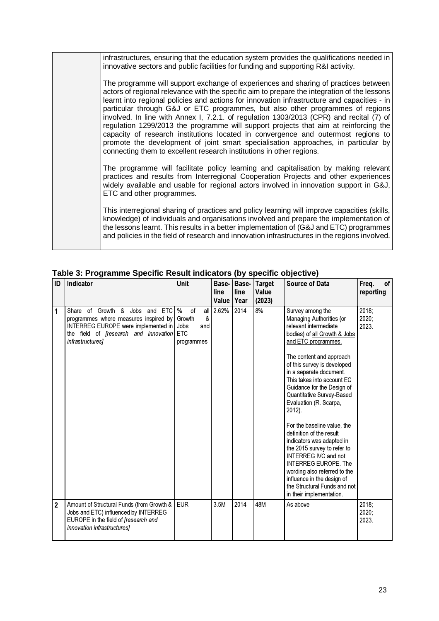infrastructures, ensuring that the education system provides the qualifications needed in innovative sectors and public facilities for funding and supporting R&I activity.

The programme will support exchange of experiences and sharing of practices between actors of regional relevance with the specific aim to prepare the integration of the lessons learnt into regional policies and actions for innovation infrastructure and capacities - in particular through G&J or ETC programmes, but also other programmes of regions involved. In line with Annex I, 7.2.1. of regulation 1303/2013 (CPR) and recital (7) of regulation 1299/2013 the programme will support projects that aim at reinforcing the capacity of research institutions located in convergence and outermost regions to promote the development of joint smart specialisation approaches, in particular by connecting them to excellent research institutions in other regions.

The programme will facilitate policy learning and capitalisation by making relevant practices and results from Interregional Cooperation Projects and other experiences widely available and usable for regional actors involved in innovation support in G&J, ETC and other programmes.

This interregional sharing of practices and policy learning will improve capacities (skills, knowledge) of individuals and organisations involved and prepare the implementation of the lessons learnt. This results in a better implementation of (G&J and ETC) programmes and policies in the field of research and innovation infrastructures in the regions involved.

| ID             | Indicator                                                                                                                                                                                          | Unit                                        | Base-<br>line<br>Value | Base-<br>line<br>Year | <b>Target</b><br>Value<br>(2023) | <b>Source of Data</b>                                                                                                                                                                                                                                                                                                                                                                                                                                                                                                                                                                                                                                             | Freq.<br>of<br>reporting   |
|----------------|----------------------------------------------------------------------------------------------------------------------------------------------------------------------------------------------------|---------------------------------------------|------------------------|-----------------------|----------------------------------|-------------------------------------------------------------------------------------------------------------------------------------------------------------------------------------------------------------------------------------------------------------------------------------------------------------------------------------------------------------------------------------------------------------------------------------------------------------------------------------------------------------------------------------------------------------------------------------------------------------------------------------------------------------------|----------------------------|
| 1              | Share of Growth & Jobs and ETC<br>programmes where measures inspired by<br>INTERREG EUROPE were implemented in Jobs<br>the field of <i>[research and innovation</i> ETC<br><i>infrastructures]</i> | %<br>of<br>&<br>Growth<br>and<br>programmes | all 2.62%              | 2014                  | 8%                               | Survey among the<br>Managing Authorities (or<br>relevant intermediate<br>bodies) of all Growth & Jobs<br>and ETC programmes.<br>The content and approach<br>of this survey is developed<br>in a separate document.<br>This takes into account EC<br>Guidance for the Design of<br>Quantitative Survey-Based<br>Evaluation (R. Scarpa,<br>$2012$ ).<br>For the baseline value, the<br>definition of the result<br>indicators was adapted in<br>the 2015 survey to refer to<br><b>INTERREG IVC and not</b><br><b>INTERREG EUROPE, The</b><br>wording also referred to the<br>influence in the design of<br>the Structural Funds and not<br>in their implementation. | $2018$ ;<br>2020;<br>2023. |
| $\overline{2}$ | Amount of Structural Funds (from Growth &<br>Jobs and ETC) influenced by INTERREG<br>EUROPE in the field of [research and<br>innovation infrastructures]                                           | <b>EUR</b>                                  | 3.5M                   | 2014                  | <b>48M</b>                       | As above                                                                                                                                                                                                                                                                                                                                                                                                                                                                                                                                                                                                                                                          | 2018;<br>2020;<br>2023.    |

#### **Table 3: Programme Specific Result indicators (by specific objective)**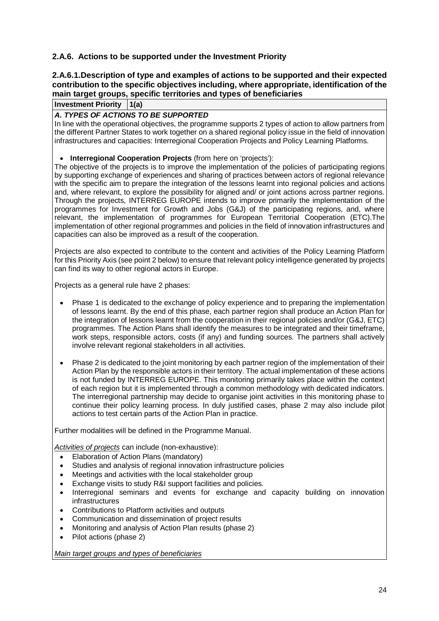#### **2.A.6. Actions to be supported under the Investment Priority**

#### **2.A.6.1.Description of type and examples of actions to be supported and their expected contribution to the specific objectives including, where appropriate, identification of the main target groups, specific territories and types of beneficiaries**

**Investment Priority 1(a)**

#### **A. TYPES OF ACTIONS TO BE SUPPORTED**

In line with the operational objectives, the programme supports 2 types of action to allow partners from the different Partner States to work together on a shared regional policy issue in the field of innovation infrastructures and capacities: Interregional Cooperation Projects and Policy Learning Platforms.

#### • **Interregional Cooperation Projects** (from here on 'projects'):

The objective of the projects is to improve the implementation of the policies of participating regions by supporting exchange of experiences and sharing of practices between actors of regional relevance with the specific aim to prepare the integration of the lessons learnt into regional policies and actions and, where relevant, to explore the possibility for aligned and/ or joint actions across partner regions. Through the projects, INTERREG EUROPE intends to improve primarily the implementation of the programmes for Investment for Growth and Jobs (G&J) of the participating regions, and, where relevant, the implementation of programmes for European Territorial Cooperation (ETC).The implementation of other regional programmes and policies in the field of innovation infrastructures and capacities can also be improved as a result of the cooperation.

Projects are also expected to contribute to the content and activities of the Policy Learning Platform for this Priority Axis (see point 2 below) to ensure that relevant policy intelligence generated by projects can find its way to other regional actors in Europe.

Projects as a general rule have 2 phases:

- Phase 1 is dedicated to the exchange of policy experience and to preparing the implementation of lessons learnt. By the end of this phase, each partner region shall produce an Action Plan for the integration of lessons learnt from the cooperation in their regional policies and/or (G&J, ETC) programmes. The Action Plans shall identify the measures to be integrated and their timeframe, work steps, responsible actors, costs (if any) and funding sources. The partners shall actively involve relevant regional stakeholders in all activities.
- Phase 2 is dedicated to the joint monitoring by each partner region of the implementation of their Action Plan by the responsible actors in their territory. The actual implementation of these actions is not funded by INTERREG EUROPE. This monitoring primarily takes place within the context of each region but it is implemented through a common methodology with dedicated indicators. The interregional partnership may decide to organise joint activities in this monitoring phase to continue their policy learning process. In duly justified cases, phase 2 may also include pilot actions to test certain parts of the Action Plan in practice.

Further modalities will be defined in the Programme Manual.

Activities of projects can include (non-exhaustive):

- Elaboration of Action Plans (mandatory)
- Studies and analysis of regional innovation infrastructure policies
- Meetings and activities with the local stakeholder group
- Exchange visits to study R&I support facilities and policies.
- Interregional seminars and events for exchange and capacity building on innovation infrastructures
- Contributions to Platform activities and outputs
- Communication and dissemination of project results
- Monitoring and analysis of Action Plan results (phase 2)
- Pilot actions (phase 2)

Main target groups and types of beneficiaries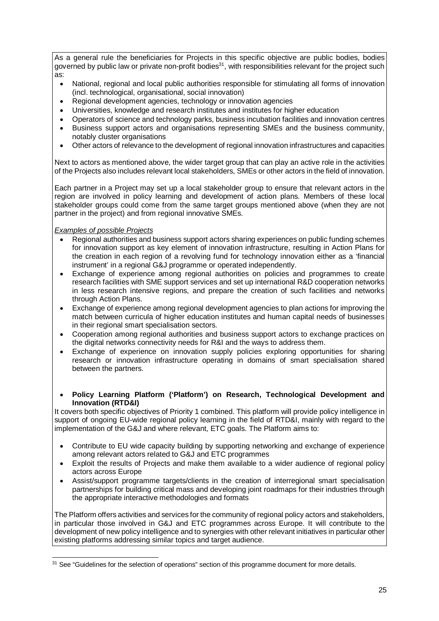As a general rule the beneficiaries for Projects in this specific objective are public bodies, bodies governed by public law or private non-profit bodies<sup>31</sup>, with responsibilities relevant for the project such as:

- National, regional and local public authorities responsible for stimulating all forms of innovation (incl. technological, organisational, social innovation)
- Regional development agencies, technology or innovation agencies
- Universities, knowledge and research institutes and institutes for higher education
- Operators of science and technology parks, business incubation facilities and innovation centres
- Business support actors and organisations representing SMEs and the business community, notably cluster organisations
- Other actors of relevance to the development of regional innovation infrastructures and capacities

Next to actors as mentioned above, the wider target group that can play an active role in the activities of the Projects also includes relevant local stakeholders, SMEs or other actors in the field of innovation.

Each partner in a Project may set up a local stakeholder group to ensure that relevant actors in the region are involved in policy learning and development of action plans. Members of these local stakeholder groups could come from the same target groups mentioned above (when they are not partner in the project) and from regional innovative SMEs.

#### Examples of possible Projects

l

- Regional authorities and business support actors sharing experiences on public funding schemes for innovation support as key element of innovation infrastructure, resulting in Action Plans for the creation in each region of a revolving fund for technology innovation either as a 'financial instrument' in a regional G&J programme or operated independently.
- Exchange of experience among regional authorities on policies and programmes to create research facilities with SME support services and set up international R&D cooperation networks in less research intensive regions, and prepare the creation of such facilities and networks through Action Plans.
- Exchange of experience among regional development agencies to plan actions for improving the match between curricula of higher education institutes and human capital needs of businesses in their regional smart specialisation sectors.
- Cooperation among regional authorities and business support actors to exchange practices on the digital networks connectivity needs for R&I and the ways to address them.
- Exchange of experience on innovation supply policies exploring opportunities for sharing research or innovation infrastructure operating in domains of smart specialisation shared between the partners.
- **Policy Learning Platform ('Platform') on Research, Technological Development and Innovation (RTD&I)**

It covers both specific objectives of Priority 1 combined. This platform will provide policy intelligence in support of ongoing EU-wide regional policy learning in the field of RTD&I, mainly with regard to the implementation of the G&J and where relevant, ETC goals. The Platform aims to:

- Contribute to EU wide capacity building by supporting networking and exchange of experience among relevant actors related to G&J and ETC programmes
- Exploit the results of Projects and make them available to a wider audience of regional policy actors across Europe
- Assist/support programme targets/clients in the creation of interregional smart specialisation partnerships for building critical mass and developing joint roadmaps for their industries through the appropriate interactive methodologies and formats

The Platform offers activities and services for the community of regional policy actors and stakeholders, in particular those involved in G&J and ETC programmes across Europe. It will contribute to the development of new policy intelligence and to synergies with other relevant initiatives in particular other existing platforms addressing similar topics and target audience.

<sup>&</sup>lt;sup>31</sup> See "Guidelines for the selection of operations" section of this programme document for more details.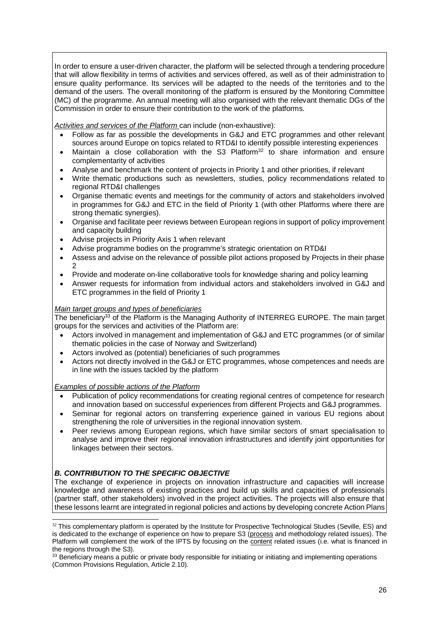In order to ensure a user-driven character, the platform will be selected through a tendering procedure that will allow flexibility in terms of activities and services offered, as well as of their administration to ensure quality performance. Its services will be adapted to the needs of the territories and to the demand of the users. The overall monitoring of the platform is ensured by the Monitoring Committee (MC) of the programme. An annual meeting will also organised with the relevant thematic DGs of the Commission in order to ensure their contribution to the work of the platforms.

Activities and services of the Platform can include (non-exhaustive):

- Follow as far as possible the developments in G&J and ETC programmes and other relevant sources around Europe on topics related to RTD&I to identify possible interesting experiences
- Maintain a close collaboration with the S3 Platform $3^2$  to share information and ensure complementarity of activities
- Analyse and benchmark the content of projects in Priority 1 and other priorities, if relevant
- Write thematic productions such as newsletters, studies, policy recommendations related to regional RTD&I challenges
- Organise thematic events and meetings for the community of actors and stakeholders involved in programmes for G&J and ETC in the field of Priority 1 (with other Platforms where there are strong thematic synergies).
- Organise and facilitate peer reviews between European regions in support of policy improvement and capacity building
- Advise projects in Priority Axis 1 when relevant
- Advise programme bodies on the programme's strategic orientation on RTD&I
- Assess and advise on the relevance of possible pilot actions proposed by Projects in their phase  $\mathcal{L}$
- Provide and moderate on-line collaborative tools for knowledge sharing and policy learning
- Answer requests for information from individual actors and stakeholders involved in G&J and ETC programmes in the field of Priority 1

#### Main target groups and types of beneficiaries

The beneficiary<sup>33</sup> of the Platform is the Managing Authority of INTERREG EUROPE. The main target groups for the services and activities of the Platform are:

- Actors involved in management and implementation of G&J and ETC programmes (or of similar thematic policies in the case of Norway and Switzerland)
- Actors involved as (potential) beneficiaries of such programmes
- Actors not directly involved in the G&J or ETC programmes, whose competences and needs are in line with the issues tackled by the platform

#### Examples of possible actions of the Platform

- Publication of policy recommendations for creating regional centres of competence for research and innovation based on successful experiences from different Projects and G&J programmes.
- Seminar for regional actors on transferring experience gained in various EU regions about strengthening the role of universities in the regional innovation system.
- Peer reviews among European regions, which have similar sectors of smart specialisation to analyse and improve their regional innovation infrastructures and identify joint opportunities for linkages between their sectors.

#### **B. CONTRIBUTION TO THE SPECIFIC OBJECTIVE**

The exchange of experience in projects on innovation infrastructure and capacities will increase knowledge and awareness of existing practices and build up skills and capacities of professionals (partner staff, other stakeholders) involved in the project activities. The projects will also ensure that these lessons learnt are integrated in regional policies and actions by developing concrete Action Plans

l  $32$  This complementary platform is operated by the Institute for Prospective Technological Studies (Seville, ES) and is dedicated to the exchange of experience on how to prepare S3 (process and methodology related issues). The Platform will complement the work of the IPTS by focusing on the content related issues (i.e. what is financed in the regions through the S3).

<sup>&</sup>lt;sup>33</sup> Beneficiary means a public or private body responsible for initiating or initiating and implementing operations (Common Provisions Regulation, Article 2.10).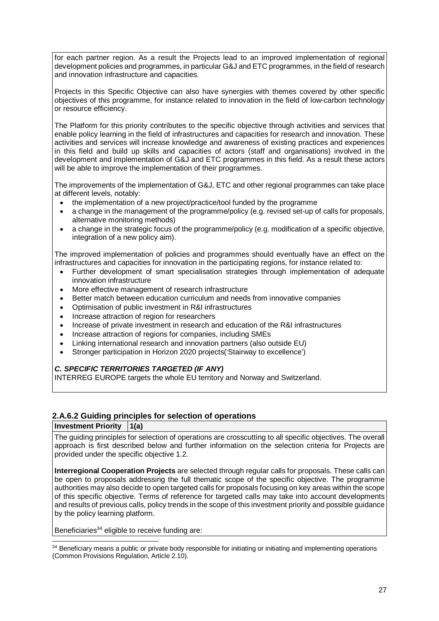for each partner region. As a result the Projects lead to an improved implementation of regional development policies and programmes, in particular G&J and ETC programmes, in the field of research and innovation infrastructure and capacities.

Projects in this Specific Objective can also have synergies with themes covered by other specific objectives of this programme, for instance related to innovation in the field of low-carbon technology or resource efficiency.

The Platform for this priority contributes to the specific objective through activities and services that enable policy learning in the field of infrastructures and capacities for research and innovation. These activities and services will increase knowledge and awareness of existing practices and experiences in this field and build up skills and capacities of actors (staff and organisations) involved in the development and implementation of G&J and ETC programmes in this field. As a result these actors will be able to improve the implementation of their programmes.

The improvements of the implementation of G&J, ETC and other regional programmes can take place at different levels, notably:

- the implementation of a new project/practice/tool funded by the programme
- a change in the management of the programme/policy (e.g. revised set-up of calls for proposals, alternative monitoring methods)
- a change in the strategic focus of the programme/policy (e.g. modification of a specific objective, integration of a new policy aim).

The improved implementation of policies and programmes should eventually have an effect on the infrastructures and capacities for innovation in the participating regions, for instance related to:

- Further development of smart specialisation strategies through implementation of adequate innovation infrastructure
- More effective management of research infrastructure
- Better match between education curriculum and needs from innovative companies
- Optimisation of public investment in R&I infrastructures
- Increase attraction of region for researchers
- Increase of private investment in research and education of the R&I infrastructures
- Increase attraction of regions for companies, including SMEs
- Linking international research and innovation partners (also outside EU)
- Stronger participation in Horizon 2020 projects('Stairway to excellence')

#### **C. SPECIFIC TERRITORIES TARGETED (IF ANY)**

INTERREG EUROPE targets the whole EU territory and Norway and Switzerland.

#### **2.A.6.2 Guiding principles for selection of operations**

#### **Investment Priority 1(a)**

l

The guiding principles for selection of operations are crosscutting to all specific objectives. The overall approach is first described below and further information on the selection criteria for Projects are provided under the specific objective 1.2.

**Interregional Cooperation Projects** are selected through regular calls for proposals. These calls can be open to proposals addressing the full thematic scope of the specific objective. The programme authorities may also decide to open targeted calls for proposals focusing on key areas within the scope of this specific objective. Terms of reference for targeted calls may take into account developments and results of previous calls, policy trends in the scope of this investment priority and possible guidance by the policy learning platform.

Beneficiaries<sup>34</sup> eligible to receive funding are:

<sup>&</sup>lt;sup>34</sup> Beneficiary means a public or private body responsible for initiating or initiating and implementing operations (Common Provisions Regulation, Article 2.10).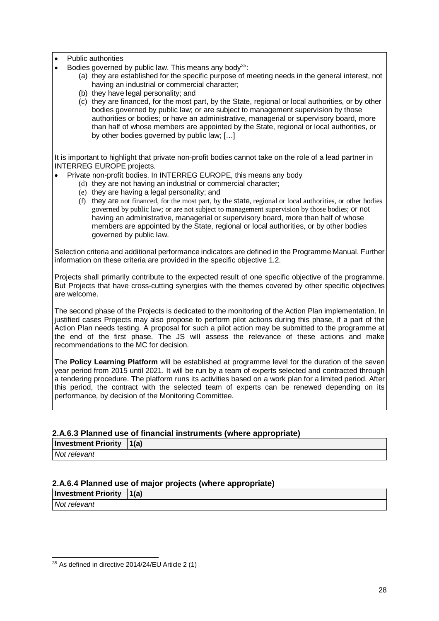- Public authorities
- Bodies governed by public law. This means any body<sup>35</sup>:
	- (a) they are established for the specific purpose of meeting needs in the general interest, not having an industrial or commercial character;
	- (b) they have legal personality; and
	- (c) they are financed, for the most part, by the State, regional or local authorities, or by other bodies governed by public law; or are subject to management supervision by those authorities or bodies; or have an administrative, managerial or supervisory board, more than half of whose members are appointed by the State, regional or local authorities, or by other bodies governed by public law; […]

It is important to highlight that private non-profit bodies cannot take on the role of a lead partner in INTERREG EUROPE projects.

- Private non-profit bodies. In INTERREG EUROPE, this means any body
	- (d) they are not having an industrial or commercial character;
	- (e) they are having a legal personality; and
	- (f) they are not financed, for the most part, by the state, regional or local authorities, or other bodies governed by public law; or are not subject to management supervision by those bodies; or not having an administrative, managerial or supervisory board, more than half of whose members are appointed by the State, regional or local authorities, or by other bodies governed by public law.

Selection criteria and additional performance indicators are defined in the Programme Manual. Further information on these criteria are provided in the specific objective 1.2.

Projects shall primarily contribute to the expected result of one specific objective of the programme. But Projects that have cross-cutting synergies with the themes covered by other specific objectives are welcome.

The second phase of the Projects is dedicated to the monitoring of the Action Plan implementation. In justified cases Projects may also propose to perform pilot actions during this phase, if a part of the Action Plan needs testing. A proposal for such a pilot action may be submitted to the programme at the end of the first phase. The JS will assess the relevance of these actions and make recommendations to the MC for decision.

The **Policy Learning Platform** will be established at programme level for the duration of the seven year period from 2015 until 2021. It will be run by a team of experts selected and contracted through a tendering procedure. The platform runs its activities based on a work plan for a limited period. After this period, the contract with the selected team of experts can be renewed depending on its performance, by decision of the Monitoring Committee.

#### **2.A.6.3 Planned use of financial instruments (where appropriate)**

## **Investment Priority 1(a)**

Not relevant

#### **2.A.6.4 Planned use of major projects (where appropriate)**

**Investment Priority 1(a)**

Not relevant

l 35 As defined in directive 2014/24/EU Article 2 (1)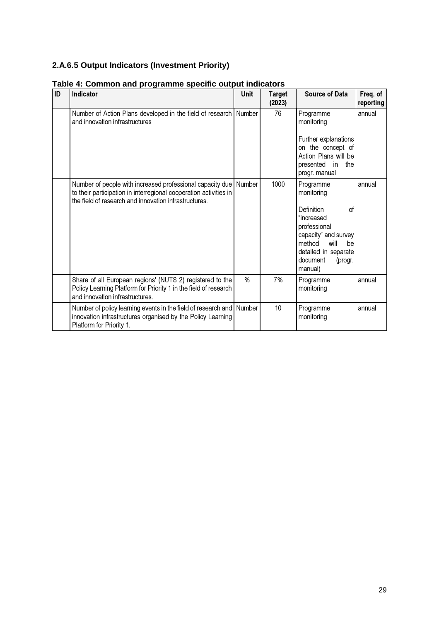# **2.A.6.5 Output Indicators (Investment Priority)**

| ID | <b>Indicator</b>                                                                                                                                                                               | Unit   | <b>Target</b><br>(2023) | <b>Source of Data</b>                                                                                                                                                               | Freq. of<br>reporting |
|----|------------------------------------------------------------------------------------------------------------------------------------------------------------------------------------------------|--------|-------------------------|-------------------------------------------------------------------------------------------------------------------------------------------------------------------------------------|-----------------------|
|    | Number of Action Plans developed in the field of research<br>and innovation infrastructures                                                                                                    | Number | 76                      | Programme<br>monitoring<br>Further explanations<br>on the concept of<br>Action Plans will be<br>presented<br>in<br>the<br>progr. manual                                             | annual                |
|    | Number of people with increased professional capacity due Number<br>to their participation in interregional cooperation activities in<br>the field of research and innovation infrastructures. |        | 1000                    | Programme<br>monitoring<br>Definition<br>οf<br>"increased<br>professional<br>capacity" and survey<br>method<br>will<br>be<br>detailed in separate<br>document<br>(progr.<br>manual) | annual                |
|    | Share of all European regions' (NUTS 2) registered to the<br>Policy Learning Platform for Priority 1 in the field of research<br>and innovation infrastructures.                               | %      | 7%                      | Programme<br>monitoring                                                                                                                                                             | annual                |
|    | Number of policy learning events in the field of research and Number<br>innovation infrastructures organised by the Policy Learning<br>Platform for Priority 1.                                |        | 10                      | Programme<br>monitoring                                                                                                                                                             | annual                |

#### **Table 4: Common and programme specific output indicators**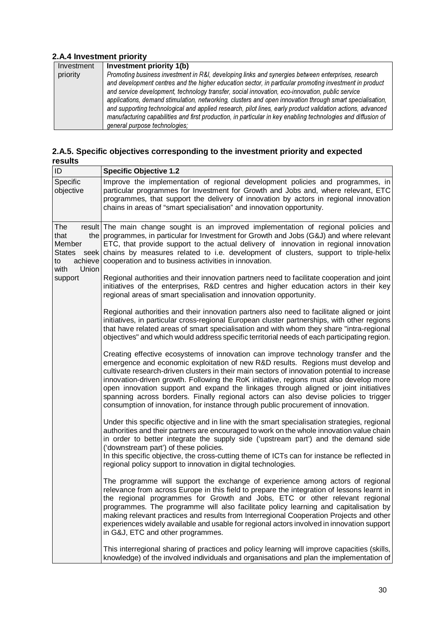#### **2.A.4 Investment priority**

| Investment | Investment priority 1(b)                                                                                     |
|------------|--------------------------------------------------------------------------------------------------------------|
| priority   | Promoting business investment in R&I, developing links and synergies between enterprises, research           |
|            | and development centres and the higher education sector, in particular promoting investment in product       |
|            | and service development, technology transfer, social innovation, eco-innovation, public service              |
|            | applications, demand stimulation, networking, clusters and open innovation through smart specialisation,     |
|            | and supporting technological and applied research, pilot lines, early product validation actions, advanced   |
|            | manufacturing capabilities and first production, in particular in key enabling technologies and diffusion of |
|            | general purpose technologies;                                                                                |

#### **2.A.5. Specific objectives corresponding to the investment priority and expected results**

| ID                                                                       | <b>Specific Objective 1.2</b>                                                                                                                                                                                                                                                                                                                                                                                                                                                                                                                                                                                                          |
|--------------------------------------------------------------------------|----------------------------------------------------------------------------------------------------------------------------------------------------------------------------------------------------------------------------------------------------------------------------------------------------------------------------------------------------------------------------------------------------------------------------------------------------------------------------------------------------------------------------------------------------------------------------------------------------------------------------------------|
| Specific<br>objective                                                    | Improve the implementation of regional development policies and programmes, in<br>particular programmes for Investment for Growth and Jobs and, where relevant, ETC<br>programmes, that support the delivery of innovation by actors in regional innovation<br>chains in areas of "smart specialisation" and innovation opportunity.                                                                                                                                                                                                                                                                                                   |
| The<br>that<br>Member<br><b>States</b><br>to<br>with<br>Union<br>support | result The main change sought is an improved implementation of regional policies and<br>the programmes, in particular for Investment for Growth and Jobs (G&J) and where relevant<br>ETC, that provide support to the actual delivery of innovation in regional innovation<br>seek chains by measures related to i.e. development of clusters, support to triple-helix<br>achieve cooperation and to business activities in innovation.                                                                                                                                                                                                |
|                                                                          | Regional authorities and their innovation partners need to facilitate cooperation and joint<br>initiatives of the enterprises, R&D centres and higher education actors in their key<br>regional areas of smart specialisation and innovation opportunity.                                                                                                                                                                                                                                                                                                                                                                              |
|                                                                          | Regional authorities and their innovation partners also need to facilitate aligned or joint<br>initiatives, in particular cross-regional European cluster partnerships, with other regions<br>that have related areas of smart specialisation and with whom they share "intra-regional<br>objectives" and which would address specific territorial needs of each participating region.                                                                                                                                                                                                                                                 |
|                                                                          | Creating effective ecosystems of innovation can improve technology transfer and the<br>emergence and economic exploitation of new R&D results. Regions must develop and<br>cultivate research-driven clusters in their main sectors of innovation potential to increase<br>innovation-driven growth. Following the RoK initiative, regions must also develop more<br>open innovation support and expand the linkages through aligned or joint initiatives<br>spanning across borders. Finally regional actors can also devise policies to trigger<br>consumption of innovation, for instance through public procurement of innovation. |
|                                                                          | Under this specific objective and in line with the smart specialisation strategies, regional<br>authorities and their partners are encouraged to work on the whole innovation value chain<br>in order to better integrate the supply side ('upstream part') and the demand side<br>('downstream part') of these policies.<br>In this specific objective, the cross-cutting theme of ICTs can for instance be reflected in<br>regional policy support to innovation in digital technologies.                                                                                                                                            |
|                                                                          | The programme will support the exchange of experience among actors of regional<br>relevance from across Europe in this field to prepare the integration of lessons learnt in<br>the regional programmes for Growth and Jobs, ETC or other relevant regional<br>programmes. The programme will also facilitate policy learning and capitalisation by<br>making relevant practices and results from Interregional Cooperation Projects and other<br>experiences widely available and usable for regional actors involved in innovation support<br>in G&J, ETC and other programmes.                                                      |
|                                                                          | This interregional sharing of practices and policy learning will improve capacities (skills,<br>knowledge) of the involved individuals and organisations and plan the implementation of                                                                                                                                                                                                                                                                                                                                                                                                                                                |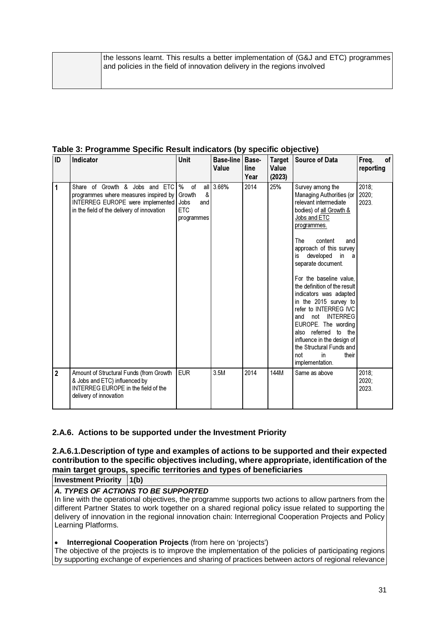**Table 3: Programme Specific Result indicators (by specific objective)** 

| ID             | Indicator                                                                                                                                                 | <b>Unit</b>                                                       | <b>Base-line   Base-</b><br>Value | line<br>Year | <b>Target</b><br>Value<br>(2023) | <b>Source of Data</b>                                                                                                                                                                                                                                                                                                  | Freq.<br>of<br>reporting |
|----------------|-----------------------------------------------------------------------------------------------------------------------------------------------------------|-------------------------------------------------------------------|-----------------------------------|--------------|----------------------------------|------------------------------------------------------------------------------------------------------------------------------------------------------------------------------------------------------------------------------------------------------------------------------------------------------------------------|--------------------------|
| 1              | Share of Growth & Jobs and ETC<br>programmes where measures inspired by<br>INTERREG EUROPE were implemented<br>in the field of the delivery of innovation | %<br>of<br>&<br>Growth<br>Jobs<br>and<br><b>ETC</b><br>programmes | all 3.66%                         | 2014         | 25%                              | Survey among the<br>Managing Authorities (or<br>relevant intermediate<br>bodies) of all Growth &<br>Jobs and ETC<br>programmes.<br>content<br>The<br>and                                                                                                                                                               | 2018;<br>2020:<br>2023.  |
|                |                                                                                                                                                           |                                                                   |                                   |              |                                  | approach of this survey<br>developed<br>in<br>is<br>a<br>separate document.                                                                                                                                                                                                                                            |                          |
|                |                                                                                                                                                           |                                                                   |                                   |              |                                  | For the baseline value.<br>the definition of the result<br>indicators was adapted<br>in the 2015 survey to<br>refer to INTERREG IVC<br><b>INTERREG</b><br>not<br>and<br>EUROPE. The wording<br>also referred to the<br>influence in the design of<br>the Structural Funds and<br>not<br>in<br>their<br>implementation. |                          |
| $\overline{2}$ | Amount of Structural Funds (from Growth<br>& Jobs and ETC) influenced by<br><b>INTERREG EUROPE in the field of the</b><br>delivery of innovation          | <b>EUR</b>                                                        | 3.5M                              | 2014         | 144M                             | Same as above                                                                                                                                                                                                                                                                                                          | 2018;<br>2020;<br>2023.  |

#### **2.A.6. Actions to be supported under the Investment Priority**

#### **2.A.6.1.Description of type and examples of actions to be supported and their expected contribution to the specific objectives including, where appropriate, identification of the main target groups, specific territories and types of beneficiaries**

**Investment Priority 1(b)**

#### **A. TYPES OF ACTIONS TO BE SUPPORTED**

In line with the operational objectives, the programme supports two actions to allow partners from the different Partner States to work together on a shared regional policy issue related to supporting the delivery of innovation in the regional innovation chain: Interregional Cooperation Projects and Policy Learning Platforms.

#### **Interregional Cooperation Projects** (from here on 'projects')

The objective of the projects is to improve the implementation of the policies of participating regions by supporting exchange of experiences and sharing of practices between actors of regional relevance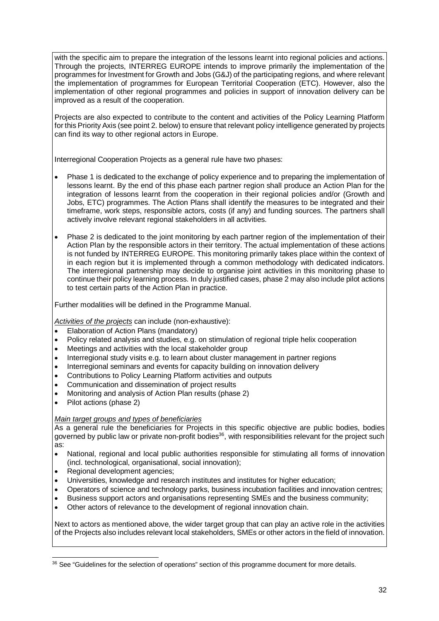with the specific aim to prepare the integration of the lessons learnt into regional policies and actions. Through the projects, INTERREG EUROPE intends to improve primarily the implementation of the programmes for Investment for Growth and Jobs (G&J) of the participating regions, and where relevant the implementation of programmes for European Territorial Cooperation (ETC). However, also the implementation of other regional programmes and policies in support of innovation delivery can be improved as a result of the cooperation.

Projects are also expected to contribute to the content and activities of the Policy Learning Platform for this Priority Axis (see point 2. below) to ensure that relevant policy intelligence generated by projects can find its way to other regional actors in Europe.

Interregional Cooperation Projects as a general rule have two phases:

- Phase 1 is dedicated to the exchange of policy experience and to preparing the implementation of lessons learnt. By the end of this phase each partner region shall produce an Action Plan for the integration of lessons learnt from the cooperation in their regional policies and/or (Growth and Jobs, ETC) programmes. The Action Plans shall identify the measures to be integrated and their timeframe, work steps, responsible actors, costs (if any) and funding sources. The partners shall actively involve relevant regional stakeholders in all activities.
- Phase 2 is dedicated to the joint monitoring by each partner region of the implementation of their Action Plan by the responsible actors in their territory. The actual implementation of these actions is not funded by INTERREG EUROPE. This monitoring primarily takes place within the context of in each region but it is implemented through a common methodology with dedicated indicators. The interregional partnership may decide to organise joint activities in this monitoring phase to continue their policy learning process. In duly justified cases, phase 2 may also include pilot actions to test certain parts of the Action Plan in practice.

Further modalities will be defined in the Programme Manual.

Activities of the projects can include (non-exhaustive):

- Elaboration of Action Plans (mandatory)
- Policy related analysis and studies, e.g. on stimulation of regional triple helix cooperation
- Meetings and activities with the local stakeholder group
- Interregional study visits e.g. to learn about cluster management in partner regions
- Interregional seminars and events for capacity building on innovation delivery
- Contributions to Policy Learning Platform activities and outputs
- Communication and dissemination of project results
- Monitoring and analysis of Action Plan results (phase 2)
- Pilot actions (phase 2)

l

#### Main target groups and types of beneficiaries

As a general rule the beneficiaries for Projects in this specific objective are public bodies, bodies governed by public law or private non-profit bodies<sup>36</sup>, with responsibilities relevant for the project such as:

- National, regional and local public authorities responsible for stimulating all forms of innovation (incl. technological, organisational, social innovation);
- Regional development agencies;
- Universities, knowledge and research institutes and institutes for higher education;
- Operators of science and technology parks, business incubation facilities and innovation centres;
- Business support actors and organisations representing SMEs and the business community;
- Other actors of relevance to the development of regional innovation chain.

Next to actors as mentioned above, the wider target group that can play an active role in the activities of the Projects also includes relevant local stakeholders, SMEs or other actors in the field of innovation.

<sup>&</sup>lt;sup>36</sup> See "Guidelines for the selection of operations" section of this programme document for more details.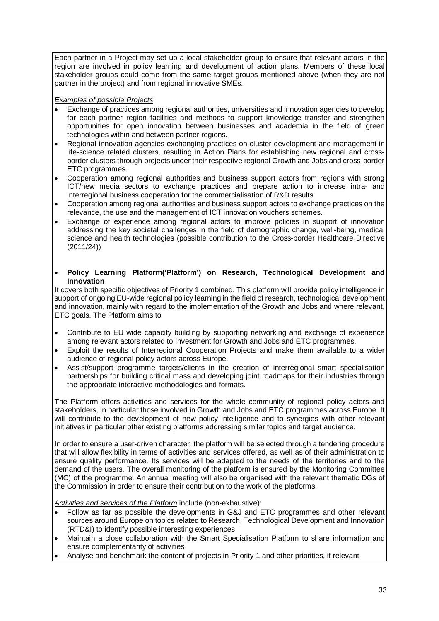Each partner in a Project may set up a local stakeholder group to ensure that relevant actors in the region are involved in policy learning and development of action plans. Members of these local stakeholder groups could come from the same target groups mentioned above (when they are not partner in the project) and from regional innovative SMEs.

#### **Examples of possible Projects**

- Exchange of practices among regional authorities, universities and innovation agencies to develop for each partner region facilities and methods to support knowledge transfer and strengthen opportunities for open innovation between businesses and academia in the field of green technologies within and between partner regions.
- Regional innovation agencies exchanging practices on cluster development and management in life-science related clusters, resulting in Action Plans for establishing new regional and crossborder clusters through projects under their respective regional Growth and Jobs and cross-border ETC programmes.
- Cooperation among regional authorities and business support actors from regions with strong ICT/new media sectors to exchange practices and prepare action to increase intra- and interregional business cooperation for the commercialisation of R&D results.
- Cooperation among regional authorities and business support actors to exchange practices on the relevance, the use and the management of ICT innovation vouchers schemes.
- Exchange of experience among regional actors to improve policies in support of innovation addressing the key societal challenges in the field of demographic change, well-being, medical science and health technologies (possible contribution to the Cross-border Healthcare Directive (2011/24))
- **Policy Learning Platform('Platform') on Research, Technological Development and Innovation**

It covers both specific objectives of Priority 1 combined. This platform will provide policy intelligence in support of ongoing EU-wide regional policy learning in the field of research, technological development and innovation, mainly with regard to the implementation of the Growth and Jobs and where relevant, ETC goals. The Platform aims to

- Contribute to EU wide capacity building by supporting networking and exchange of experience among relevant actors related to Investment for Growth and Jobs and ETC programmes.
- Exploit the results of Interregional Cooperation Projects and make them available to a wider audience of regional policy actors across Europe.
- Assist/support programme targets/clients in the creation of interregional smart specialisation partnerships for building critical mass and developing joint roadmaps for their industries through the appropriate interactive methodologies and formats.

The Platform offers activities and services for the whole community of regional policy actors and stakeholders, in particular those involved in Growth and Jobs and ETC programmes across Europe. It will contribute to the development of new policy intelligence and to synergies with other relevant initiatives in particular other existing platforms addressing similar topics and target audience.

In order to ensure a user-driven character, the platform will be selected through a tendering procedure that will allow flexibility in terms of activities and services offered, as well as of their administration to ensure quality performance. Its services will be adapted to the needs of the territories and to the demand of the users. The overall monitoring of the platform is ensured by the Monitoring Committee (MC) of the programme. An annual meeting will also be organised with the relevant thematic DGs of the Commission in order to ensure their contribution to the work of the platforms.

Activities and services of the Platform include (non-exhaustive):

- Follow as far as possible the developments in G&J and ETC programmes and other relevant sources around Europe on topics related to Research, Technological Development and Innovation (RTD&I) to identify possible interesting experiences
- Maintain a close collaboration with the Smart Specialisation Platform to share information and ensure complementarity of activities
- Analyse and benchmark the content of projects in Priority 1 and other priorities, if relevant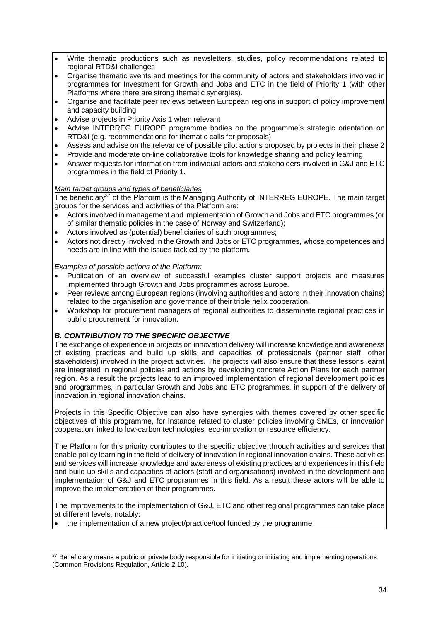- Write thematic productions such as newsletters, studies, policy recommendations related to regional RTD&I challenges
- Organise thematic events and meetings for the community of actors and stakeholders involved in programmes for Investment for Growth and Jobs and ETC in the field of Priority 1 (with other Platforms where there are strong thematic synergies).
- Organise and facilitate peer reviews between European regions in support of policy improvement and capacity building
- Advise projects in Priority Axis 1 when relevant
- Advise INTERREG EUROPE programme bodies on the programme's strategic orientation on RTD&I (e.g. recommendations for thematic calls for proposals)
- Assess and advise on the relevance of possible pilot actions proposed by projects in their phase 2
- Provide and moderate on-line collaborative tools for knowledge sharing and policy learning
- Answer requests for information from individual actors and stakeholders involved in G&J and ETC programmes in the field of Priority 1.

#### Main target groups and types of beneficiaries

The beneficiary<sup>37</sup> of the Platform is the Managing Authority of INTERREG EUROPE. The main target groups for the services and activities of the Platform are:

- Actors involved in management and implementation of Growth and Jobs and ETC programmes (or of similar thematic policies in the case of Norway and Switzerland);
- Actors involved as (potential) beneficiaries of such programmes;
- Actors not directly involved in the Growth and Jobs or ETC programmes, whose competences and needs are in line with the issues tackled by the platform.

#### Examples of possible actions of the Platform:

- Publication of an overview of successful examples cluster support projects and measures implemented through Growth and Jobs programmes across Europe.
- Peer reviews among European regions (involving authorities and actors in their innovation chains) related to the organisation and governance of their triple helix cooperation.
- Workshop for procurement managers of regional authorities to disseminate regional practices in public procurement for innovation.

#### **B. CONTRIBUTION TO THE SPECIFIC OBJECTIVE**

The exchange of experience in projects on innovation delivery will increase knowledge and awareness of existing practices and build up skills and capacities of professionals (partner staff, other stakeholders) involved in the project activities. The projects will also ensure that these lessons learnt are integrated in regional policies and actions by developing concrete Action Plans for each partner region. As a result the projects lead to an improved implementation of regional development policies and programmes, in particular Growth and Jobs and ETC programmes, in support of the delivery of innovation in regional innovation chains.

Projects in this Specific Objective can also have synergies with themes covered by other specific objectives of this programme, for instance related to cluster policies involving SMEs, or innovation cooperation linked to low-carbon technologies, eco-innovation or resource efficiency.

The Platform for this priority contributes to the specific objective through activities and services that enable policy learning in the field of delivery of innovation in regional innovation chains. These activities and services will increase knowledge and awareness of existing practices and experiences in this field and build up skills and capacities of actors (staff and organisations) involved in the development and implementation of G&J and ETC programmes in this field. As a result these actors will be able to improve the implementation of their programmes.

The improvements to the implementation of G&J, ETC and other regional programmes can take place at different levels, notably:

• the implementation of a new project/practice/tool funded by the programme

 $\overline{a}$ <sup>37</sup> Beneficiary means a public or private body responsible for initiating or initiating and implementing operations (Common Provisions Regulation, Article 2.10).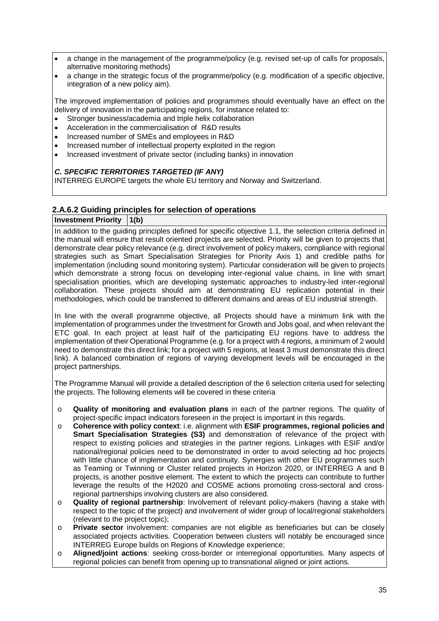- a change in the management of the programme/policy (e.g. revised set-up of calls for proposals, alternative monitoring methods)
- a change in the strategic focus of the programme/policy (e.g. modification of a specific objective, integration of a new policy aim).

The improved implementation of policies and programmes should eventually have an effect on the delivery of innovation in the participating regions, for instance related to:

- Stronger business/academia and triple helix collaboration
- Acceleration in the commercialisation of R&D results
- Increased number of SMEs and employees in R&D
- Increased number of intellectual property exploited in the region
- Increased investment of private sector (including banks) in innovation

#### **C. SPECIFIC TERRITORIES TARGETED (IF ANY)**

INTERREG EUROPE targets the whole EU territory and Norway and Switzerland.

#### **2.A.6.2 Guiding principles for selection of operations**

**Investment Priority 1(b)**

In addition to the guiding principles defined for specific objective 1.1, the selection criteria defined in the manual will ensure that result oriented projects are selected. Priority will be given to projects that demonstrate clear policy relevance (e.g. direct involvement of policy makers, compliance with regional strategies such as Smart Specialisation Strategies for Priority Axis 1) and credible paths for implementation (including sound monitoring system). Particular consideration will be given to projects which demonstrate a strong focus on developing inter-regional value chains, in line with smart specialisation priorities, which are developing systematic approaches to industry-led inter-regional collaboration. These projects should aim at demonstrating EU replication potential in their methodologies, which could be transferred to different domains and areas of EU industrial strength.

In line with the overall programme objective, all Projects should have a minimum link with the implementation of programmes under the Investment for Growth and Jobs goal, and when relevant the ETC goal. In each project at least half of the participating EU regions have to address the implementation of their Operational Programme (e.g. for a project with 4 regions, a minimum of 2 would need to demonstrate this direct link; for a project with 5 regions, at least 3 must demonstrate this direct link). A balanced combination of regions of varying development levels will be encouraged in the project partnerships.

The Programme Manual will provide a detailed description of the 6 selection criteria used for selecting the projects. The following elements will be covered in these criteria

- o **Quality of monitoring and evaluation plans** in each of the partner regions. The quality of project-specific impact indicators foreseen in the project is important in this regards.
- o **Coherence with policy context**: i.e. alignment with **ESIF programmes, regional policies and Smart Specialisation Strategies (S3)** and demonstration of relevance of the project with respect to existing policies and strategies in the partner regions. Linkages with ESIF and/or national/regional policies need to be demonstrated in order to avoid selecting ad hoc projects with little chance of implementation and continuity. Synergies with other EU programmes such as Teaming or Twinning or Cluster related projects in Horizon 2020, or INTERREG A and B projects, is another positive element. The extent to which the projects can contribute to further leverage the results of the H2020 and COSME actions promoting cross-sectoral and crossregional partnerships involving clusters are also considered.
- o **Quality of regional partnership**: Involvement of relevant policy-makers (having a stake with respect to the topic of the project) and involvement of wider group of local/regional stakeholders (relevant to the project topic);
- o **Private sector** involvement: companies are not eligible as beneficiaries but can be closely associated projects activities. Cooperation between clusters will notably be encouraged since INTERREG Europe builds on Regions of Knowledge experience;
- o **Aligned/joint actions**: seeking cross-border or interregional opportunities. Many aspects of regional policies can benefit from opening up to transnational aligned or joint actions.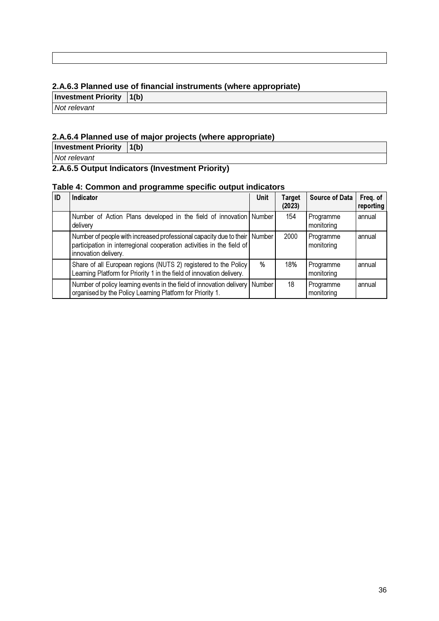#### **2.A.6.3 Planned use of financial instruments (where appropriate)**

**Investment Priority 1(b)**

Not relevant

## **2.A.6.4 Planned use of major projects (where appropriate)**

**Investment Priority 1(b)**

Not relevant

## **2.A.6.5 Output Indicators (Investment Priority)**

#### **Table 4: Common and programme specific output indicators**

| ID | <b>Indicator</b>                                                                                                                                                           | <b>Unit</b> | <b>Target</b><br>(2023) | <b>Source of Data</b>   | Freq. of<br>reporting |
|----|----------------------------------------------------------------------------------------------------------------------------------------------------------------------------|-------------|-------------------------|-------------------------|-----------------------|
|    | Number of Action Plans developed in the field of innovation Number<br>delivery                                                                                             |             | 154                     | Programme<br>monitoring | annual                |
|    | Number of people with increased professional capacity due to their Number<br>participation in interregional cooperation activities in the field of<br>innovation delivery. |             | 2000                    | Programme<br>monitoring | annual                |
|    | Share of all European regions (NUTS 2) registered to the Policy<br>Learning Platform for Priority 1 in the field of innovation delivery.                                   | %           | 18%                     | Programme<br>monitoring | annual                |
|    | Number of policy learning events in the field of innovation delivery<br>organised by the Policy Learning Platform for Priority 1.                                          | Number      | 18                      | Programme<br>monitoring | annual                |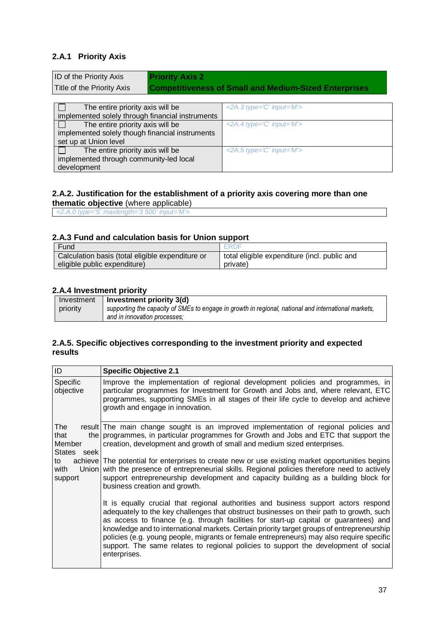### **2.A.1 Priority Axis**

| <b>ID of the Priority Axis</b>                   | <b>Priority Axis 2</b> |                                                              |
|--------------------------------------------------|------------------------|--------------------------------------------------------------|
| Title of the Priority Axis                       |                        | <b>Competitiveness of Small and Medium-Sized Enterprises</b> |
|                                                  |                        |                                                              |
| The entire priority axis will be                 |                        | $\leq$ 2A.3 type='C' input='M'>                              |
| implemented solely through financial instruments |                        |                                                              |

| implemented solely through financial instruments |                                 |
|--------------------------------------------------|---------------------------------|
| The entire priority axis will be                 | $\leq$ 2A.4 type='C' input='M'> |
| implemented solely though financial instruments  |                                 |
| set up at Union level                            |                                 |
| The entire priority axis will be                 | $\leq$ 2A.5 type='C' input='M'> |
| implemented through community-led local          |                                 |
| development                                      |                                 |

#### **2.A.2. Justification for the establishment of a priority axis covering more than one thematic objective** (where applicable)

<2.A.0 type='S' maxlength='3 500' input='M'>

#### **2.A.3 Fund and calculation basis for Union support**

| Fund                                             | ERDE                                         |
|--------------------------------------------------|----------------------------------------------|
| Calculation basis (total eligible expenditure or | total eligible expenditure (incl. public and |
| eligible public expenditure)                     | private)                                     |

#### **2.A.4 Investment priority**

| Investment | Investment priority $3(d)$                                                                           |
|------------|------------------------------------------------------------------------------------------------------|
| priority   | supporting the capacity of SMEs to engage in growth in regional, national and international markets, |
|            | and in innovation processes:                                                                         |

#### **2.A.5. Specific objectives corresponding to the investment priority and expected results**

| ID                                   | <b>Specific Objective 2.1</b>                                                                                                                                                                                                                                                                                                                                                                                                                                                                                                                                            |
|--------------------------------------|--------------------------------------------------------------------------------------------------------------------------------------------------------------------------------------------------------------------------------------------------------------------------------------------------------------------------------------------------------------------------------------------------------------------------------------------------------------------------------------------------------------------------------------------------------------------------|
| <b>Specific</b><br>objective         | Improve the implementation of regional development policies and programmes, in<br>particular programmes for Investment for Growth and Jobs and, where relevant, ETC<br>programmes, supporting SMEs in all stages of their life cycle to develop and achieve<br>growth and engage in innovation.                                                                                                                                                                                                                                                                          |
| The<br>that<br>Member<br>States seek | result The main change sought is an improved implementation of regional policies and<br>the programmes, in particular programmes for Growth and Jobs and ETC that support the<br>creation, development and growth of small and medium sized enterprises.                                                                                                                                                                                                                                                                                                                 |
| to<br>with<br>support                | achieve The potential for enterprises to create new or use existing market opportunities begins<br>Union with the presence of entrepreneurial skills. Regional policies therefore need to actively<br>support entrepreneurship development and capacity building as a building block for<br>business creation and growth.                                                                                                                                                                                                                                                |
|                                      | It is equally crucial that regional authorities and business support actors respond<br>adequately to the key challenges that obstruct businesses on their path to growth, such<br>as access to finance (e.g. through facilities for start-up capital or guarantees) and<br>knowledge and to international markets. Certain priority target groups of entrepreneurship<br>policies (e.g. young people, migrants or female entrepreneurs) may also require specific<br>support. The same relates to regional policies to support the development of social<br>enterprises. |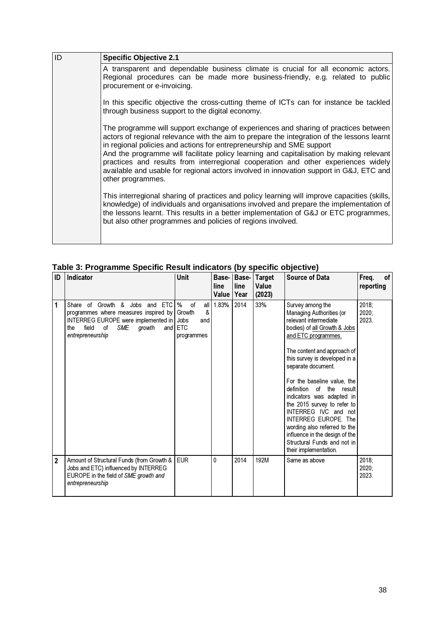| ID | <b>Specific Objective 2.1</b>                                                                                                                                                                                                                                                                                                                                                                                                                                                                                                                              |
|----|------------------------------------------------------------------------------------------------------------------------------------------------------------------------------------------------------------------------------------------------------------------------------------------------------------------------------------------------------------------------------------------------------------------------------------------------------------------------------------------------------------------------------------------------------------|
|    | A transparent and dependable business climate is crucial for all economic actors.<br>Regional procedures can be made more business-friendly, e.g. related to public<br>procurement or e-invoicing.                                                                                                                                                                                                                                                                                                                                                         |
|    | In this specific objective the cross-cutting theme of ICTs can for instance be tackled<br>through business support to the digital economy.                                                                                                                                                                                                                                                                                                                                                                                                                 |
|    | The programme will support exchange of experiences and sharing of practices between<br>actors of regional relevance with the aim to prepare the integration of the lessons learnt<br>in regional policies and actions for entrepreneurship and SME support<br>And the programme will facilitate policy learning and capitalisation by making relevant<br>practices and results from interregional cooperation and other experiences widely<br>available and usable for regional actors involved in innovation support in G&J, ETC and<br>other programmes. |
|    | This interregional sharing of practices and policy learning will improve capacities (skills,<br>knowledge) of individuals and organisations involved and prepare the implementation of<br>the lessons learnt. This results in a better implementation of G&J or ETC programmes,<br>but also other programmes and policies of regions involved.                                                                                                                                                                                                             |

**Table 3: Programme Specific Result indicators (by specific objective)**

| ID                      | Indicator                                                                                                                                                                                | <b>Unit</b>                                                   | line<br>Value | Base- Base-<br>line<br>Year | <b>Target</b><br>Value<br>(2023) | <b>Source of Data</b>                                                                                                                                                                                                                                                                                                                                                                                                                                                                                                      | Freq.<br>0f<br>reporting |
|-------------------------|------------------------------------------------------------------------------------------------------------------------------------------------------------------------------------------|---------------------------------------------------------------|---------------|-----------------------------|----------------------------------|----------------------------------------------------------------------------------------------------------------------------------------------------------------------------------------------------------------------------------------------------------------------------------------------------------------------------------------------------------------------------------------------------------------------------------------------------------------------------------------------------------------------------|--------------------------|
| $\mathbf{1}$            | Share of Growth & Jobs<br>and ETC<br>programmes where measures inspired by<br>INTERREG EUROPE were implemented in Jobs<br>field<br>οf<br><b>SME</b><br>growth<br>the<br>entrepreneurship | %<br>all<br>of<br>&<br>Growth<br>and<br>and ETC<br>programmes | 1.83%         | 2014                        | 33%                              | Survey among the<br>Managing Authorities (or<br>relevant intermediate<br>bodies) of all Growth & Jobs<br>and ETC programmes.<br>The content and approach of<br>this survey is developed in a<br>separate document.<br>For the baseline value, the<br>definition of the result<br>indicators was adapted in<br>the 2015 survey to refer to<br>INTERREG IVC and not<br><b>INTERREG EUROPE. The</b><br>wording also referred to the<br>influence in the design of the<br>Structural Funds and not in<br>their implementation. | 2018;<br>2020:<br>2023.  |
| $\overline{\mathbf{2}}$ | Amount of Structural Funds (from Growth &<br>Jobs and ETC) influenced by INTERREG<br>EUROPE in the field of SME growth and<br>entrepreneurship                                           | <b>EUR</b>                                                    | 0             | 2014                        | 192M                             | Same as above                                                                                                                                                                                                                                                                                                                                                                                                                                                                                                              | 2018;<br>2020:<br>2023.  |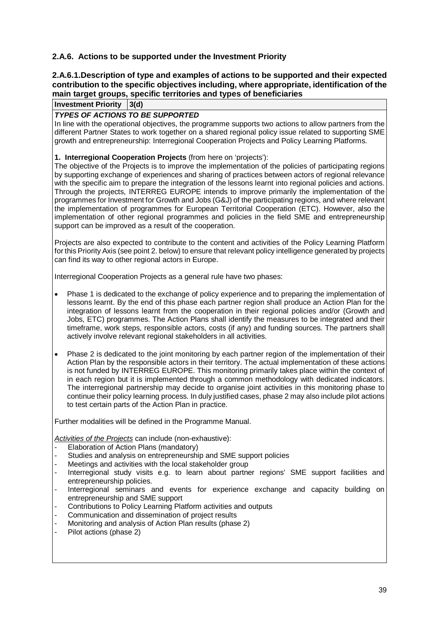#### **2.A.6. Actions to be supported under the Investment Priority**

#### **2.A.6.1.Description of type and examples of actions to be supported and their expected contribution to the specific objectives including, where appropriate, identification of the main target groups, specific territories and types of beneficiaries**

**Investment Priority 3(d)**

#### **TYPES OF ACTIONS TO BE SUPPORTED**

In line with the operational objectives, the programme supports two actions to allow partners from the different Partner States to work together on a shared regional policy issue related to supporting SME growth and entrepreneurship: Interregional Cooperation Projects and Policy Learning Platforms.

#### **1. Interregional Cooperation Projects** (from here on 'projects'):

The objective of the Projects is to improve the implementation of the policies of participating regions by supporting exchange of experiences and sharing of practices between actors of regional relevance with the specific aim to prepare the integration of the lessons learnt into regional policies and actions. Through the projects, INTERREG EUROPE intends to improve primarily the implementation of the programmes for Investment for Growth and Jobs (G&J) of the participating regions, and where relevant the implementation of programmes for European Territorial Cooperation (ETC). However, also the implementation of other regional programmes and policies in the field SME and entrepreneurship support can be improved as a result of the cooperation.

Projects are also expected to contribute to the content and activities of the Policy Learning Platform for this Priority Axis (see point 2. below) to ensure that relevant policy intelligence generated by projects can find its way to other regional actors in Europe.

Interregional Cooperation Projects as a general rule have two phases:

- Phase 1 is dedicated to the exchange of policy experience and to preparing the implementation of lessons learnt. By the end of this phase each partner region shall produce an Action Plan for the integration of lessons learnt from the cooperation in their regional policies and/or (Growth and Jobs, ETC) programmes. The Action Plans shall identify the measures to be integrated and their timeframe, work steps, responsible actors, costs (if any) and funding sources. The partners shall actively involve relevant regional stakeholders in all activities.
- Phase 2 is dedicated to the joint monitoring by each partner region of the implementation of their Action Plan by the responsible actors in their territory. The actual implementation of these actions is not funded by INTERREG EUROPE. This monitoring primarily takes place within the context of in each region but it is implemented through a common methodology with dedicated indicators. The interregional partnership may decide to organise joint activities in this monitoring phase to continue their policy learning process. In duly justified cases, phase 2 may also include pilot actions to test certain parts of the Action Plan in practice.

Further modalities will be defined in the Programme Manual.

Activities of the Projects can include (non-exhaustive):

- Elaboration of Action Plans (mandatory)
- Studies and analysis on entrepreneurship and SME support policies
- Meetings and activities with the local stakeholder group
- Interregional study visits e.g. to learn about partner regions' SME support facilities and entrepreneurship policies.
- Interregional seminars and events for experience exchange and capacity building on entrepreneurship and SME support
- Contributions to Policy Learning Platform activities and outputs
- Communication and dissemination of project results
- Monitoring and analysis of Action Plan results (phase 2)
- Pilot actions (phase 2)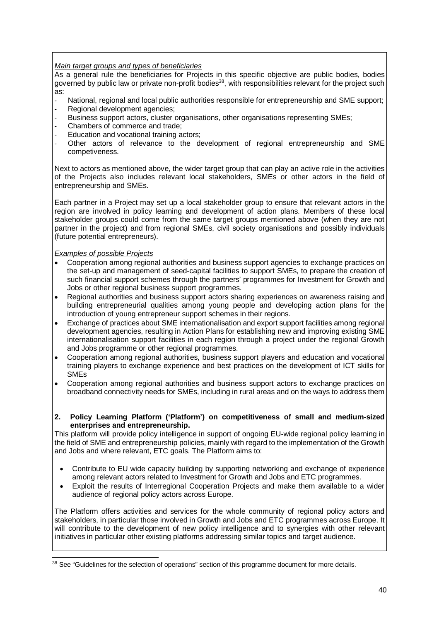#### Main target groups and types of beneficiaries

As a general rule the beneficiaries for Projects in this specific objective are public bodies, bodies governed by public law or private non-profit bodies<sup>38</sup>, with responsibilities relevant for the project such as:

- National, regional and local public authorities responsible for entrepreneurship and SME support;
- Regional development agencies;
- Business support actors, cluster organisations, other organisations representing SMEs;
- Chambers of commerce and trade:
- Education and vocational training actors:
- Other actors of relevance to the development of regional entrepreneurship and SME competiveness.

Next to actors as mentioned above, the wider target group that can play an active role in the activities of the Projects also includes relevant local stakeholders, SMEs or other actors in the field of entrepreneurship and SMEs.

Each partner in a Project may set up a local stakeholder group to ensure that relevant actors in the region are involved in policy learning and development of action plans. Members of these local stakeholder groups could come from the same target groups mentioned above (when they are not partner in the project) and from regional SMEs, civil society organisations and possibly individuals (future potential entrepreneurs).

#### Examples of possible Projects

l

- Cooperation among regional authorities and business support agencies to exchange practices on the set-up and management of seed-capital facilities to support SMEs, to prepare the creation of such financial support schemes through the partners' programmes for Investment for Growth and Jobs or other regional business support programmes.
- Regional authorities and business support actors sharing experiences on awareness raising and building entrepreneurial qualities among young people and developing action plans for the introduction of young entrepreneur support schemes in their regions.
- Exchange of practices about SME internationalisation and export support facilities among regional development agencies, resulting in Action Plans for establishing new and improving existing SME internationalisation support facilities in each region through a project under the regional Growth and Jobs programme or other regional programmes.
- Cooperation among regional authorities, business support players and education and vocational training players to exchange experience and best practices on the development of ICT skills for SMEs
- Cooperation among regional authorities and business support actors to exchange practices on broadband connectivity needs for SMEs, including in rural areas and on the ways to address them

#### **2. Policy Learning Platform ('Platform') on competitiveness of small and medium-sized enterprises and entrepreneurship.**

This platform will provide policy intelligence in support of ongoing EU-wide regional policy learning in the field of SME and entrepreneurship policies, mainly with regard to the implementation of the Growth and Jobs and where relevant, ETC goals. The Platform aims to:

- Contribute to EU wide capacity building by supporting networking and exchange of experience among relevant actors related to Investment for Growth and Jobs and ETC programmes.
- Exploit the results of Interregional Cooperation Projects and make them available to a wider audience of regional policy actors across Europe.

The Platform offers activities and services for the whole community of regional policy actors and stakeholders, in particular those involved in Growth and Jobs and ETC programmes across Europe. It will contribute to the development of new policy intelligence and to synergies with other relevant initiatives in particular other existing platforms addressing similar topics and target audience.

<sup>&</sup>lt;sup>38</sup> See "Guidelines for the selection of operations" section of this programme document for more details.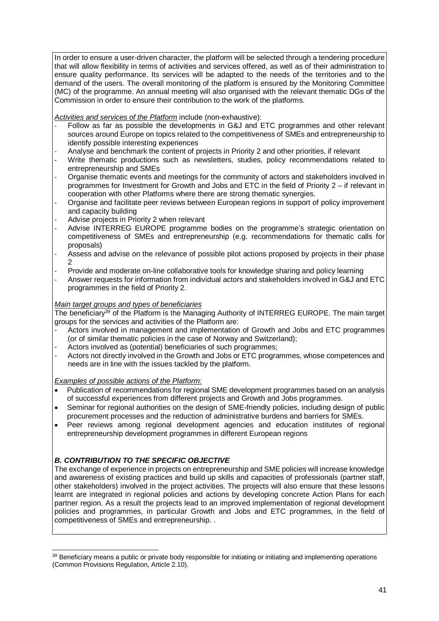In order to ensure a user-driven character, the platform will be selected through a tendering procedure that will allow flexibility in terms of activities and services offered, as well as of their administration to ensure quality performance. Its services will be adapted to the needs of the territories and to the demand of the users. The overall monitoring of the platform is ensured by the Monitoring Committee (MC) of the programme. An annual meeting will also organised with the relevant thematic DGs of the Commission in order to ensure their contribution to the work of the platforms.

Activities and services of the Platform include (non-exhaustive):

- Follow as far as possible the developments in G&J and ETC programmes and other relevant sources around Europe on topics related to the competitiveness of SMEs and entrepreneurship to identify possible interesting experiences
- Analyse and benchmark the content of projects in Priority 2 and other priorities, if relevant
- Write thematic productions such as newsletters, studies, policy recommendations related to entrepreneurship and SMEs
- Organise thematic events and meetings for the community of actors and stakeholders involved in programmes for Investment for Growth and Jobs and ETC in the field of Priority 2 – if relevant in cooperation with other Platforms where there are strong thematic synergies.
- Organise and facilitate peer reviews between European regions in support of policy improvement and capacity building
- Advise projects in Priority 2 when relevant
- Advise INTERREG EUROPE programme bodies on the programme's strategic orientation on competitiveness of SMEs and entrepreneurship (e.g. recommendations for thematic calls for proposals)
- Assess and advise on the relevance of possible pilot actions proposed by projects in their phase 2
- Provide and moderate on-line collaborative tools for knowledge sharing and policy learning
- Answer requests for information from individual actors and stakeholders involved in G&J and ETC programmes in the field of Priority 2.

#### Main target groups and types of beneficiaries

The beneficiary<sup>39</sup> of the Platform is the Managing Authority of INTERREG EUROPE. The main target groups for the services and activities of the Platform are:

- Actors involved in management and implementation of Growth and Jobs and ETC programmes (or of similar thematic policies in the case of Norway and Switzerland);
- Actors involved as (potential) beneficiaries of such programmes;
- Actors not directly involved in the Growth and Jobs or ETC programmes, whose competences and needs are in line with the issues tackled by the platform.

Examples of possible actions of the Platform:

- Publication of recommendations for regional SME development programmes based on an analysis of successful experiences from different projects and Growth and Jobs programmes.
- Seminar for regional authorities on the design of SME-friendly policies, including design of public procurement processes and the reduction of administrative burdens and barriers for SMEs.
- Peer reviews among regional development agencies and education institutes of regional entrepreneurship development programmes in different European regions

#### **B. CONTRIBUTION TO THE SPECIFIC OBJECTIVE**

The exchange of experience in projects on entrepreneurship and SME policies will increase knowledge and awareness of existing practices and build up skills and capacities of professionals (partner staff, other stakeholders) involved in the project activities. The projects will also ensure that these lessons learnt are integrated in regional policies and actions by developing concrete Action Plans for each partner region. As a result the projects lead to an improved implementation of regional development policies and programmes, in particular Growth and Jobs and ETC programmes, in the field of competitiveness of SMEs and entrepreneurship. .

 $\overline{a}$ <sup>39</sup> Beneficiary means a public or private body responsible for initiating or initiating and implementing operations (Common Provisions Regulation, Article 2.10).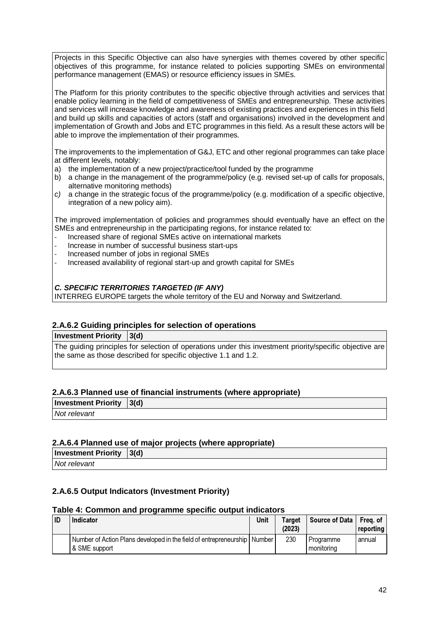Projects in this Specific Objective can also have synergies with themes covered by other specific objectives of this programme, for instance related to policies supporting SMEs on environmental performance management (EMAS) or resource efficiency issues in SMEs.

The Platform for this priority contributes to the specific objective through activities and services that enable policy learning in the field of competitiveness of SMEs and entrepreneurship. These activities and services will increase knowledge and awareness of existing practices and experiences in this field and build up skills and capacities of actors (staff and organisations) involved in the development and implementation of Growth and Jobs and ETC programmes in this field. As a result these actors will be able to improve the implementation of their programmes.

The improvements to the implementation of G&J, ETC and other regional programmes can take place at different levels, notably:

- a) the implementation of a new project/practice/tool funded by the programme
- b) a change in the management of the programme/policy (e.g. revised set-up of calls for proposals, alternative monitoring methods)
- c) a change in the strategic focus of the programme/policy (e.g. modification of a specific objective, integration of a new policy aim).

The improved implementation of policies and programmes should eventually have an effect on the SMEs and entrepreneurship in the participating regions, for instance related to:

- Increased share of regional SMEs active on international markets
- Increase in number of successful business start-ups
- Increased number of jobs in regional SMEs
- Increased availability of regional start-up and growth capital for SMEs

#### **C. SPECIFIC TERRITORIES TARGETED (IF ANY)**

INTERREG EUROPE targets the whole territory of the EU and Norway and Switzerland.

#### **2.A.6.2 Guiding principles for selection of operations**

**Investment Priority 3(d)** 

The guiding principles for selection of operations under this investment priority/specific objective are the same as those described for specific objective 1.1 and 1.2.

#### **2.A.6.3 Planned use of financial instruments (where appropriate)**

| <b>Investment Priority 3(d)</b> |  |  |  |
|---------------------------------|--|--|--|
| Not relevant                    |  |  |  |
|                                 |  |  |  |

#### **2.A.6.4 Planned use of major projects (where appropriate)**

| <b>Investment Priority <math> 3(d) </math></b> |  |
|------------------------------------------------|--|
| Not relevant                                   |  |

#### **2.A.6.5 Output Indicators (Investment Priority)**

#### **Table 4: Common and programme specific output indicators**

| ID | <b>Indicator</b>                                                                              | Unit | Target<br>(2023) | Source of Data I        | Freg. of<br>reporting |
|----|-----------------------------------------------------------------------------------------------|------|------------------|-------------------------|-----------------------|
|    | Number of Action Plans developed in the field of entrepreneurship   Number  <br>& SME support |      | 230              | Programme<br>monitorina | annual                |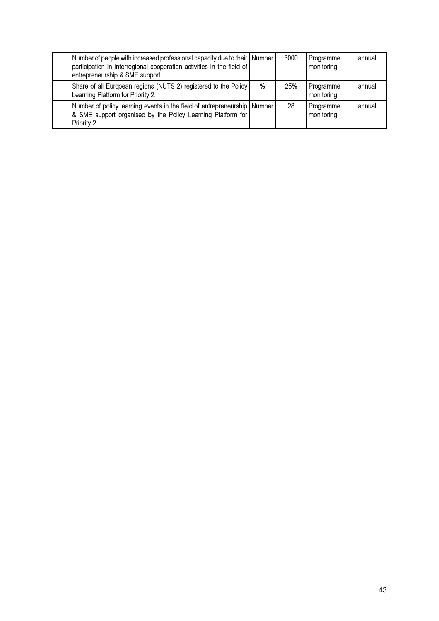| Number of people with increased professional capacity due to their   Number<br>participation in interregional cooperation activities in the field of<br>entrepreneurship & SME support. |   | 3000 | Programme<br>monitoring | annual |
|-----------------------------------------------------------------------------------------------------------------------------------------------------------------------------------------|---|------|-------------------------|--------|
| Share of all European regions (NUTS 2) registered to the Policy<br>Learning Platform for Priority 2.                                                                                    | % | 25%  | Programme<br>monitoring | annual |
| Number of policy learning events in the field of entrepreneurship Number<br>& SME support organised by the Policy Learning Platform for<br>Priority 2.                                  |   | 28   | Programme<br>monitoring | annual |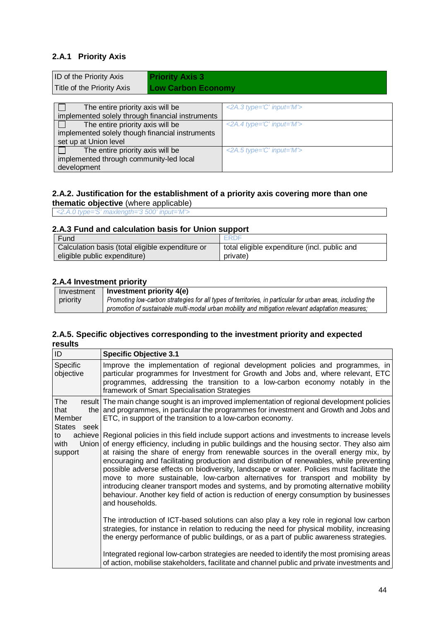#### **2.A.1 Priority Axis**

development

| ID of the Priority Axis<br><b>Priority Axis 3</b><br>Title of the Priority Axis<br><b>Low Carbon Economy</b> |                                 |
|--------------------------------------------------------------------------------------------------------------|---------------------------------|
| The entire priority axis will be                                                                             | <2A.3 type= $C$ ' input= $M$ '> |
| implemented solely through financial instruments                                                             |                                 |
| The entire priority axis will be                                                                             | $<$ 2A.4 type='C' input='M'>    |
| implemented solely though financial instruments                                                              |                                 |
| set up at Union level                                                                                        |                                 |
| The entire priority axis will be<br>implemented through community-led local                                  | $\leq$ 2A.5 type='C' input='M'> |

#### **2.A.2. Justification for the establishment of a priority axis covering more than one thematic objective** (where applicable)

<2.A.0 type='S' maxlength='3 500' input='M'>

#### **2.A.3 Fund and calculation basis for Union support**

| Fund                                             | ERDF                                         |
|--------------------------------------------------|----------------------------------------------|
| Calculation basis (total eligible expenditure or | total eligible expenditure (incl. public and |
| eligible public expenditure)                     | private)                                     |

#### **2.A.4 Investment priority**

| Investment | Investment priority 4(e)                                                                                   |
|------------|------------------------------------------------------------------------------------------------------------|
| priority   | Promoting low-carbon strategies for all types of territories, in particular for urban areas, including the |
|            | promotion of sustainable multi-modal urban mobility and mitigation relevant adaptation measures:           |

#### **2.A.5. Specific objectives corresponding to the investment priority and expected results**

| ID                                             | <b>Specific Objective 3.1</b>                                                                                                                                                                                                                                                                                                                                                                                                                                                                                                                                                                                                                                                                                                                                                     |
|------------------------------------------------|-----------------------------------------------------------------------------------------------------------------------------------------------------------------------------------------------------------------------------------------------------------------------------------------------------------------------------------------------------------------------------------------------------------------------------------------------------------------------------------------------------------------------------------------------------------------------------------------------------------------------------------------------------------------------------------------------------------------------------------------------------------------------------------|
| Specific<br>objective                          | Improve the implementation of regional development policies and programmes, in<br>particular programmes for Investment for Growth and Jobs and, where relevant, ETC<br>programmes, addressing the transition to a low-carbon economy notably in the<br>framework of Smart Specialisation Strategies                                                                                                                                                                                                                                                                                                                                                                                                                                                                               |
| The<br>that<br>Member<br><b>States</b><br>seek | result The main change sought is an improved implementation of regional development policies<br>the and programmes, in particular the programmes for investment and Growth and Jobs and<br>ETC, in support of the transition to a low-carbon economy.                                                                                                                                                                                                                                                                                                                                                                                                                                                                                                                             |
| to<br>with<br>support                          | achieve Regional policies in this field include support actions and investments to increase levels<br>Union of energy efficiency, including in public buildings and the housing sector. They also aim<br>at raising the share of energy from renewable sources in the overall energy mix, by<br>encouraging and facilitating production and distribution of renewables, while preventing<br>possible adverse effects on biodiversity, landscape or water. Policies must facilitate the<br>move to more sustainable, low-carbon alternatives for transport and mobility by<br>introducing cleaner transport modes and systems, and by promoting alternative mobility<br>behaviour. Another key field of action is reduction of energy consumption by businesses<br>and households. |
|                                                | The introduction of ICT-based solutions can also play a key role in regional low carbon<br>strategies, for instance in relation to reducing the need for physical mobility, increasing<br>the energy performance of public buildings, or as a part of public awareness strategies.                                                                                                                                                                                                                                                                                                                                                                                                                                                                                                |
|                                                | Integrated regional low-carbon strategies are needed to identify the most promising areas<br>of action, mobilise stakeholders, facilitate and channel public and private investments and                                                                                                                                                                                                                                                                                                                                                                                                                                                                                                                                                                                          |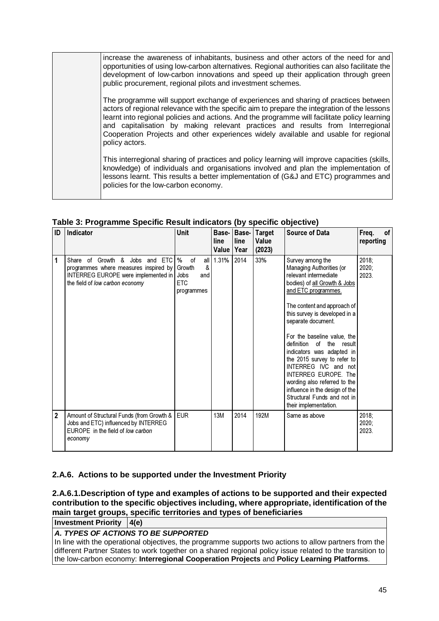increase the awareness of inhabitants, business and other actors of the need for and opportunities of using low-carbon alternatives. Regional authorities can also facilitate the development of low-carbon innovations and speed up their application through green public procurement, regional pilots and investment schemes.

The programme will support exchange of experiences and sharing of practices between actors of regional relevance with the specific aim to prepare the integration of the lessons learnt into regional policies and actions. And the programme will facilitate policy learning and capitalisation by making relevant practices and results from Interregional Cooperation Projects and other experiences widely available and usable for regional policy actors.

This interregional sharing of practices and policy learning will improve capacities (skills, knowledge) of individuals and organisations involved and plan the implementation of lessons learnt. This results a better implementation of (G&J and ETC) programmes and policies for the low-carbon economy.

| ID             | Indicator                                                                                                                                         | <b>Unit</b>                                                          |                      | Base- Base- | <b>Target</b>   | <b>Source of Data</b>                                                                                                                                                                                                                                                                                                                                                                                                                                                                                                  | Freq.<br>of                |
|----------------|---------------------------------------------------------------------------------------------------------------------------------------------------|----------------------------------------------------------------------|----------------------|-------------|-----------------|------------------------------------------------------------------------------------------------------------------------------------------------------------------------------------------------------------------------------------------------------------------------------------------------------------------------------------------------------------------------------------------------------------------------------------------------------------------------------------------------------------------------|----------------------------|
|                |                                                                                                                                                   |                                                                      | line<br>Value   Year | line        | Value<br>(2023) |                                                                                                                                                                                                                                                                                                                                                                                                                                                                                                                        | reporting                  |
| 1              | Share of Growth & Jobs and ETC<br>programmes where measures inspired by<br>INTERREG EUROPE were implemented in<br>the field of low carbon economy | $\%$<br>0f<br>&<br>Growth<br>Jobs<br>and<br><b>ETC</b><br>programmes | all $1.31%$          | 2014        | 33%             | Survey among the<br>Managing Authorities (or<br>relevant intermediate<br>bodies) of all Growth & Jobs<br>and ETC programmes.<br>The content and approach of<br>this survey is developed in a<br>separate document.<br>For the baseline value, the<br>definition<br>of the result<br>indicators was adapted in<br>the 2015 survey to refer to<br>INTERREG IVC and not<br>INTERREG EUROPE. The<br>wording also referred to the<br>influence in the design of the<br>Structural Funds and not in<br>their implementation. | $2018$ ;<br>2020;<br>2023. |
| $\overline{2}$ | Amount of Structural Funds (from Growth &  <br>Jobs and ETC) influenced by INTERREG<br>EUROPE in the field of low carbon<br>economy               | <b>EUR</b>                                                           | <b>13M</b>           | 2014        | 192M            | Same as above                                                                                                                                                                                                                                                                                                                                                                                                                                                                                                          | 2018;<br>$2020$ ;<br>2023. |

**Table 3: Programme Specific Result indicators (by specific objective)**

### **2.A.6. Actions to be supported under the Investment Priority**

**2.A.6.1.Description of type and examples of actions to be supported and their expected contribution to the specific objectives including, where appropriate, identification of the main target groups, specific territories and types of beneficiaries** 

**Investment Priority 4(e)**

#### **A. TYPES OF ACTIONS TO BE SUPPORTED**

In line with the operational objectives, the programme supports two actions to allow partners from the different Partner States to work together on a shared regional policy issue related to the transition to the low-carbon economy: **Interregional Cooperation Projects** and **Policy Learning Platforms**.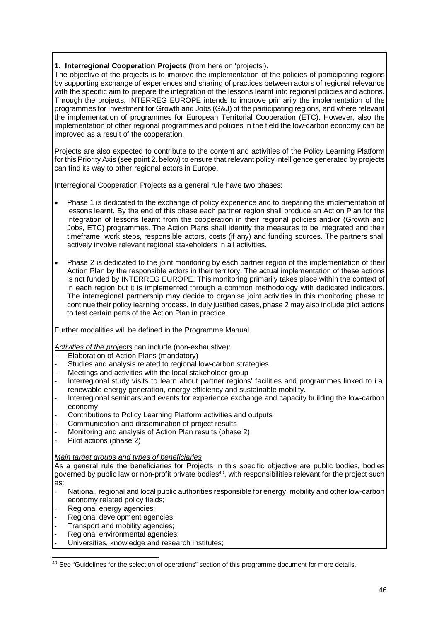#### **1. Interregional Cooperation Projects** (from here on 'projects').

The objective of the projects is to improve the implementation of the policies of participating regions by supporting exchange of experiences and sharing of practices between actors of regional relevance with the specific aim to prepare the integration of the lessons learnt into regional policies and actions. Through the projects, INTERREG EUROPE intends to improve primarily the implementation of the programmes for Investment for Growth and Jobs (G&J) of the participating regions, and where relevant the implementation of programmes for European Territorial Cooperation (ETC). However, also the implementation of other regional programmes and policies in the field the low-carbon economy can be improved as a result of the cooperation.

Projects are also expected to contribute to the content and activities of the Policy Learning Platform for this Priority Axis (see point 2. below) to ensure that relevant policy intelligence generated by projects can find its way to other regional actors in Europe.

Interregional Cooperation Projects as a general rule have two phases:

- Phase 1 is dedicated to the exchange of policy experience and to preparing the implementation of lessons learnt. By the end of this phase each partner region shall produce an Action Plan for the integration of lessons learnt from the cooperation in their regional policies and/or (Growth and Jobs, ETC) programmes. The Action Plans shall identify the measures to be integrated and their timeframe, work steps, responsible actors, costs (if any) and funding sources. The partners shall actively involve relevant regional stakeholders in all activities.
- Phase 2 is dedicated to the joint monitoring by each partner region of the implementation of their Action Plan by the responsible actors in their territory. The actual implementation of these actions is not funded by INTERREG EUROPE. This monitoring primarily takes place within the context of in each region but it is implemented through a common methodology with dedicated indicators. The interregional partnership may decide to organise joint activities in this monitoring phase to continue their policy learning process. In duly justified cases, phase 2 may also include pilot actions to test certain parts of the Action Plan in practice.

Further modalities will be defined in the Programme Manual.

Activities of the projects can include (non-exhaustive):

- Elaboration of Action Plans (mandatory)
- Studies and analysis related to regional low-carbon strategies
- Meetings and activities with the local stakeholder group
- Interregional study visits to learn about partner regions' facilities and programmes linked to i.a. renewable energy generation, energy efficiency and sustainable mobility.
- Interregional seminars and events for experience exchange and capacity building the low-carbon economy
- Contributions to Policy Learning Platform activities and outputs
- Communication and dissemination of project results
- Monitoring and analysis of Action Plan results (phase 2)
- Pilot actions (phase 2)

#### Main target groups and types of beneficiaries

As a general rule the beneficiaries for Projects in this specific objective are public bodies, bodies governed by public law or non-profit private bodies<sup>40</sup>, with responsibilities relevant for the project such as:

- National, regional and local public authorities responsible for energy, mobility and other low-carbon economy related policy fields;
- Regional energy agencies;

l

- Regional development agencies;
- Transport and mobility agencies:
- Regional environmental agencies;
- Universities, knowledge and research institutes;

<sup>&</sup>lt;sup>40</sup> See "Guidelines for the selection of operations" section of this programme document for more details.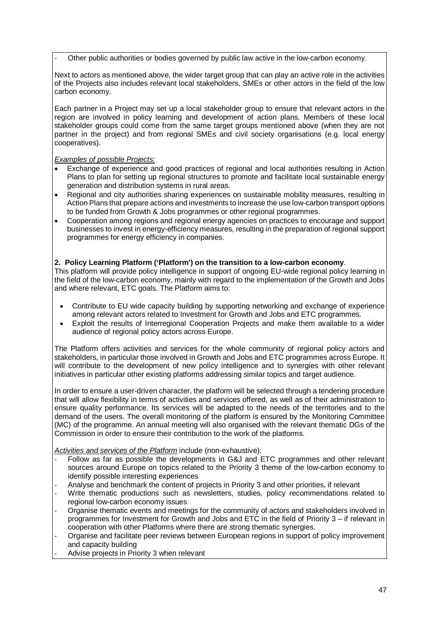Other public authorities or bodies governed by public law active in the low-carbon economy.

Next to actors as mentioned above, the wider target group that can play an active role in the activities of the Projects also includes relevant local stakeholders, SMEs or other actors in the field of the low carbon economy.

Each partner in a Project may set up a local stakeholder group to ensure that relevant actors in the region are involved in policy learning and development of action plans. Members of these local stakeholder groups could come from the same target groups mentioned above (when they are not partner in the project) and from regional SMEs and civil society organisations (e.g. local energy cooperatives).

#### Examples of possible Projects:

- Exchange of experience and good practices of regional and local authorities resulting in Action Plans to plan for setting up regional structures to promote and facilitate local sustainable energy generation and distribution systems in rural areas.
- Regional and city authorities sharing experiences on sustainable mobility measures, resulting in Action Plans that prepare actions and investments to increase the use low-carbon transport options to be funded from Growth & Jobs programmes or other regional programmes.
- Cooperation among regions and regional energy agencies on practices to encourage and support businesses to invest in energy-efficiency measures, resulting in the preparation of regional support programmes for energy efficiency in companies.

#### **2. Policy Learning Platform ('Platform') on the transition to a low-carbon economy**.

This platform will provide policy intelligence in support of ongoing EU-wide regional policy learning in the field of the low-carbon economy, mainly with regard to the implementation of the Growth and Jobs and where relevant, ETC goals. The Platform aims to:

- Contribute to EU wide capacity building by supporting networking and exchange of experience among relevant actors related to Investment for Growth and Jobs and ETC programmes.
- Exploit the results of Interregional Cooperation Projects and make them available to a wider audience of regional policy actors across Europe.

The Platform offers activities and services for the whole community of regional policy actors and stakeholders, in particular those involved in Growth and Jobs and ETC programmes across Europe. It will contribute to the development of new policy intelligence and to synergies with other relevant initiatives in particular other existing platforms addressing similar topics and target audience.

In order to ensure a user-driven character, the platform will be selected through a tendering procedure that will allow flexibility in terms of activities and services offered, as well as of their administration to ensure quality performance. Its services will be adapted to the needs of the territories and to the demand of the users. The overall monitoring of the platform is ensured by the Monitoring Committee (MC) of the programme. An annual meeting will also organised with the relevant thematic DGs of the Commission in order to ensure their contribution to the work of the platforms.

Activities and services of the Platform include (non-exhaustive):

- Follow as far as possible the developments in G&J and ETC programmes and other relevant sources around Europe on topics related to the Priority 3 theme of the low-carbon economy to identify possible interesting experiences
- Analyse and benchmark the content of projects in Priority 3 and other priorities, if relevant
- Write thematic productions such as newsletters, studies, policy recommendations related to regional low-carbon economy issues
- Organise thematic events and meetings for the community of actors and stakeholders involved in programmes for Investment for Growth and Jobs and ETC in the field of Priority 3 – if relevant in cooperation with other Platforms where there are strong thematic synergies.
- Organise and facilitate peer reviews between European regions in support of policy improvement and capacity building
- Advise projects in Priority 3 when relevant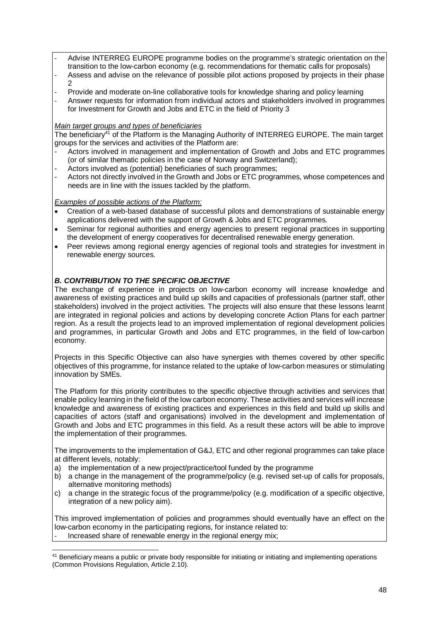- Advise INTERREG EUROPE programme bodies on the programme's strategic orientation on the transition to the low-carbon economy (e.g. recommendations for thematic calls for proposals)
- Assess and advise on the relevance of possible pilot actions proposed by projects in their phase  $\mathfrak{D}$
- Provide and moderate on-line collaborative tools for knowledge sharing and policy learning
- Answer requests for information from individual actors and stakeholders involved in programmes for Investment for Growth and Jobs and ETC in the field of Priority 3

#### Main target groups and types of beneficiaries

The beneficiary<sup>41</sup> of the Platform is the Managing Authority of INTERREG EUROPE. The main target groups for the services and activities of the Platform are:

- Actors involved in management and implementation of Growth and Jobs and ETC programmes (or of similar thematic policies in the case of Norway and Switzerland);
- Actors involved as (potential) beneficiaries of such programmes;
- Actors not directly involved in the Growth and Jobs or ETC programmes, whose competences and needs are in line with the issues tackled by the platform.

#### Examples of possible actions of the Platform:

- Creation of a web-based database of successful pilots and demonstrations of sustainable energy applications delivered with the support of Growth & Jobs and ETC programmes.
- Seminar for regional authorities and energy agencies to present regional practices in supporting the development of energy cooperatives for decentralised renewable energy generation.
- Peer reviews among regional energy agencies of regional tools and strategies for investment in renewable energy sources.

#### **B. CONTRIBUTION TO THE SPECIFIC OBJECTIVE**

The exchange of experience in projects on low-carbon economy will increase knowledge and awareness of existing practices and build up skills and capacities of professionals (partner staff, other stakeholders) involved in the project activities. The projects will also ensure that these lessons learnt are integrated in regional policies and actions by developing concrete Action Plans for each partner region. As a result the projects lead to an improved implementation of regional development policies and programmes, in particular Growth and Jobs and ETC programmes, in the field of low-carbon economy.

Projects in this Specific Objective can also have synergies with themes covered by other specific objectives of this programme, for instance related to the uptake of low-carbon measures or stimulating innovation by SMEs.

The Platform for this priority contributes to the specific objective through activities and services that enable policy learning in the field of the low carbon economy. These activities and services will increase knowledge and awareness of existing practices and experiences in this field and build up skills and capacities of actors (staff and organisations) involved in the development and implementation of Growth and Jobs and ETC programmes in this field. As a result these actors will be able to improve the implementation of their programmes.

The improvements to the implementation of G&J, ETC and other regional programmes can take place at different levels, notably:

- a) the implementation of a new project/practice/tool funded by the programme
- b) a change in the management of the programme/policy (e.g. revised set-up of calls for proposals, alternative monitoring methods)
- c) a change in the strategic focus of the programme/policy (e.g. modification of a specific objective, integration of a new policy aim).

This improved implementation of policies and programmes should eventually have an effect on the low-carbon economy in the participating regions, for instance related to: Increased share of renewable energy in the regional energy mix;

 $\overline{a}$ <sup>41</sup> Beneficiary means a public or private body responsible for initiating or initiating and implementing operations (Common Provisions Regulation, Article 2.10).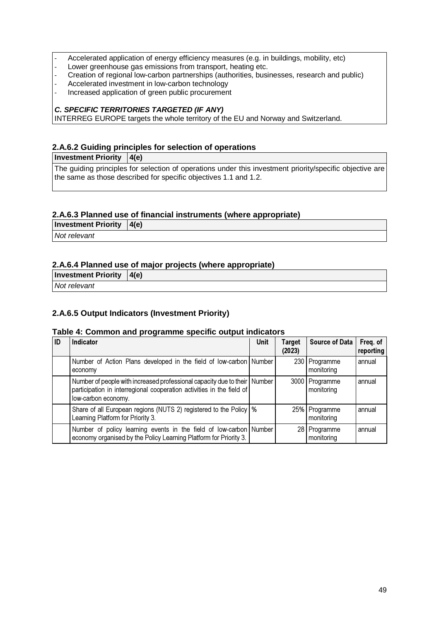- Accelerated application of energy efficiency measures (e.g. in buildings, mobility, etc)
- Lower greenhouse gas emissions from transport, heating etc.
- Creation of regional low-carbon partnerships (authorities, businesses, research and public)
- Accelerated investment in low-carbon technology
- Increased application of green public procurement

#### **C. SPECIFIC TERRITORIES TARGETED (IF ANY)**

INTERREG EUROPE targets the whole territory of the EU and Norway and Switzerland.

#### **2.A.6.2 Guiding principles for selection of operations**

**Investment Priority** 4(e)

The guiding principles for selection of operations under this investment priority/specific objective are the same as those described for specific objectives 1.1 and 1.2.

#### **2.A.6.3 Planned use of financial instruments (where appropriate)**

**Investment Priority 4(e)** 

Not relevant

#### **2.A.6.4 Planned use of major projects (where appropriate)**

| <b>Investment Priority <math> 4(e) </math></b> |  |
|------------------------------------------------|--|
| Not relevant                                   |  |
|                                                |  |

#### **2.A.6.5 Output Indicators (Investment Priority)**

#### **Table 4: Common and programme specific output indicators**

| ID | <b>Indicator</b>                                                                                                                                                            | <b>Unit</b> | <b>Target</b><br>(2023) | <b>Source of Data</b>        | Freq. of<br>reporting |
|----|-----------------------------------------------------------------------------------------------------------------------------------------------------------------------------|-------------|-------------------------|------------------------------|-----------------------|
|    | Number of Action Plans developed in the field of low-carbon Number<br>economy                                                                                               |             |                         | 230 Programme<br>monitoring  | annual                |
|    | Number of people with increased professional capacity due to their   Number<br>participation in interregional cooperation activities in the field of<br>low-carbon economy. |             |                         | 3000 Programme<br>monitoring | annual                |
|    | Share of all European regions (NUTS 2) registered to the Policy   %<br>Learning Platform for Priority 3.                                                                    |             |                         | 25% Programme<br>monitoring  | annual                |
|    | Number of policy learning events in the field of low-carbon Number<br>economy organised by the Policy Learning Platform for Priority 3.                                     |             |                         | 28 Programme<br>monitoring   | annual                |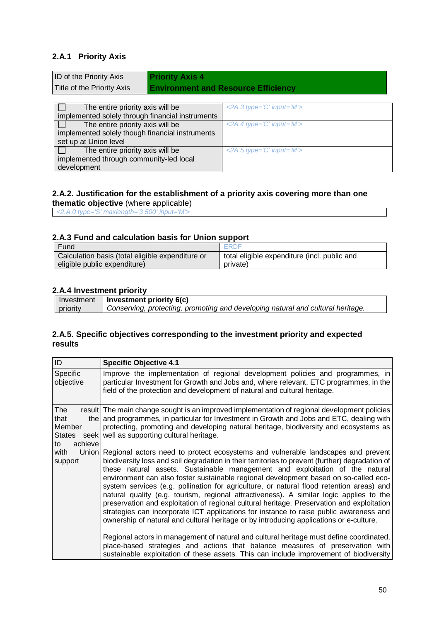#### **2.A.1 Priority Axis**

development

| ID of the Priority Axis<br>Title of the Priority Axis | <b>Priority Axis 4</b><br><b>Environment and Resource Efficiency</b>    |  |  |
|-------------------------------------------------------|-------------------------------------------------------------------------|--|--|
|                                                       |                                                                         |  |  |
| The entire priority axis will be                      | $\langle 2A.3 \text{ type} = \hat{C}' \text{ input} = \hat{W}' \rangle$ |  |  |
| implemented solely through financial instruments      |                                                                         |  |  |
| The entire priority axis will be                      | $\leq$ 2A.4 type='C' input='M'>                                         |  |  |
| implemented solely though financial instruments       |                                                                         |  |  |
| set up at Union level                                 |                                                                         |  |  |
| The entire priority axis will be                      | $\leq$ 2A.5 type='C' input='M'>                                         |  |  |
| implemented through community-led local               |                                                                         |  |  |

#### **2.A.2. Justification for the establishment of a priority axis covering more than one thematic objective** (where applicable)

<2.A.0 type='S' maxlength='3 500' input='M'>

#### **2.A.3 Fund and calculation basis for Union support**

| Fund                                             | <b>FRDF</b>                                  |
|--------------------------------------------------|----------------------------------------------|
| Calculation basis (total eligible expenditure or | total eligible expenditure (incl. public and |
| eligible public expenditure)                     | private)                                     |

#### **2.A.4 Investment priority**

|          | Investment   Investment priority $6(c)$                                         |
|----------|---------------------------------------------------------------------------------|
| priority | Conserving, protecting, promoting and developing natural and cultural heritage. |

#### **2.A.5. Specific objectives corresponding to the investment priority and expected results**

| ID                                                      | <b>Specific Objective 4.1</b>                                                                                                                                                                                                                                                                                                                                                                                                                                                                                                                                                                                                                                                                                                                                                                                                                                                                                                                                                                                                                                                                                     |
|---------------------------------------------------------|-------------------------------------------------------------------------------------------------------------------------------------------------------------------------------------------------------------------------------------------------------------------------------------------------------------------------------------------------------------------------------------------------------------------------------------------------------------------------------------------------------------------------------------------------------------------------------------------------------------------------------------------------------------------------------------------------------------------------------------------------------------------------------------------------------------------------------------------------------------------------------------------------------------------------------------------------------------------------------------------------------------------------------------------------------------------------------------------------------------------|
| Specific<br>objective                                   | Improve the implementation of regional development policies and programmes, in<br>particular Investment for Growth and Jobs and, where relevant, ETC programmes, in the<br>field of the protection and development of natural and cultural heritage.                                                                                                                                                                                                                                                                                                                                                                                                                                                                                                                                                                                                                                                                                                                                                                                                                                                              |
| The<br>that<br>Member<br><b>States</b><br>achieve<br>to | result The main change sought is an improved implementation of regional development policies<br>the and programmes, in particular for Investment in Growth and Jobs and ETC, dealing with<br>protecting, promoting and developing natural heritage, biodiversity and ecosystems as<br>seek well as supporting cultural heritage.                                                                                                                                                                                                                                                                                                                                                                                                                                                                                                                                                                                                                                                                                                                                                                                  |
| with<br>support                                         | Union Regional actors need to protect ecosystems and vulnerable landscapes and prevent<br>biodiversity loss and soil degradation in their territories to prevent (further) degradation of<br>these natural assets. Sustainable management and exploitation of the natural<br>environment can also foster sustainable regional development based on so-called eco-<br>system services (e.g. pollination for agriculture, or natural flood retention areas) and<br>natural quality (e.g. tourism, regional attractiveness). A similar logic applies to the<br>preservation and exploitation of regional cultural heritage. Preservation and exploitation<br>strategies can incorporate ICT applications for instance to raise public awareness and<br>ownership of natural and cultural heritage or by introducing applications or e-culture.<br>Regional actors in management of natural and cultural heritage must define coordinated,<br>place-based strategies and actions that balance measures of preservation with<br>sustainable exploitation of these assets. This can include improvement of biodiversity |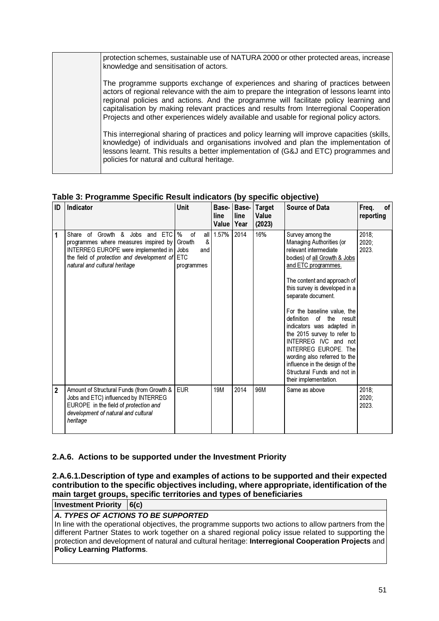| protection schemes, sustainable use of NATURA 2000 or other protected areas, increase<br>knowledge and sensitisation of actors.                                                                                                                                                                                                                                                                                                                            |
|------------------------------------------------------------------------------------------------------------------------------------------------------------------------------------------------------------------------------------------------------------------------------------------------------------------------------------------------------------------------------------------------------------------------------------------------------------|
| The programme supports exchange of experiences and sharing of practices between<br>actors of regional relevance with the aim to prepare the integration of lessons learnt into<br>regional policies and actions. And the programme will facilitate policy learning and<br>capitalisation by making relevant practices and results from Interregional Cooperation<br>Projects and other experiences widely available and usable for regional policy actors. |
| This interregional sharing of practices and policy learning will improve capacities (skills,<br>knowledge) of individuals and organisations involved and plan the implementation of<br>lessons learnt. This results a better implementation of (G&J and ETC) programmes and<br>policies for natural and cultural heritage.                                                                                                                                 |

#### **Table 3: Programme Specific Result indicators (by specific objective)**

| ID             | Indicator                                                                                                                                                                                           | Unit                                                                          | Base-<br>line<br>Value | Base-<br>line<br>Year | <b>Target</b><br>Value<br>(2023) | <b>Source of Data</b>                                                                                                                                                                                                                                                                                                                                                                                                                                                                                                                | Freq.<br>of<br>reporting |
|----------------|-----------------------------------------------------------------------------------------------------------------------------------------------------------------------------------------------------|-------------------------------------------------------------------------------|------------------------|-----------------------|----------------------------------|--------------------------------------------------------------------------------------------------------------------------------------------------------------------------------------------------------------------------------------------------------------------------------------------------------------------------------------------------------------------------------------------------------------------------------------------------------------------------------------------------------------------------------------|--------------------------|
| 1              | Growth &<br>Jobs and ETC<br>Share of<br>programmes where measures inspired by<br>INTERREG EUROPE were implemented in<br>the field of protection and development of<br>natural and cultural heritage | $\%$<br>of<br>all l<br>&<br>Growth<br>Jobs<br>and<br><b>ETC</b><br>programmes | 1.57%                  | 2014                  | 16%                              | Survey among the<br><b>Managing Authorities (or</b><br>relevant intermediate<br>bodies) of all Growth & Jobs<br>and ETC programmes.<br>The content and approach of<br>this survey is developed in a<br>separate document.<br>For the baseline value, the<br>definition<br>of the result<br>indicators was adapted in<br>the 2015 survey to refer to<br>INTERREG IVC and not<br><b>INTERREG EUROPE. The</b><br>wording also referred to the<br>influence in the design of the<br>Structural Funds and not in<br>their implementation. | 2018;<br>2020;<br>2023.  |
| $\overline{2}$ | Amount of Structural Funds (from Growth &<br>Jobs and ETC) influenced by INTERREG<br>EUROPE in the field of protection and<br>development of natural and cultural<br>heritage                       | <b>EUR</b>                                                                    | <b>19M</b>             | 2014                  | 96M                              | Same as above                                                                                                                                                                                                                                                                                                                                                                                                                                                                                                                        | 2018;<br>2020;<br>2023.  |

### **2.A.6. Actions to be supported under the Investment Priority**

**2.A.6.1.Description of type and examples of actions to be supported and their expected contribution to the specific objectives including, where appropriate, identification of the main target groups, specific territories and types of beneficiaries** 

**Investment Priority 6(c)** 

#### **A. TYPES OF ACTIONS TO BE SUPPORTED**

In line with the operational objectives, the programme supports two actions to allow partners from the different Partner States to work together on a shared regional policy issue related to supporting the protection and development of natural and cultural heritage: **Interregional Cooperation Projects** and **Policy Learning Platforms**.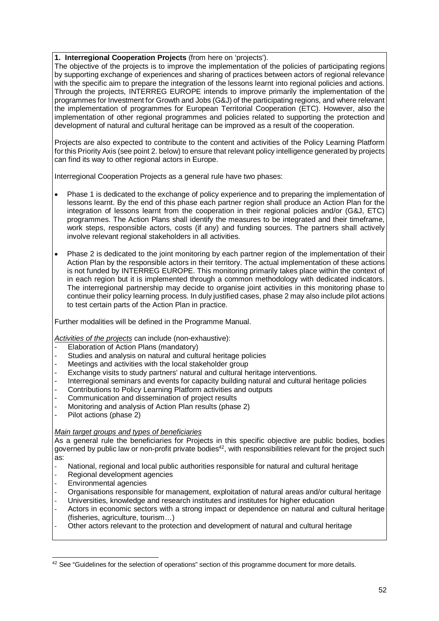#### **1. Interregional Cooperation Projects** (from here on 'projects').

The objective of the projects is to improve the implementation of the policies of participating regions by supporting exchange of experiences and sharing of practices between actors of regional relevance with the specific aim to prepare the integration of the lessons learnt into regional policies and actions. Through the projects, INTERREG EUROPE intends to improve primarily the implementation of the programmes for Investment for Growth and Jobs (G&J) of the participating regions, and where relevant the implementation of programmes for European Territorial Cooperation (ETC). However, also the implementation of other regional programmes and policies related to supporting the protection and development of natural and cultural heritage can be improved as a result of the cooperation.

Projects are also expected to contribute to the content and activities of the Policy Learning Platform for this Priority Axis (see point 2. below) to ensure that relevant policy intelligence generated by projects can find its way to other regional actors in Europe.

Interregional Cooperation Projects as a general rule have two phases:

- Phase 1 is dedicated to the exchange of policy experience and to preparing the implementation of lessons learnt. By the end of this phase each partner region shall produce an Action Plan for the integration of lessons learnt from the cooperation in their regional policies and/or (G&J, ETC) programmes. The Action Plans shall identify the measures to be integrated and their timeframe, work steps, responsible actors, costs (if any) and funding sources. The partners shall actively involve relevant regional stakeholders in all activities.
- Phase 2 is dedicated to the joint monitoring by each partner region of the implementation of their Action Plan by the responsible actors in their territory. The actual implementation of these actions is not funded by INTERREG EUROPE. This monitoring primarily takes place within the context of in each region but it is implemented through a common methodology with dedicated indicators. The interregional partnership may decide to organise joint activities in this monitoring phase to continue their policy learning process. In duly justified cases, phase 2 may also include pilot actions to test certain parts of the Action Plan in practice.

Further modalities will be defined in the Programme Manual.

Activities of the projects can include (non-exhaustive):

- Elaboration of Action Plans (mandatory)
- Studies and analysis on natural and cultural heritage policies
- Meetings and activities with the local stakeholder group
- Exchange visits to study partners' natural and cultural heritage interventions.
- Interregional seminars and events for capacity building natural and cultural heritage policies
- Contributions to Policy Learning Platform activities and outputs
- Communication and dissemination of project results
- Monitoring and analysis of Action Plan results (phase 2)
- Pilot actions (phase 2)

#### Main target groups and types of beneficiaries

As a general rule the beneficiaries for Projects in this specific objective are public bodies, bodies governed by public law or non-profit private bodies<sup>42</sup>, with responsibilities relevant for the project such as:

- National, regional and local public authorities responsible for natural and cultural heritage
- Regional development agencies
- Environmental agencies
- Organisations responsible for management, exploitation of natural areas and/or cultural heritage
- Universities, knowledge and research institutes and institutes for higher education
- Actors in economic sectors with a strong impact or dependence on natural and cultural heritage (fisheries, agriculture, tourism…)
- Other actors relevant to the protection and development of natural and cultural heritage

l <sup>42</sup> See "Guidelines for the selection of operations" section of this programme document for more details.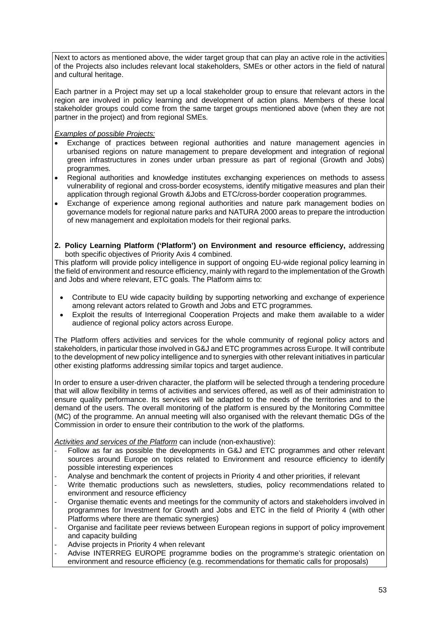Next to actors as mentioned above, the wider target group that can play an active role in the activities of the Projects also includes relevant local stakeholders, SMEs or other actors in the field of natural and cultural heritage.

Each partner in a Project may set up a local stakeholder group to ensure that relevant actors in the region are involved in policy learning and development of action plans. Members of these local stakeholder groups could come from the same target groups mentioned above (when they are not partner in the project) and from regional SMEs.

#### Examples of possible Projects:

- Exchange of practices between regional authorities and nature management agencies in urbanised regions on nature management to prepare development and integration of regional green infrastructures in zones under urban pressure as part of regional (Growth and Jobs) programmes.
- Regional authorities and knowledge institutes exchanging experiences on methods to assess vulnerability of regional and cross-border ecosystems, identify mitigative measures and plan their application through regional Growth &Jobs and ETC/cross-border cooperation programmes.
- Exchange of experience among regional authorities and nature park management bodies on governance models for regional nature parks and NATURA 2000 areas to prepare the introduction of new management and exploitation models for their regional parks.
- **2. Policy Learning Platform ('Platform') on Environment and resource efficiency,** addressing both specific objectives of Priority Axis 4 combined.

This platform will provide policy intelligence in support of ongoing EU-wide regional policy learning in the field of environment and resource efficiency, mainly with regard to the implementation of the Growth and Jobs and where relevant, ETC goals. The Platform aims to:

- Contribute to EU wide capacity building by supporting networking and exchange of experience among relevant actors related to Growth and Jobs and ETC programmes.
- Exploit the results of Interregional Cooperation Projects and make them available to a wider audience of regional policy actors across Europe.

The Platform offers activities and services for the whole community of regional policy actors and stakeholders, in particular those involved in G&J and ETC programmes across Europe. It will contribute to the development of new policy intelligence and to synergies with other relevant initiatives in particular other existing platforms addressing similar topics and target audience.

In order to ensure a user-driven character, the platform will be selected through a tendering procedure that will allow flexibility in terms of activities and services offered, as well as of their administration to ensure quality performance. Its services will be adapted to the needs of the territories and to the demand of the users. The overall monitoring of the platform is ensured by the Monitoring Committee (MC) of the programme. An annual meeting will also organised with the relevant thematic DGs of the Commission in order to ensure their contribution to the work of the platforms.

Activities and services of the Platform can include (non-exhaustive):

- Follow as far as possible the developments in G&J and ETC programmes and other relevant sources around Europe on topics related to Environment and resource efficiency to identify possible interesting experiences
- Analyse and benchmark the content of projects in Priority 4 and other priorities, if relevant
- Write thematic productions such as newsletters, studies, policy recommendations related to environment and resource efficiency
- Organise thematic events and meetings for the community of actors and stakeholders involved in programmes for Investment for Growth and Jobs and ETC in the field of Priority 4 (with other Platforms where there are thematic synergies)
- Organise and facilitate peer reviews between European regions in support of policy improvement and capacity building
- Advise projects in Priority 4 when relevant
- Advise INTERREG EUROPE programme bodies on the programme's strategic orientation on environment and resource efficiency (e.g. recommendations for thematic calls for proposals)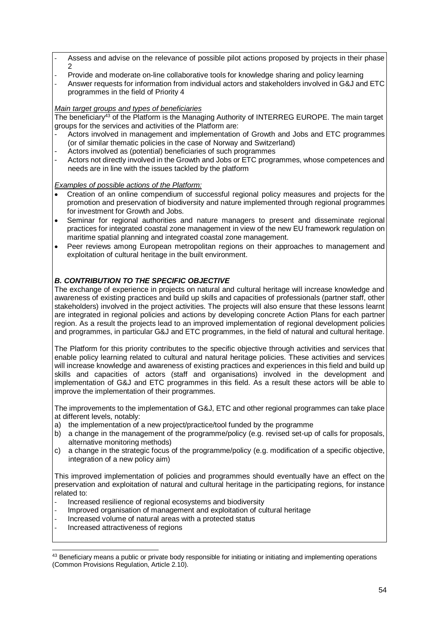- Assess and advise on the relevance of possible pilot actions proposed by projects in their phase  $\mathcal{D}$
- Provide and moderate on-line collaborative tools for knowledge sharing and policy learning
- Answer requests for information from individual actors and stakeholders involved in G&J and ETC programmes in the field of Priority 4

#### Main target groups and types of beneficiaries

The beneficiary<sup>43</sup> of the Platform is the Managing Authority of INTERREG EUROPE. The main target groups for the services and activities of the Platform are:

- Actors involved in management and implementation of Growth and Jobs and ETC programmes (or of similar thematic policies in the case of Norway and Switzerland)
- Actors involved as (potential) beneficiaries of such programmes<br>- Actors not directly involved in the Growth and Jobs or FTC program
- Actors not directly involved in the Growth and Jobs or ETC programmes, whose competences and needs are in line with the issues tackled by the platform

#### Examples of possible actions of the Platform:

- Creation of an online compendium of successful regional policy measures and projects for the promotion and preservation of biodiversity and nature implemented through regional programmes for investment for Growth and Jobs.
- Seminar for regional authorities and nature managers to present and disseminate regional practices for integrated coastal zone management in view of the new EU framework regulation on maritime spatial planning and integrated coastal zone management.
- Peer reviews among European metropolitan regions on their approaches to management and exploitation of cultural heritage in the built environment.

#### **B. CONTRIBUTION TO THE SPECIFIC OBJECTIVE**

The exchange of experience in projects on natural and cultural heritage will increase knowledge and awareness of existing practices and build up skills and capacities of professionals (partner staff, other stakeholders) involved in the project activities. The projects will also ensure that these lessons learnt are integrated in regional policies and actions by developing concrete Action Plans for each partner region. As a result the projects lead to an improved implementation of regional development policies and programmes, in particular G&J and ETC programmes, in the field of natural and cultural heritage.

The Platform for this priority contributes to the specific objective through activities and services that enable policy learning related to cultural and natural heritage policies. These activities and services will increase knowledge and awareness of existing practices and experiences in this field and build up skills and capacities of actors (staff and organisations) involved in the development and implementation of G&J and ETC programmes in this field. As a result these actors will be able to improve the implementation of their programmes.

The improvements to the implementation of G&J, ETC and other regional programmes can take place at different levels, notably:

- a) the implementation of a new project/practice/tool funded by the programme
- b) a change in the management of the programme/policy (e.g. revised set-up of calls for proposals, alternative monitoring methods)
- c) a change in the strategic focus of the programme/policy (e.g. modification of a specific objective, integration of a new policy aim)

This improved implementation of policies and programmes should eventually have an effect on the preservation and exploitation of natural and cultural heritage in the participating regions, for instance related to:

- Increased resilience of regional ecosystems and biodiversity
- Improved organisation of management and exploitation of cultural heritage
- Increased volume of natural areas with a protected status
- Increased attractiveness of regions

 $\overline{a}$ 43 Beneficiary means a public or private body responsible for initiating or initiating and implementing operations (Common Provisions Regulation, Article 2.10).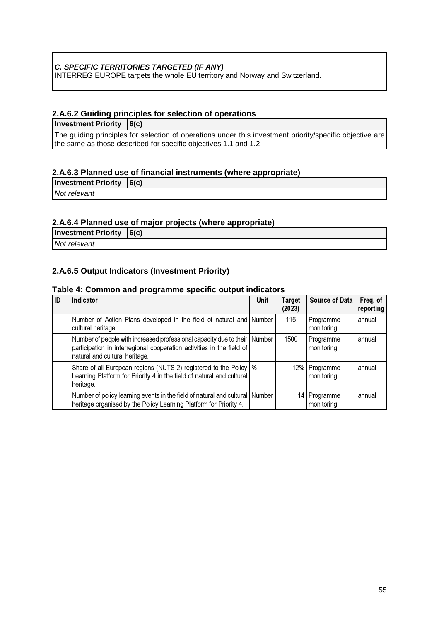#### **C. SPECIFIC TERRITORIES TARGETED (IF ANY)**

INTERREG EUROPE targets the whole EU territory and Norway and Switzerland.

#### **2.A.6.2 Guiding principles for selection of operations**

**Investment Priority 6(c)**

The guiding principles for selection of operations under this investment priority/specific objective are the same as those described for specific objectives 1.1 and 1.2.

#### **2.A.6.3 Planned use of financial instruments (where appropriate)**

**Investment Priority 6(c)**

Not relevant

#### **2.A.6.4 Planned use of major projects (where appropriate)**

**Investment Priority 6(c)**

Not relevant

#### **2.A.6.5 Output Indicators (Investment Priority)**

#### **Table 4: Common and programme specific output indicators**

| ID | Indicator                                                                                                                                                                            | <b>Unit</b> | <b>Target</b><br>(2023) | <b>Source of Data</b>         | Freq. of<br>reporting |
|----|--------------------------------------------------------------------------------------------------------------------------------------------------------------------------------------|-------------|-------------------------|-------------------------------|-----------------------|
|    | Number of Action Plans developed in the field of natural and Number<br>cultural heritage                                                                                             |             | 115                     | Programme<br>monitoring       | annual                |
|    | Number of people with increased professional capacity due to their Number<br>participation in interregional cooperation activities in the field of<br>natural and cultural heritage. |             | 1500                    | Programme<br>monitoring       | annual                |
|    | Share of all European regions (NUTS 2) registered to the Policy \%<br>Learning Platform for Priority 4 in the field of natural and cultural<br>heritage.                             |             |                         | 12%   Programme<br>monitoring | annual                |
|    | Number of policy learning events in the field of natural and cultural Number<br>heritage organised by the Policy Learning Platform for Priority 4.                                   |             |                         | 14 Programme<br>monitoring    | annual                |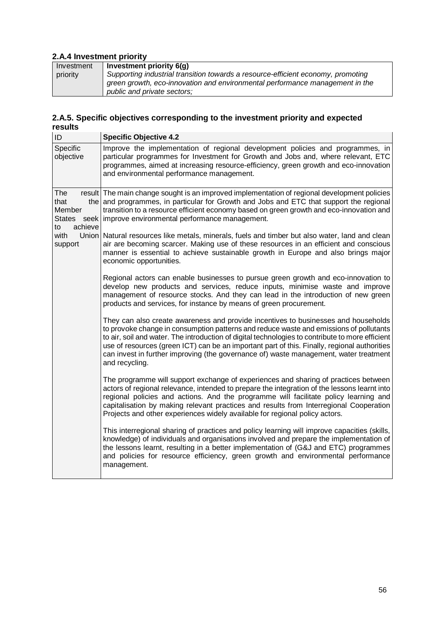# **2.A.4 Investment priority**

| Investment | Investment priority 6(g)                                                         |
|------------|----------------------------------------------------------------------------------|
| priority   | Supporting industrial transition towards a resource-efficient economy, promoting |
|            | green growth, eco-innovation and environmental performance management in the     |
|            | public and private sectors;                                                      |

#### **2.A.5. Specific objectives corresponding to the investment priority and expected results**

| ID                                                      | <b>Specific Objective 4.2</b>                                                                                                                                                                                                                                                                                                                                                                                                                                                               |
|---------------------------------------------------------|---------------------------------------------------------------------------------------------------------------------------------------------------------------------------------------------------------------------------------------------------------------------------------------------------------------------------------------------------------------------------------------------------------------------------------------------------------------------------------------------|
| Specific<br>objective                                   | Improve the implementation of regional development policies and programmes, in<br>particular programmes for Investment for Growth and Jobs and, where relevant, ETC<br>programmes, aimed at increasing resource-efficiency, green growth and eco-innovation<br>and environmental performance management.                                                                                                                                                                                    |
| The<br>that<br>Member<br><b>States</b><br>achieve<br>to | result The main change sought is an improved implementation of regional development policies<br>the and programmes, in particular for Growth and Jobs and ETC that support the regional<br>transition to a resource efficient economy based on green growth and eco-innovation and<br>seek improve environmental performance management.                                                                                                                                                    |
| with<br>support                                         | Union Natural resources like metals, minerals, fuels and timber but also water, land and clean<br>air are becoming scarcer. Making use of these resources in an efficient and conscious<br>manner is essential to achieve sustainable growth in Europe and also brings major<br>economic opportunities.                                                                                                                                                                                     |
|                                                         | Regional actors can enable businesses to pursue green growth and eco-innovation to<br>develop new products and services, reduce inputs, minimise waste and improve<br>management of resource stocks. And they can lead in the introduction of new green<br>products and services, for instance by means of green procurement.                                                                                                                                                               |
|                                                         | They can also create awareness and provide incentives to businesses and households<br>to provoke change in consumption patterns and reduce waste and emissions of pollutants<br>to air, soil and water. The introduction of digital technologies to contribute to more efficient<br>use of resources (green ICT) can be an important part of this. Finally, regional authorities<br>can invest in further improving (the governance of) waste management, water treatment<br>and recycling. |
|                                                         | The programme will support exchange of experiences and sharing of practices between<br>actors of regional relevance, intended to prepare the integration of the lessons learnt into<br>regional policies and actions. And the programme will facilitate policy learning and<br>capitalisation by making relevant practices and results from Interregional Cooperation<br>Projects and other experiences widely available for regional policy actors.                                        |
|                                                         | This interregional sharing of practices and policy learning will improve capacities (skills,<br>knowledge) of individuals and organisations involved and prepare the implementation of<br>the lessons learnt, resulting in a better implementation of (G&J and ETC) programmes<br>and policies for resource efficiency, green growth and environmental performance<br>management.                                                                                                           |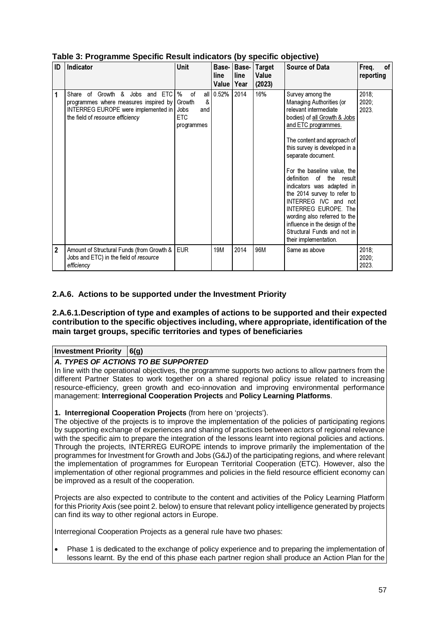| ID             | Indicator                                                                                                                                                     | <b>Unit</b>                                                           | Base-<br>line<br>Value | Base-<br>line<br>Year | <b>Target</b><br>Value<br>(2023) | <b>Source of Data</b>                                                                                                                                                                                                                                                                                                                                                                                                                                                                                                               | Freq.<br>οf<br>reporting   |
|----------------|---------------------------------------------------------------------------------------------------------------------------------------------------------------|-----------------------------------------------------------------------|------------------------|-----------------------|----------------------------------|-------------------------------------------------------------------------------------------------------------------------------------------------------------------------------------------------------------------------------------------------------------------------------------------------------------------------------------------------------------------------------------------------------------------------------------------------------------------------------------------------------------------------------------|----------------------------|
| 1              | Share of Growth &<br>and ETC<br>Jobs<br>programmes where measures inspired by<br>INTERREG EUROPE were implemented in Jobs<br>the field of resource efficiency | $\%$<br>οf<br>all I<br>&<br>Growth<br>and<br><b>ETC</b><br>programmes | 0.52%                  | 2014                  | 16%                              | Survey among the<br>Managing Authorities (or<br>relevant intermediate<br>bodies) of all Growth & Jobs<br>and ETC programmes.<br>The content and approach of<br>this survey is developed in a<br>separate document.<br>For the baseline value, the<br>definition<br>of<br>the<br>result<br>indicators was adapted in<br>the 2014 survey to refer to<br>INTERREG IVC and not<br><b>INTERREG EUROPE. The</b><br>wording also referred to the<br>influence in the design of the<br>Structural Funds and not in<br>their implementation. | 2018;<br>$2020$ ;<br>2023. |
| $\overline{2}$ | Amount of Structural Funds (from Growth &  <br>Jobs and ETC) in the field of resource<br>efficiency                                                           | <b>EUR</b>                                                            | 19M                    | 2014                  | 96M                              | Same as above                                                                                                                                                                                                                                                                                                                                                                                                                                                                                                                       | 2018;<br>2020;<br>2023.    |

**Table 3: Programme Specific Result indicators (by specific objective)**

#### **2.A.6. Actions to be supported under the Investment Priority**

#### **2.A.6.1.Description of type and examples of actions to be supported and their expected contribution to the specific objectives including, where appropriate, identification of the main target groups, specific territories and types of beneficiaries**

#### **Investment Priority 6(g)**

#### **A. TYPES OF ACTIONS TO BE SUPPORTED**

In line with the operational objectives, the programme supports two actions to allow partners from the different Partner States to work together on a shared regional policy issue related to increasing resource-efficiency, green growth and eco-innovation and improving environmental performance management: **Interregional Cooperation Projects** and **Policy Learning Platforms**.

#### **1. Interregional Cooperation Projects** (from here on 'projects').

The objective of the projects is to improve the implementation of the policies of participating regions by supporting exchange of experiences and sharing of practices between actors of regional relevance with the specific aim to prepare the integration of the lessons learnt into regional policies and actions. Through the projects, INTERREG EUROPE intends to improve primarily the implementation of the programmes for Investment for Growth and Jobs (G&J) of the participating regions, and where relevant the implementation of programmes for European Territorial Cooperation (ETC). However, also the implementation of other regional programmes and policies in the field resource efficient economy can be improved as a result of the cooperation.

Projects are also expected to contribute to the content and activities of the Policy Learning Platform for this Priority Axis (see point 2. below) to ensure that relevant policy intelligence generated by projects can find its way to other regional actors in Europe.

Interregional Cooperation Projects as a general rule have two phases:

• Phase 1 is dedicated to the exchange of policy experience and to preparing the implementation of lessons learnt. By the end of this phase each partner region shall produce an Action Plan for the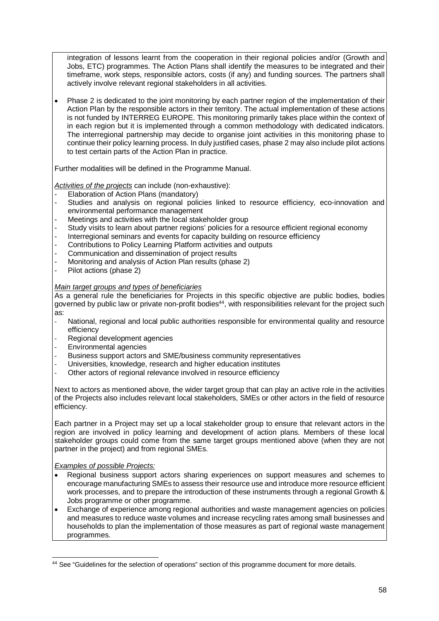integration of lessons learnt from the cooperation in their regional policies and/or (Growth and Jobs, ETC) programmes. The Action Plans shall identify the measures to be integrated and their timeframe, work steps, responsible actors, costs (if any) and funding sources. The partners shall actively involve relevant regional stakeholders in all activities.

Phase 2 is dedicated to the joint monitoring by each partner region of the implementation of their Action Plan by the responsible actors in their territory. The actual implementation of these actions is not funded by INTERREG EUROPE. This monitoring primarily takes place within the context of in each region but it is implemented through a common methodology with dedicated indicators. The interregional partnership may decide to organise joint activities in this monitoring phase to continue their policy learning process. In duly justified cases, phase 2 may also include pilot actions to test certain parts of the Action Plan in practice.

Further modalities will be defined in the Programme Manual.

Activities of the projects can include (non-exhaustive):

- Elaboration of Action Plans (mandatory)
- Studies and analysis on regional policies linked to resource efficiency, eco-innovation and environmental performance management
- Meetings and activities with the local stakeholder group
- Study visits to learn about partner regions' policies for a resource efficient regional economy
- Interregional seminars and events for capacity building on resource efficiency
- Contributions to Policy Learning Platform activities and outputs
- Communication and dissemination of project results
- Monitoring and analysis of Action Plan results (phase 2)
- Pilot actions (phase 2)

#### Main target groups and types of beneficiaries

As a general rule the beneficiaries for Projects in this specific objective are public bodies, bodies governed by public law or private non-profit bodies<sup>44</sup>, with responsibilities relevant for the project such as:

- National, regional and local public authorities responsible for environmental quality and resource efficiency
- Regional development agencies
- Environmental agencies
- Business support actors and SME/business community representatives
- Universities, knowledge, research and higher education institutes
- Other actors of regional relevance involved in resource efficiency

Next to actors as mentioned above, the wider target group that can play an active role in the activities of the Projects also includes relevant local stakeholders, SMEs or other actors in the field of resource efficiency.

Each partner in a Project may set up a local stakeholder group to ensure that relevant actors in the region are involved in policy learning and development of action plans. Members of these local stakeholder groups could come from the same target groups mentioned above (when they are not partner in the project) and from regional SMEs.

#### Examples of possible Projects:

l

- Regional business support actors sharing experiences on support measures and schemes to encourage manufacturing SMEs to assess their resource use and introduce more resource efficient work processes, and to prepare the introduction of these instruments through a regional Growth & Jobs programme or other programme.
- Exchange of experience among regional authorities and waste management agencies on policies and measures to reduce waste volumes and increase recycling rates among small businesses and households to plan the implementation of those measures as part of regional waste management programmes.

<sup>44</sup> See "Guidelines for the selection of operations" section of this programme document for more details.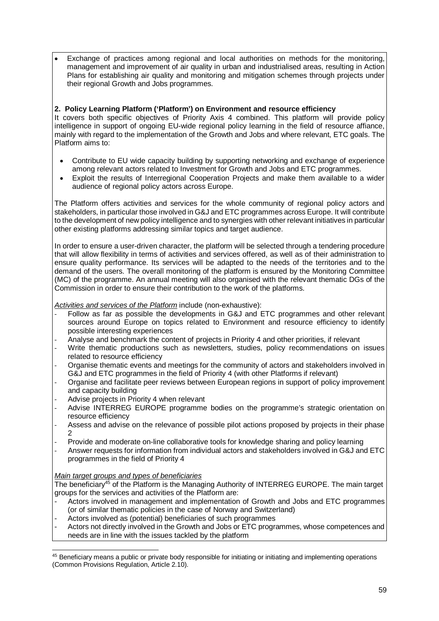• Exchange of practices among regional and local authorities on methods for the monitoring, management and improvement of air quality in urban and industrialised areas, resulting in Action Plans for establishing air quality and monitoring and mitigation schemes through projects under their regional Growth and Jobs programmes.

#### **2. Policy Learning Platform ('Platform') on Environment and resource efficiency**

It covers both specific objectives of Priority Axis 4 combined. This platform will provide policy intelligence in support of ongoing EU-wide regional policy learning in the field of resource affiance, mainly with regard to the implementation of the Growth and Jobs and where relevant, ETC goals. The Platform aims to:

- Contribute to EU wide capacity building by supporting networking and exchange of experience among relevant actors related to Investment for Growth and Jobs and ETC programmes.
- Exploit the results of Interregional Cooperation Projects and make them available to a wider audience of regional policy actors across Europe.

The Platform offers activities and services for the whole community of regional policy actors and stakeholders, in particular those involved in G&J and ETC programmes across Europe. It will contribute to the development of new policy intelligence and to synergies with other relevant initiatives in particular other existing platforms addressing similar topics and target audience.

In order to ensure a user-driven character, the platform will be selected through a tendering procedure that will allow flexibility in terms of activities and services offered, as well as of their administration to ensure quality performance. Its services will be adapted to the needs of the territories and to the demand of the users. The overall monitoring of the platform is ensured by the Monitoring Committee (MC) of the programme. An annual meeting will also organised with the relevant thematic DGs of the Commission in order to ensure their contribution to the work of the platforms.

Activities and services of the Platform include (non-exhaustive):

- Follow as far as possible the developments in G&J and ETC programmes and other relevant sources around Europe on topics related to Environment and resource efficiency to identify possible interesting experiences
- Analyse and benchmark the content of projects in Priority 4 and other priorities, if relevant
- Write thematic productions such as newsletters, studies, policy recommendations on issues related to resource efficiency
- Organise thematic events and meetings for the community of actors and stakeholders involved in G&J and ETC programmes in the field of Priority 4 (with other Platforms if relevant)
- Organise and facilitate peer reviews between European regions in support of policy improvement and capacity building
- Advise projects in Priority 4 when relevant
- Advise INTERREG EUROPE programme bodies on the programme's strategic orientation on resource efficiency
- Assess and advise on the relevance of possible pilot actions proposed by projects in their phase  $\mathfrak{D}$
- Provide and moderate on-line collaborative tools for knowledge sharing and policy learning
- Answer requests for information from individual actors and stakeholders involved in G&J and ETC programmes in the field of Priority 4

#### Main target groups and types of beneficiaries

The beneficiary<sup>45</sup> of the Platform is the Managing Authority of INTERREG EUROPE. The main target groups for the services and activities of the Platform are:

- Actors involved in management and implementation of Growth and Jobs and ETC programmes (or of similar thematic policies in the case of Norway and Switzerland)
- Actors involved as (potential) beneficiaries of such programmes
- Actors not directly involved in the Growth and Jobs or ETC programmes, whose competences and needs are in line with the issues tackled by the platform

 $\overline{a}$ 45 Beneficiary means a public or private body responsible for initiating or initiating and implementing operations (Common Provisions Regulation, Article 2.10).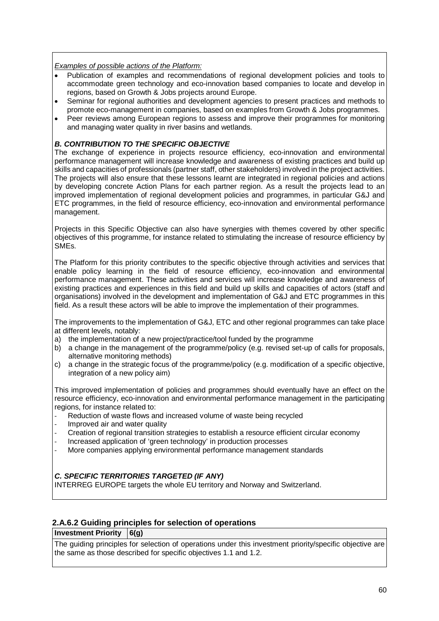#### Examples of possible actions of the Platform:

- Publication of examples and recommendations of regional development policies and tools to accommodate green technology and eco-innovation based companies to locate and develop in regions, based on Growth & Jobs projects around Europe.
- Seminar for regional authorities and development agencies to present practices and methods to promote eco-management in companies, based on examples from Growth & Jobs programmes.
- Peer reviews among European regions to assess and improve their programmes for monitoring and managing water quality in river basins and wetlands.

#### **B. CONTRIBUTION TO THE SPECIFIC OBJECTIVE**

The exchange of experience in projects resource efficiency, eco-innovation and environmental performance management will increase knowledge and awareness of existing practices and build up skills and capacities of professionals (partner staff, other stakeholders) involved in the project activities. The projects will also ensure that these lessons learnt are integrated in regional policies and actions by developing concrete Action Plans for each partner region. As a result the projects lead to an improved implementation of regional development policies and programmes, in particular G&J and ETC programmes, in the field of resource efficiency, eco-innovation and environmental performance management.

Projects in this Specific Objective can also have synergies with themes covered by other specific objectives of this programme, for instance related to stimulating the increase of resource efficiency by SMEs.

The Platform for this priority contributes to the specific objective through activities and services that enable policy learning in the field of resource efficiency, eco-innovation and environmental performance management. These activities and services will increase knowledge and awareness of existing practices and experiences in this field and build up skills and capacities of actors (staff and organisations) involved in the development and implementation of G&J and ETC programmes in this field. As a result these actors will be able to improve the implementation of their programmes.

The improvements to the implementation of G&J, ETC and other regional programmes can take place at different levels, notably:

- a) the implementation of a new project/practice/tool funded by the programme
- b) a change in the management of the programme/policy (e.g. revised set-up of calls for proposals, alternative monitoring methods)
- c) a change in the strategic focus of the programme/policy (e.g. modification of a specific objective, integration of a new policy aim)

This improved implementation of policies and programmes should eventually have an effect on the resource efficiency, eco-innovation and environmental performance management in the participating regions, for instance related to:

- Reduction of waste flows and increased volume of waste being recycled
- Improved air and water quality
- Creation of regional transition strategies to establish a resource efficient circular economy
- Increased application of 'green technology' in production processes
- More companies applying environmental performance management standards

#### **C. SPECIFIC TERRITORIES TARGETED (IF ANY)**

INTERREG EUROPE targets the whole EU territory and Norway and Switzerland.

#### **2.A.6.2 Guiding principles for selection of operations**

**Investment Priority 6(g)**

The guiding principles for selection of operations under this investment priority/specific objective are the same as those described for specific objectives 1.1 and 1.2.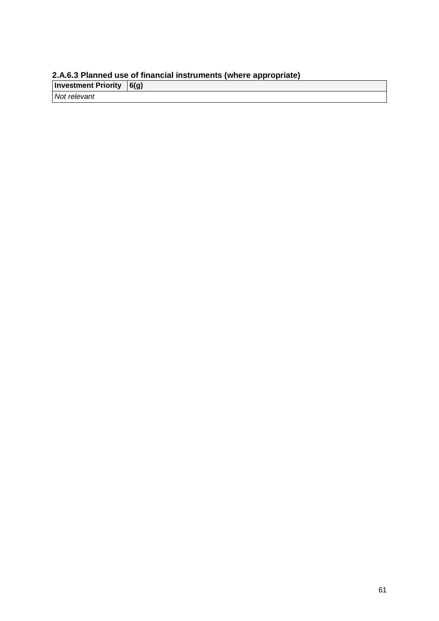#### **2.A.6.3 Planned use of financial instruments (where appropriate)**

**Investment Priority (6(g)** Not relevant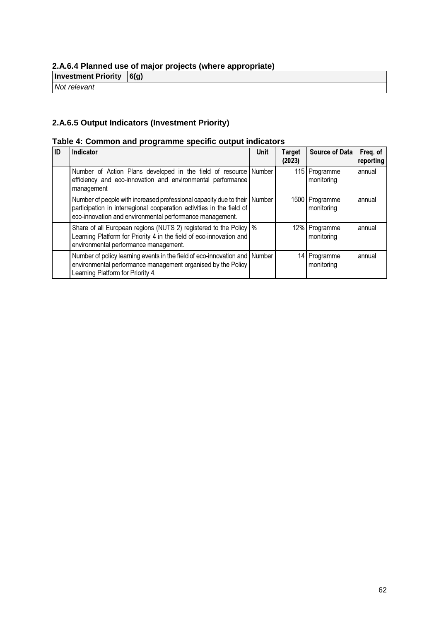# **2.A.6.4 Planned use of major projects (where appropriate)**

**Investment Priority 6(g)** 

Not relevant

# **2.A.6.5 Output Indicators (Investment Priority)**

#### **Table 4: Common and programme specific output indicators**

| ID | Indicator                                                                                                                                                                                                      | <b>Unit</b> | Target<br>(2023) | <b>Source of Data</b>        | Freq. of<br>reporting |
|----|----------------------------------------------------------------------------------------------------------------------------------------------------------------------------------------------------------------|-------------|------------------|------------------------------|-----------------------|
|    | Number of Action Plans developed in the field of resource<br>efficiency and eco-innovation and environmental performance<br>management                                                                         | Number      |                  | 115 Programme<br>monitoring  | annual                |
|    | Number of people with increased professional capacity due to their Number<br>participation in interregional cooperation activities in the field of<br>eco-innovation and environmental performance management. |             |                  | 1500 Programme<br>monitoring | annual                |
|    | Share of all European regions (NUTS 2) registered to the Policy   %<br>Learning Platform for Priority 4 in the field of eco-innovation and<br>environmental performance management.                            |             |                  | 12% Programme<br>monitoring  | annual                |
|    | Number of policy learning events in the field of eco-innovation and Number<br>environmental performance management organised by the Policy<br>Learning Platform for Priority 4.                                |             |                  | 14 Programme<br>monitoring   | annual                |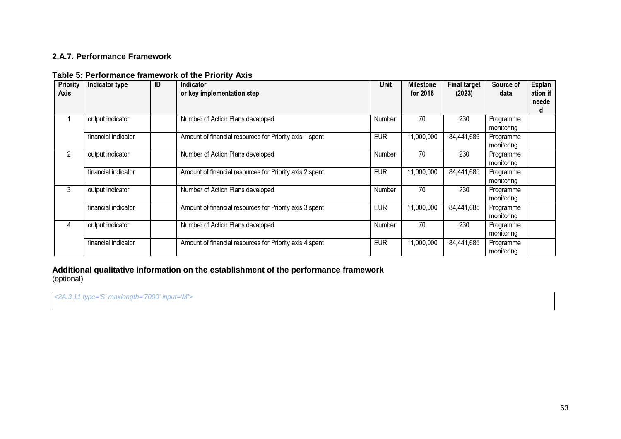## **2.A.7. Performance Framework**

| <b>Priority</b><br><b>Axis</b> | Indicator type      | ID | Indicator<br>or key implementation step                 | Unit       | <b>Milestone</b><br>for 2018 | <b>Final target</b><br>(2023) | Source of<br>data       | <b>Explan</b><br>ation if<br>neede<br>d |
|--------------------------------|---------------------|----|---------------------------------------------------------|------------|------------------------------|-------------------------------|-------------------------|-----------------------------------------|
|                                | output indicator    |    | Number of Action Plans developed                        | Number     | 70                           | 230                           | Programme<br>monitoring |                                         |
|                                | financial indicator |    | Amount of financial resources for Priority axis 1 spent | <b>EUR</b> | 11,000,000                   | 84,441,686                    | Programme<br>monitoring |                                         |
| 2                              | output indicator    |    | Number of Action Plans developed                        | Number     | 70                           | 230                           | Programme<br>monitoring |                                         |
|                                | financial indicator |    | Amount of financial resources for Priority axis 2 spent | <b>EUR</b> | 11,000,000                   | 84,441,685                    | Programme<br>monitoring |                                         |
| 3                              | output indicator    |    | Number of Action Plans developed                        | Number     | 70                           | 230                           | Programme<br>monitoring |                                         |
|                                | financial indicator |    | Amount of financial resources for Priority axis 3 spent | <b>EUR</b> | 11,000,000                   | 84,441,685                    | Programme<br>monitoring |                                         |
| 4                              | output indicator    |    | Number of Action Plans developed                        | Number     | 70                           | 230                           | Programme<br>monitoring |                                         |
|                                | financial indicator |    | Amount of financial resources for Priority axis 4 spent | <b>EUR</b> | 11,000,000                   | 84,441,685                    | Programme<br>monitoring |                                         |

#### **Table 5: Performance framework of the Priority Axis**

**Additional qualitative information on the establishment of the performance framework** (optional)

<2A.3.11 type='S' maxlength='7000' input='M'>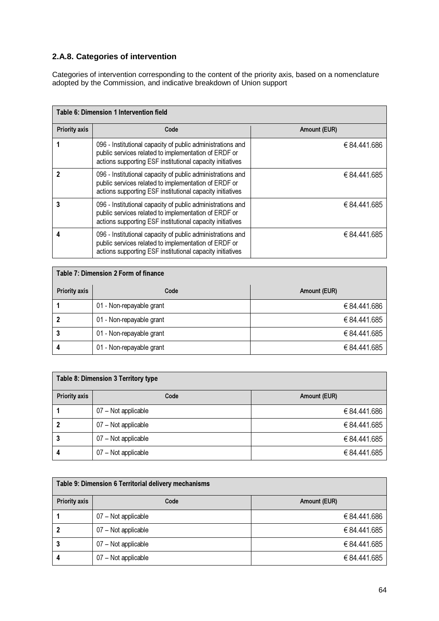# **2.A.8. Categories of intervention**

Categories of intervention corresponding to the content of the priority axis, based on a nomenclature adopted by the Commission, and indicative breakdown of Union support

| <b>Table 6: Dimension 1 Intervention field</b> |                                                                                                                                                                                 |              |  |  |  |  |
|------------------------------------------------|---------------------------------------------------------------------------------------------------------------------------------------------------------------------------------|--------------|--|--|--|--|
| <b>Priority axis</b>                           | Code                                                                                                                                                                            | Amount (EUR) |  |  |  |  |
|                                                | 096 - Institutional capacity of public administrations and<br>public services related to implementation of ERDF or<br>actions supporting ESF institutional capacity initiatives | €84,441,686  |  |  |  |  |
|                                                | 096 - Institutional capacity of public administrations and<br>public services related to implementation of ERDF or<br>actions supporting ESF institutional capacity initiatives | € 84.441.685 |  |  |  |  |
| 3                                              | 096 - Institutional capacity of public administrations and<br>public services related to implementation of ERDF or<br>actions supporting ESF institutional capacity initiatives | € 84.441.685 |  |  |  |  |
|                                                | 096 - Institutional capacity of public administrations and<br>public services related to implementation of ERDF or<br>actions supporting ESF institutional capacity initiatives | €84,441,685  |  |  |  |  |

| Table 7: Dimension 2 Form of finance |                          |              |  |  |  |
|--------------------------------------|--------------------------|--------------|--|--|--|
| <b>Priority axis</b>                 | Code                     | Amount (EUR) |  |  |  |
|                                      | 01 - Non-repayable grant | € 84.441.686 |  |  |  |
|                                      | 01 - Non-repayable grant | € 84.441.685 |  |  |  |
|                                      | 01 - Non-repayable grant | €84.441.685  |  |  |  |
|                                      | 01 - Non-repayable grant | € 84,441,685 |  |  |  |

| <b>Table 8: Dimension 3 Territory type</b> |                     |              |  |  |  |
|--------------------------------------------|---------------------|--------------|--|--|--|
| <b>Priority axis</b>                       | Code                | Amount (EUR) |  |  |  |
|                                            | 07 - Not applicable | €84.441.686  |  |  |  |
|                                            | 07 - Not applicable | € 84,441,685 |  |  |  |
| 3                                          | 07 - Not applicable | €84.441.685  |  |  |  |
| 4                                          | 07 - Not applicable | €84.441.685  |  |  |  |

| Table 9: Dimension 6 Territorial delivery mechanisms |                     |              |  |  |  |
|------------------------------------------------------|---------------------|--------------|--|--|--|
| <b>Priority axis</b>                                 | Code                | Amount (EUR) |  |  |  |
|                                                      | 07 - Not applicable | €84.441.686  |  |  |  |
|                                                      | 07 - Not applicable | €84.441.685  |  |  |  |
| 3                                                    | 07 - Not applicable | €84.441.685  |  |  |  |
| 4                                                    | 07 - Not applicable | €84.441.685  |  |  |  |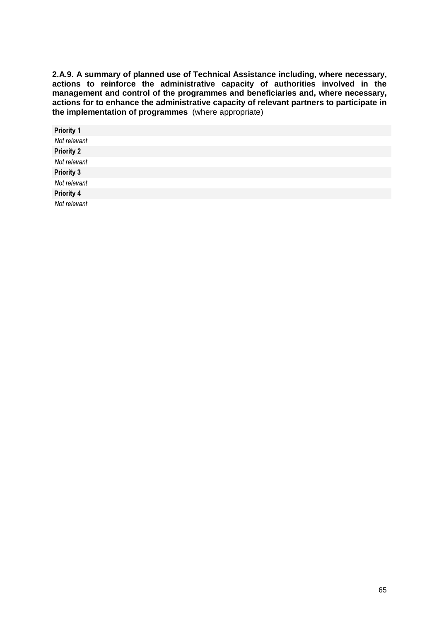**2.A.9. A summary of planned use of Technical Assistance including, where necessary, actions to reinforce the administrative capacity of authorities involved in the management and control of the programmes and beneficiaries and, where necessary, actions for to enhance the administrative capacity of relevant partners to participate in the implementation of programmes** (where appropriate)

| <b>Priority 1</b> |  |
|-------------------|--|
| Not relevant      |  |
| <b>Priority 2</b> |  |
| Not relevant      |  |
| <b>Priority 3</b> |  |
| Not relevant      |  |
| <b>Priority 4</b> |  |
| Not relevant      |  |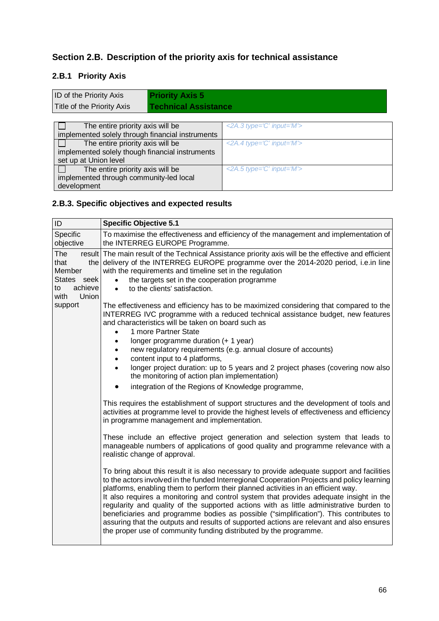# **Section 2.B. Description of the priority axis for technical assistance**

# **2.B.1 Priority Axis**

| <b>ID</b> of the Priority Axis<br><b>Priority Axis 5</b>  |                                                                         |
|-----------------------------------------------------------|-------------------------------------------------------------------------|
| Title of the Priority Axis<br><b>Technical Assistance</b> |                                                                         |
|                                                           |                                                                         |
| The entire priority axis will be                          | $\langle 2A.3 \text{ type} = \hat{C}' \text{ input} = \hat{W}' \rangle$ |
| implemented solely through financial instruments          |                                                                         |
| The entire priority axis will be                          | $\leq$ 2A.4 type='C' input='M'>                                         |
| implemented solely though financial instruments           |                                                                         |
| set up at Union level                                     |                                                                         |
| The entire priority axis will be                          | $\leq$ 2A.5 type='C' input='M'>                                         |
| implemented through community-led local                   |                                                                         |
| development                                               |                                                                         |

# **2.B.3. Specific objectives and expected results**

| ID                                                                            | <b>Specific Objective 5.1</b>                                                                                                                                                                                                                                                                                                                                                                                                                                                                                                                                                                                                                                                                                                  |
|-------------------------------------------------------------------------------|--------------------------------------------------------------------------------------------------------------------------------------------------------------------------------------------------------------------------------------------------------------------------------------------------------------------------------------------------------------------------------------------------------------------------------------------------------------------------------------------------------------------------------------------------------------------------------------------------------------------------------------------------------------------------------------------------------------------------------|
| Specific<br>objective                                                         | To maximise the effectiveness and efficiency of the management and implementation of<br>the INTERREG EUROPE Programme.                                                                                                                                                                                                                                                                                                                                                                                                                                                                                                                                                                                                         |
| <b>The</b><br>that<br>Member<br>States seek<br>achieve<br>to<br>with<br>Union | result The main result of the Technical Assistance priority axis will be the effective and efficient<br>the delivery of the INTERREG EUROPE programme over the 2014-2020 period, i.e. in line<br>with the requirements and timeline set in the regulation<br>the targets set in the cooperation programme<br>$\bullet$<br>to the clients' satisfaction.<br>$\bullet$                                                                                                                                                                                                                                                                                                                                                           |
| support                                                                       | The effectiveness and efficiency has to be maximized considering that compared to the<br>INTERREG IVC programme with a reduced technical assistance budget, new features<br>and characteristics will be taken on board such as<br>1 more Partner State<br>longer programme duration (+ 1 year)                                                                                                                                                                                                                                                                                                                                                                                                                                 |
|                                                                               | new regulatory requirements (e.g. annual closure of accounts)<br>content input to 4 platforms,                                                                                                                                                                                                                                                                                                                                                                                                                                                                                                                                                                                                                                 |
|                                                                               | longer project duration: up to 5 years and 2 project phases (covering now also<br>the monitoring of action plan implementation)                                                                                                                                                                                                                                                                                                                                                                                                                                                                                                                                                                                                |
|                                                                               | integration of the Regions of Knowledge programme,<br>$\bullet$                                                                                                                                                                                                                                                                                                                                                                                                                                                                                                                                                                                                                                                                |
|                                                                               | This requires the establishment of support structures and the development of tools and<br>activities at programme level to provide the highest levels of effectiveness and efficiency<br>in programme management and implementation.                                                                                                                                                                                                                                                                                                                                                                                                                                                                                           |
|                                                                               | These include an effective project generation and selection system that leads to<br>manageable numbers of applications of good quality and programme relevance with a<br>realistic change of approval.                                                                                                                                                                                                                                                                                                                                                                                                                                                                                                                         |
|                                                                               | To bring about this result it is also necessary to provide adequate support and facilities<br>to the actors involved in the funded Interregional Cooperation Projects and policy learning<br>platforms, enabling them to perform their planned activities in an efficient way.<br>It also requires a monitoring and control system that provides adequate insight in the<br>regularity and quality of the supported actions with as little administrative burden to<br>beneficiaries and programme bodies as possible ("simplification"). This contributes to<br>assuring that the outputs and results of supported actions are relevant and also ensures<br>the proper use of community funding distributed by the programme. |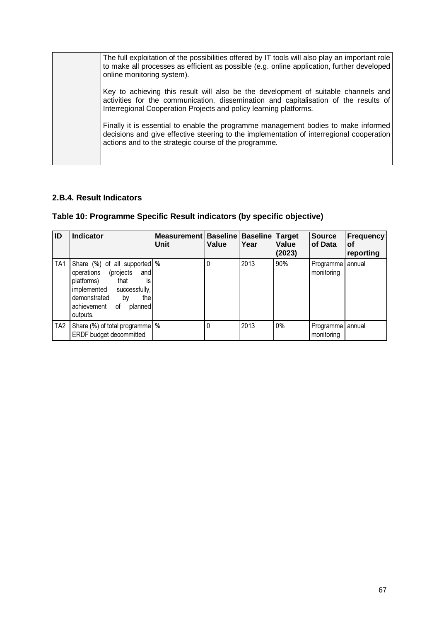| The full exploitation of the possibilities offered by IT tools will also play an important role<br>to make all processes as efficient as possible (e.g. online application, further developed<br>online monitoring system).                     |
|-------------------------------------------------------------------------------------------------------------------------------------------------------------------------------------------------------------------------------------------------|
| Key to achieving this result will also be the development of suitable channels and<br>activities for the communication, dissemination and capitalisation of the results of<br>Interregional Cooperation Projects and policy learning platforms. |
| Finally it is essential to enable the programme management bodies to make informed<br>decisions and give effective steering to the implementation of interregional cooperation<br>actions and to the strategic course of the programme.         |

# **2.B.4. Result Indicators**

# **Table 10: Programme Specific Result indicators (by specific objective)**

| ID              | <b>Indicator</b>                                                                                                                                                                                    | <b>Measurement</b><br>Unit | Value | <b>Baseline   Baseline   Target</b><br>Year | Value<br>(2023) | <b>Source</b><br>of Data       | Frequency<br>οf<br>reporting |
|-----------------|-----------------------------------------------------------------------------------------------------------------------------------------------------------------------------------------------------|----------------------------|-------|---------------------------------------------|-----------------|--------------------------------|------------------------------|
| TA <sub>1</sub> | Share (%) of all supported %<br>(projects<br>operations<br>and<br>is<br>platforms)<br>that<br>implemented<br>successfully,<br>demonstrated<br>the<br>by<br>achievement<br>οf<br>planned<br>outputs. |                            |       | 2013                                        | 90%             | Programme annual<br>monitoring |                              |
| TA <sub>2</sub> | Share (%) of total programme   %<br>ERDF budget decommitted                                                                                                                                         |                            |       | 2013                                        | 0%              | Programme annual<br>monitoring |                              |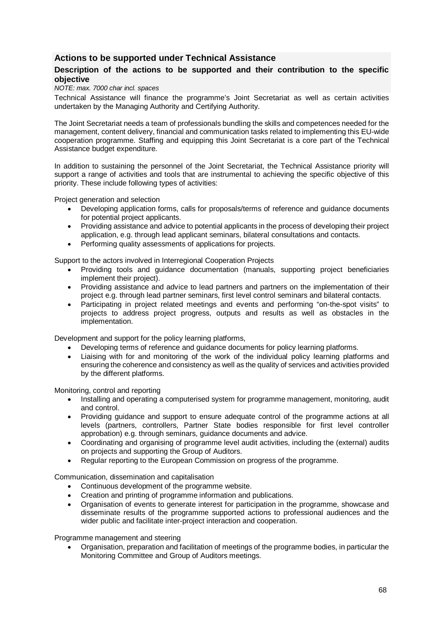## **Actions to be supported under Technical Assistance**

#### **Description of the actions to be supported and their contribution to the specific objective**

#### NOTE: max. 7000 char incl. spaces

Technical Assistance will finance the programme's Joint Secretariat as well as certain activities undertaken by the Managing Authority and Certifying Authority.

The Joint Secretariat needs a team of professionals bundling the skills and competences needed for the management, content delivery, financial and communication tasks related to implementing this EU-wide cooperation programme. Staffing and equipping this Joint Secretariat is a core part of the Technical Assistance budget expenditure.

In addition to sustaining the personnel of the Joint Secretariat, the Technical Assistance priority will support a range of activities and tools that are instrumental to achieving the specific objective of this priority. These include following types of activities:

Project generation and selection

- Developing application forms, calls for proposals/terms of reference and guidance documents for potential project applicants.
- Providing assistance and advice to potential applicants in the process of developing their project application, e.g. through lead applicant seminars, bilateral consultations and contacts.
- Performing quality assessments of applications for projects.

Support to the actors involved in Interregional Cooperation Projects

- Providing tools and guidance documentation (manuals, supporting project beneficiaries implement their project).
- Providing assistance and advice to lead partners and partners on the implementation of their project e.g. through lead partner seminars, first level control seminars and bilateral contacts.
- Participating in project related meetings and events and performing "on-the-spot visits" to projects to address project progress, outputs and results as well as obstacles in the implementation.

Development and support for the policy learning platforms,

- Developing terms of reference and guidance documents for policy learning platforms.
- Liaising with for and monitoring of the work of the individual policy learning platforms and ensuring the coherence and consistency as well as the quality of services and activities provided by the different platforms.

Monitoring, control and reporting

- Installing and operating a computerised system for programme management, monitoring, audit and control.
- Providing guidance and support to ensure adequate control of the programme actions at all levels (partners, controllers, Partner State bodies responsible for first level controller approbation) e.g. through seminars, guidance documents and advice.
- Coordinating and organising of programme level audit activities, including the (external) audits on projects and supporting the Group of Auditors.
- Regular reporting to the European Commission on progress of the programme.

Communication, dissemination and capitalisation

- Continuous development of the programme website.
- Creation and printing of programme information and publications.
- Organisation of events to generate interest for participation in the programme, showcase and disseminate results of the programme supported actions to professional audiences and the wider public and facilitate inter-project interaction and cooperation.

Programme management and steering

• Organisation, preparation and facilitation of meetings of the programme bodies, in particular the Monitoring Committee and Group of Auditors meetings.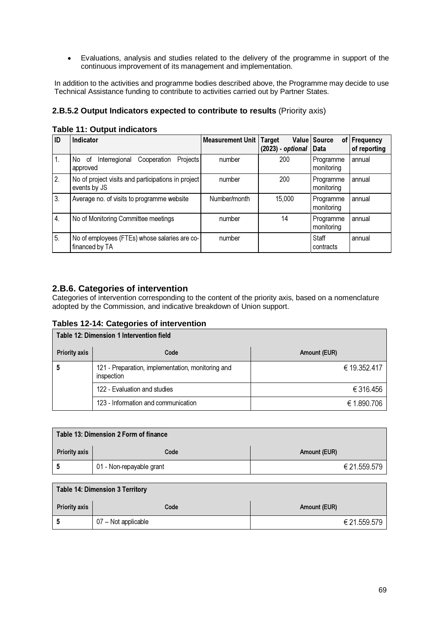• Evaluations, analysis and studies related to the delivery of the programme in support of the continuous improvement of its management and implementation.

In addition to the activities and programme bodies described above, the Programme may decide to use Technical Assistance funding to contribute to activities carried out by Partner States.

#### **2.B.5.2 Output Indicators expected to contribute to results** (Priority axis)

|  | <b>Table 11: Output indicators</b> |  |
|--|------------------------------------|--|
|  |                                    |  |

| ID           | <b>Indicator</b>                                                     | <b>Measurement Unit</b> | Target<br>$(2023)$ - optional $\vert$ | Value Source<br>of l<br>Data | <b>Frequency</b><br>of reporting |
|--------------|----------------------------------------------------------------------|-------------------------|---------------------------------------|------------------------------|----------------------------------|
| 1.           | Interregional<br>Cooperation<br><b>Projects</b><br>No of<br>approved | number                  | 200                                   | Programme<br>monitoring      | annual                           |
| 2.           | No of project visits and participations in project<br>events by JS   | number                  | 200                                   | Programme<br>monitoring      | annual                           |
| 3.           | Average no. of visits to programme website                           | Number/month            | 15,000                                | Programme<br>monitoring      | annual                           |
| $\mathbf{4}$ | No of Monitoring Committee meetings                                  | number                  | 14                                    | Programme<br>monitoring      | annual                           |
| 5.           | No of employees (FTEs) whose salaries are co-<br>financed by TA      | number                  |                                       | Staff<br>contracts           | annual                           |

#### **2.B.6. Categories of intervention**

Categories of intervention corresponding to the content of the priority axis, based on a nomenclature adopted by the Commission, and indicative breakdown of Union support.

#### **Tables 12-14: Categories of intervention**

| <b>Table 12: Dimension 1 Intervention field</b> |                                                                 |              |  |  |  |  |  |  |  |  |
|-------------------------------------------------|-----------------------------------------------------------------|--------------|--|--|--|--|--|--|--|--|
| <b>Priority axis</b>                            | Code                                                            | Amount (EUR) |  |  |  |  |  |  |  |  |
|                                                 | 121 - Preparation, implementation, monitoring and<br>inspection | € 19.352.417 |  |  |  |  |  |  |  |  |
|                                                 | 122 - Evaluation and studies                                    | € 316,456    |  |  |  |  |  |  |  |  |
|                                                 | 123 - Information and communication                             | € 1.890.706  |  |  |  |  |  |  |  |  |

| Table 13: Dimension 2 Form of finance |                          |              |  |  |  |  |
|---------------------------------------|--------------------------|--------------|--|--|--|--|
| <b>Priority axis</b>                  | Code                     | Amount (EUR) |  |  |  |  |
|                                       | 01 - Non-repayable grant | € 21.559.579 |  |  |  |  |

#### Table 14: Dimension 3 Territory

| <b>Priority axis</b> | Code                | Amount (EUR) |
|----------------------|---------------------|--------------|
|                      | 07 – Not applicable | € 21.559.579 |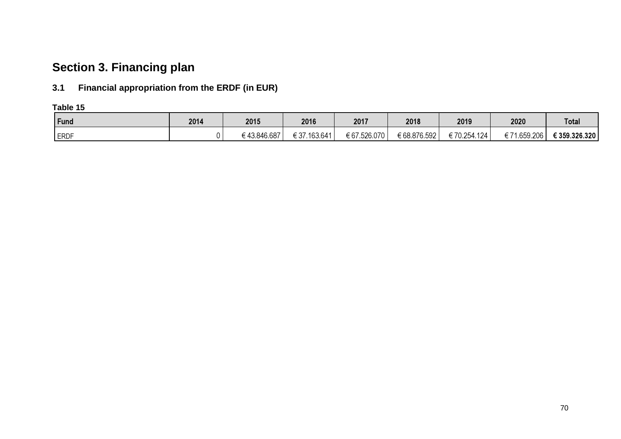# **Section 3. Financing plan**

# **3.1 Financial appropriation from the ERDF (in EUR)**

**Table 15**

| Fund        | 2014 | 2015        | 2016         | 2017         | 2018         | 2019        | 2020             | <b>Total</b>  |
|-------------|------|-------------|--------------|--------------|--------------|-------------|------------------|---------------|
| <b>ERDF</b> |      | €43.846.687 | € 37.163.641 | € 67.526.070 | € 68.876.592 | €70.254.124 | .659.206<br>€ 71 | € 359.326.320 |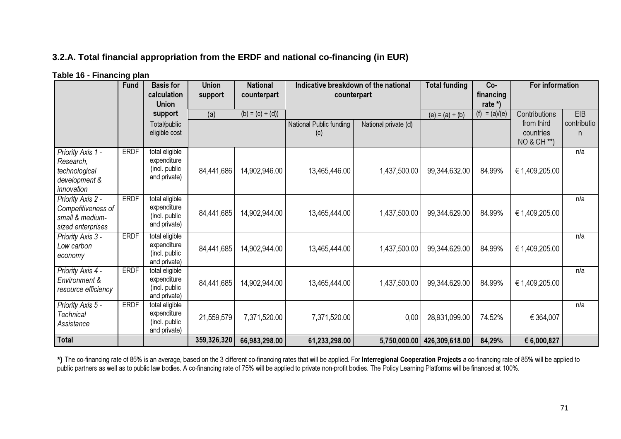# **3.2.A. Total financial appropriation from the ERDF and national co-financing (in EUR)**

| Table 16 - Financing plan |  |
|---------------------------|--|
|---------------------------|--|

|                             | <b>Fund</b> | <b>Basis for</b><br>calculation | <b>Union</b><br>support | <b>National</b><br>counterpart | Indicative breakdown of the national<br>counterpart |                      | <b>Total funding</b>          | Co-<br>financing | For information          |             |
|-----------------------------|-------------|---------------------------------|-------------------------|--------------------------------|-----------------------------------------------------|----------------------|-------------------------------|------------------|--------------------------|-------------|
|                             |             | <b>Union</b>                    |                         |                                |                                                     |                      |                               | rate *)          |                          |             |
|                             |             | support                         | (a)                     | $(b) = (c) + (d)$              |                                                     |                      | $(e) = (a) + (b)$             | $(f) = (a)/(e)$  | Contributions            | EIB         |
|                             |             | Total/public                    |                         |                                | National Public funding                             | National private (d) |                               |                  | from third               | contributio |
|                             |             | eligible cost                   |                         |                                | (c)                                                 |                      |                               |                  | countries<br>NO & CH **) | n.          |
| Priority Axis 1 -           | <b>ERDF</b> | total eligible                  |                         |                                |                                                     |                      |                               |                  |                          | n/a         |
| Research,                   |             | expenditure                     |                         |                                |                                                     |                      |                               |                  |                          |             |
| technological               |             | (incl. public<br>and private)   | 84,441,686              | 14,902,946.00                  | 13,465,446.00                                       | 1,437,500.00         | 99,344.632.00                 | 84.99%           | € 1,409,205.00           |             |
| development &<br>innovation |             |                                 |                         |                                |                                                     |                      |                               |                  |                          |             |
| Priority Axis 2 -           | <b>ERDF</b> | total eligible                  |                         |                                |                                                     |                      |                               |                  |                          | n/a         |
| Competitiveness of          |             | expenditure                     |                         |                                |                                                     |                      |                               |                  |                          |             |
| small & medium-             |             | (incl. public                   | 84,441,685              | 14,902,944.00                  | 13,465,444.00                                       | 1,437,500.00         | 99,344.629.00                 | 84.99%           | € 1,409,205.00           |             |
| sized enterprises           |             | and private)                    |                         |                                |                                                     |                      |                               |                  |                          |             |
| Priority Axis 3 -           | <b>ERDF</b> | total eligible                  |                         |                                |                                                     |                      |                               |                  |                          | n/a         |
| Low carbon                  |             | expenditure<br>(incl. public    | 84,441,685              | 14,902,944.00                  | 13,465,444.00                                       | 1,437,500.00         | 99,344.629.00                 | 84.99%           | € 1,409,205.00           |             |
| economy                     |             | and private)                    |                         |                                |                                                     |                      |                               |                  |                          |             |
| Priority Axis 4 -           | <b>ERDF</b> | total eligible                  |                         |                                |                                                     |                      |                               |                  |                          | n/a         |
| Environment &               |             | expenditure                     | 84,441,685              | 14,902,944.00                  | 13,465,444.00                                       | 1,437,500.00         | 99,344.629.00                 | 84.99%           | € 1,409,205.00           |             |
| resource efficiency         |             | (incl. public<br>and private)   |                         |                                |                                                     |                      |                               |                  |                          |             |
| Priority Axis 5 -           | <b>ERDF</b> | total eligible                  |                         |                                |                                                     |                      |                               |                  |                          | n/a         |
| Technical                   |             | expenditure                     | 21,559,579              | 7,371,520.00                   | 7,371,520.00                                        | 0,00                 | 28,931,099.00                 | 74.52%           | € 364,007                |             |
| Assistance                  |             | (incl. public<br>and private)   |                         |                                |                                                     |                      |                               |                  |                          |             |
| Total                       |             |                                 | 359,326,320             | 66,983,298.00                  | 61,233,298.00                                       |                      | 5,750,000.00   426,309,618.00 | 84,29%           | € 6,000,827              |             |

**\*)** The co-financing rate of 85% is an average, based on the 3 different co-financing rates that will be applied. For Interregional Cooperation Projects a co-financing rate of 85% will be applied to public partners as well as to public law bodies. A co-financing rate of 75% will be applied to private non-profit bodies. The Policy Learning Platforms will be financed at 100%.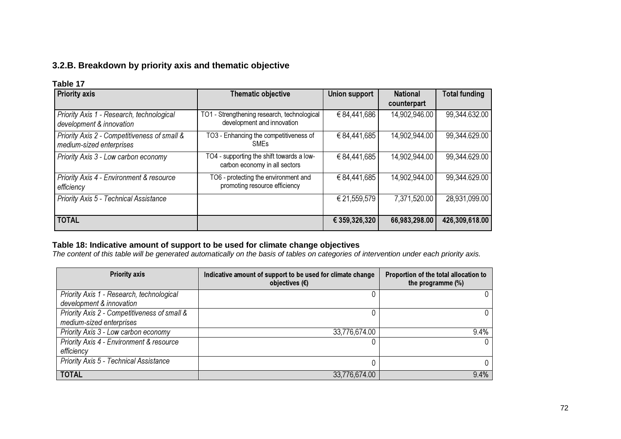# **3.2.B. Breakdown by priority axis and thematic objective**

#### **Table 17**

| <b>Priority axis</b>                                                     | Thematic objective                                                         | Union support | <b>National</b><br>counterpart | <b>Total funding</b> |
|--------------------------------------------------------------------------|----------------------------------------------------------------------------|---------------|--------------------------------|----------------------|
| Priority Axis 1 - Research, technological<br>development & innovation    | TO1 - Strengthening research, technological<br>development and innovation  | € 84,441,686  | 14,902,946.00                  | 99,344.632.00        |
| Priority Axis 2 - Competitiveness of small &<br>medium-sized enterprises | TO3 - Enhancing the competitiveness of<br>SMEs                             | € 84,441,685  | 14,902,944.00                  | 99,344.629.00        |
| Priority Axis 3 - Low carbon economy                                     | TO4 - supporting the shift towards a low-<br>carbon economy in all sectors | € 84,441,685  | 14,902,944.00                  | 99,344.629.00        |
| Priority Axis 4 - Environment & resource<br>efficiency                   | TO6 - protecting the environment and<br>promoting resource efficiency      | €84,441,685   | 14,902,944.00                  | 99,344.629.00        |
| Priority Axis 5 - Technical Assistance                                   |                                                                            | € 21,559,579  | 7,371,520.00                   | 28,931,099.00        |
| <b>TOTAL</b>                                                             |                                                                            | € 359,326,320 | 66,983,298.00                  | 426,309,618.00       |

**Table 18: Indicative amount of support to be used for climate change objectives**<br>The content of this table will be generated automatically on the basis of tables on categories of intervention under each priority axis.

| <b>Priority axis</b>                         | Indicative amount of support to be used for climate change<br>objectives $(\epsilon)$ | Proportion of the total allocation to<br>the programme $(\%)$ |
|----------------------------------------------|---------------------------------------------------------------------------------------|---------------------------------------------------------------|
| Priority Axis 1 - Research, technological    |                                                                                       |                                                               |
| development & innovation                     |                                                                                       |                                                               |
| Priority Axis 2 - Competitiveness of small & | 0                                                                                     |                                                               |
| medium-sized enterprises                     |                                                                                       |                                                               |
| Priority Axis 3 - Low carbon economy         | 33,776,674.00                                                                         | 9.4%                                                          |
| Priority Axis 4 - Environment & resource     |                                                                                       |                                                               |
| efficiency                                   |                                                                                       |                                                               |
| Priority Axis 5 - Technical Assistance       | 0                                                                                     |                                                               |
| <b>TOTAL</b>                                 | 33,776,674.00                                                                         | 9.4%                                                          |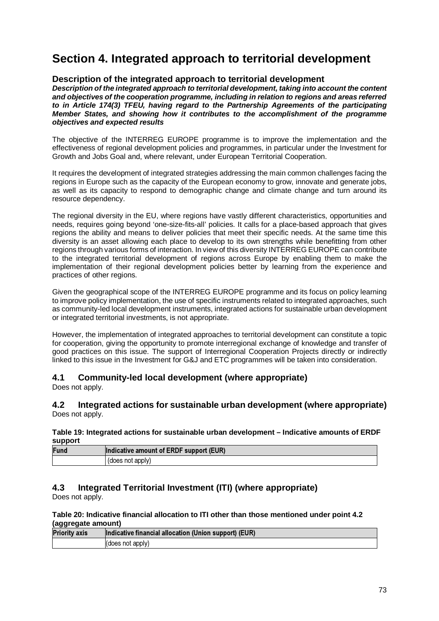# **Section 4. Integrated approach to territorial development**

# **Description of the integrated approach to territorial development**

**Description of the integrated approach to territorial development, taking into account the content and objectives of the cooperation programme, including in relation to regions and areas referred to in Article 174(3) TFEU, having regard to the Partnership Agreements of the participating Member States, and showing how it contributes to the accomplishment of the programme objectives and expected results** 

The objective of the INTERREG EUROPE programme is to improve the implementation and the effectiveness of regional development policies and programmes, in particular under the Investment for Growth and Jobs Goal and, where relevant, under European Territorial Cooperation.

It requires the development of integrated strategies addressing the main common challenges facing the regions in Europe such as the capacity of the European economy to grow, innovate and generate jobs, as well as its capacity to respond to demographic change and climate change and turn around its resource dependency.

The regional diversity in the EU, where regions have vastly different characteristics, opportunities and needs, requires going beyond 'one-size-fits-all' policies. It calls for a place-based approach that gives regions the ability and means to deliver policies that meet their specific needs. At the same time this diversity is an asset allowing each place to develop to its own strengths while benefitting from other regions through various forms of interaction. In view of this diversity INTERREG EUROPE can contribute to the integrated territorial development of regions across Europe by enabling them to make the implementation of their regional development policies better by learning from the experience and practices of other regions.

Given the geographical scope of the INTERREG EUROPE programme and its focus on policy learning to improve policy implementation, the use of specific instruments related to integrated approaches, such as community-led local development instruments, integrated actions for sustainable urban development or integrated territorial investments, is not appropriate.

However, the implementation of integrated approaches to territorial development can constitute a topic for cooperation, giving the opportunity to promote interregional exchange of knowledge and transfer of good practices on this issue. The support of Interregional Cooperation Projects directly or indirectly linked to this issue in the Investment for G&J and ETC programmes will be taken into consideration.

# **4.1 Community-led local development (where appropriate)**

Does not apply.

## **4.2 Integrated actions for sustainable urban development (where appropriate)**  Does not apply.

## **Table 19: Integrated actions for sustainable urban development – Indicative amounts of ERDF support**

| Fund | Indicative amount of ERDF support (EUR) |
|------|-----------------------------------------|
|      | (does not apply)                        |

# **4.3 Integrated Territorial Investment (ITI) (where appropriate)**

Does not apply.

## **Table 20: Indicative financial allocation to ITI other than those mentioned under point 4.2 (aggregate amount)**

| <b>Priority axis</b> | Indicative financial allocation (Union support) (EUR) |  |
|----------------------|-------------------------------------------------------|--|
|                      | $ $ (does not apply)                                  |  |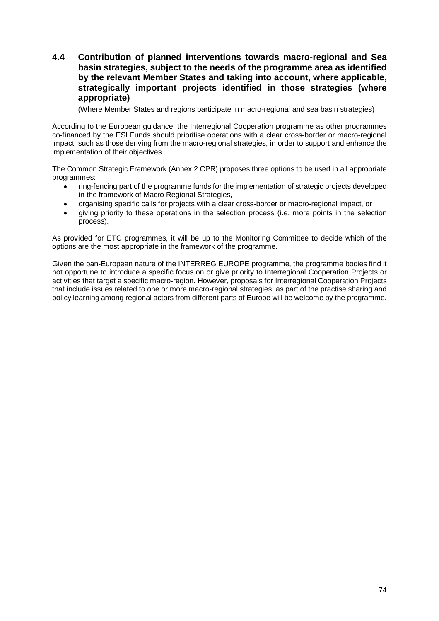# **4.4 Contribution of planned interventions towards macro-regional and Sea basin strategies, subject to the needs of the programme area as identified by the relevant Member States and taking into account, where applicable, strategically important projects identified in those strategies (where appropriate)**

(Where Member States and regions participate in macro-regional and sea basin strategies)

According to the European guidance, the Interregional Cooperation programme as other programmes co-financed by the ESI Funds should prioritise operations with a clear cross-border or macro-regional impact, such as those deriving from the macro-regional strategies, in order to support and enhance the implementation of their objectives.

The Common Strategic Framework (Annex 2 CPR) proposes three options to be used in all appropriate programmes:

- ring-fencing part of the programme funds for the implementation of strategic projects developed in the framework of Macro Regional Strategies,
- organising specific calls for projects with a clear cross-border or macro-regional impact, or
- giving priority to these operations in the selection process (i.e. more points in the selection process).

As provided for ETC programmes, it will be up to the Monitoring Committee to decide which of the options are the most appropriate in the framework of the programme.

Given the pan-European nature of the INTERREG EUROPE programme, the programme bodies find it not opportune to introduce a specific focus on or give priority to Interregional Cooperation Projects or activities that target a specific macro-region. However, proposals for Interregional Cooperation Projects that include issues related to one or more macro-regional strategies, as part of the practise sharing and policy learning among regional actors from different parts of Europe will be welcome by the programme.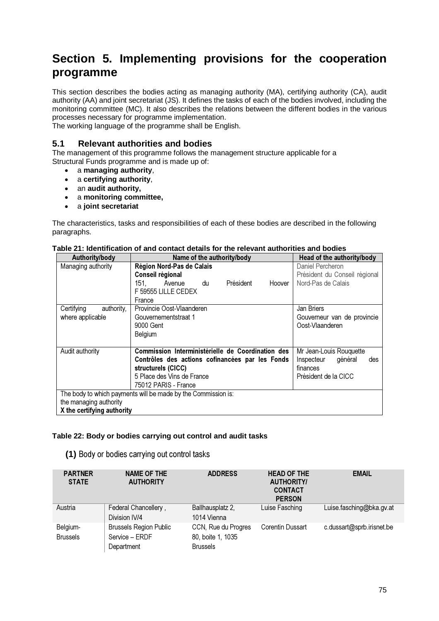# **Section 5. Implementing provisions for the cooperation programme**

This section describes the bodies acting as managing authority (MA), certifying authority (CA), audit authority (AA) and joint secretariat (JS). It defines the tasks of each of the bodies involved, including the monitoring committee (MC). It also describes the relations between the different bodies in the various processes necessary for programme implementation.

The working language of the programme shall be English.

# **5.1 Relevant authorities and bodies**

The management of this programme follows the management structure applicable for a Structural Funds programme and is made up of:

- a **managing authority**,
- a **certifying authority**,
- an **audit authority,**
- a **monitoring committee,**
- a **joint secretariat**

The characteristics, tasks and responsibilities of each of these bodies are described in the following paragraphs.

| Authority/body                                       | Name of the authority/body                                                                                                                                                       | Head of the authority/body                                                                  |
|------------------------------------------------------|----------------------------------------------------------------------------------------------------------------------------------------------------------------------------------|---------------------------------------------------------------------------------------------|
| Managing authority                                   | Région Nord-Pas de Calais<br>Conseil régional<br>Président<br>151. Avenue<br>Hoover<br>du<br>F 59555 LILLE CEDEX<br>France                                                       | Daniel Percheron<br>Président du Conseil régional<br>Nord-Pas de Calais                     |
| Certifying<br>authority,<br>where applicable         | Provincie Oost-Vlaanderen<br>Gouvernementstraat 1<br>9000 Gent<br>Belgium                                                                                                        | Jan Briers<br>Gouverneur van de provincie<br>Oost-Vlaanderen                                |
| Audit authority                                      | Commission Interministérielle de Coordination des<br>Contrôles des actions cofinancées par les Fonds<br>structurels (CICC)<br>5 Place des Vins de France<br>75012 PARIS - France | Mr Jean-Louis Rouguette<br>général<br>Inspecteur<br>des<br>finances<br>Président de la CICC |
| the managing authority<br>X the certifying authority | The body to which payments will be made by the Commission is:                                                                                                                    |                                                                                             |

## **Table 21: Identification of and contact details for the relevant authorities and bodies**

## **Table 22: Body or bodies carrying out control and audit tasks**

**(1)** Body or bodies carrying out control tasks

| <b>PARTNER</b><br><b>STATE</b> | <b>NAME OF THE</b><br><b>AUTHORITY</b> | <b>ADDRESS</b>      | <b>HEAD OF THE</b><br><b>AUTHORITY/</b><br><b>CONTACT</b><br><b>PERSON</b> | <b>EMAIL</b>              |
|--------------------------------|----------------------------------------|---------------------|----------------------------------------------------------------------------|---------------------------|
| Austria                        | Federal Chancellery,                   | Ballhausplatz 2,    | Luise Fasching                                                             | Luise.fasching@bka.gv.at  |
|                                | Division IV/4                          | 1014 Vienna         |                                                                            |                           |
| Belgium-                       | <b>Brussels Region Public</b>          | CCN, Rue du Progres | <b>Corentin Dussart</b>                                                    | c.dussart@sprb.irisnet.be |
| <b>Brussels</b>                | Service - ERDF                         | 80, boite 1, 1035   |                                                                            |                           |
|                                | Department                             | <b>Brussels</b>     |                                                                            |                           |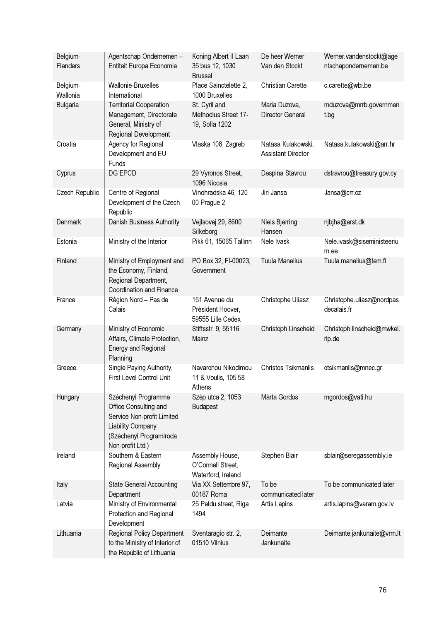| Belgium-<br><b>Flanders</b> | Agentschap Ondernemen -<br>Entiteit Europa Economie                                                                                                   | Koning Albert II Laan<br>35 bus 12, 1030<br><b>Brussel</b> | De heer Werner<br>Van den Stockt                | Werner.vandenstockt@age<br>ntschapondernemen.be |
|-----------------------------|-------------------------------------------------------------------------------------------------------------------------------------------------------|------------------------------------------------------------|-------------------------------------------------|-------------------------------------------------|
| Belgium-<br>Wallonia        | Wallonie-Bruxelles<br>International                                                                                                                   | Place Sainctelette 2,<br>1000 Bruxelles                    | <b>Christian Carette</b>                        | c.carette@wbi.be                                |
| Bulgaria                    | <b>Territorial Cooperation</b><br>Management, Directorate<br>General, Ministry of<br>Regional Development                                             | St. Cyril and<br>Methodius Street 17-<br>19, Sofia 1202    | Maria Duzova,<br>Director General               | mduzova@mrrb.governmen<br>t.bg                  |
| Croatia                     | Agency for Regional<br>Development and EU<br>Funds                                                                                                    | Vlaska 108, Zagreb                                         | Natasa Kulakowski,<br><b>Assistant Director</b> | Natasa.kulakowski@arr.hr                        |
| Cyprus                      | DG EPCD                                                                                                                                               | 29 Vyronos Street,<br>1096 Nicosia                         | Despina Stavrou                                 | dstravrou@treasury.gov.cy                       |
| Czech Republic              | Centre of Regional<br>Development of the Czech<br>Republic                                                                                            | Vinohradska 46, 120<br>00 Prague 2                         | Jiri Jansa                                      | Jansa@crr.cz                                    |
| Denmark                     | Danish Business Authority                                                                                                                             | Vejlsovej 29, 8600<br>Silkeborg                            | Niels Bjerring<br>Hansen                        | njbjha@erst.dk                                  |
| Estonia                     | Ministry of the Interior                                                                                                                              | Pikk 61, 15065 Tallinn                                     | Nele Ivask                                      | Nele.ivask@siseministeeriu<br>m.ee              |
| Finland                     | Ministry of Employment and<br>the Economy, Finland,<br>Regional Department,<br><b>Coordination and Finance</b>                                        | PO Box 32, FI-00023,<br>Government                         | <b>Tuula Manelius</b>                           | Tuula.manelius@tem.fi                           |
| France                      | Région Nord - Pas de<br>Calais                                                                                                                        | 151 Avenue du<br>Président Hoover,<br>59555 Lille Cedex    | Christophe Uliasz                               | Christophe.uliasz@nordpas<br>decalais.fr        |
| Germany                     | Ministry of Economic<br>Affairs, Climate Protection,<br>Energy and Regional<br>Planning                                                               | Stiftsstr. 9, 55116<br>Mainz                               | Christoph Linscheid                             | Christoph.linscheid@mwkel.<br>rlp.de            |
| Greece                      | Single Paying Authority,<br>First Level Control Unit                                                                                                  | Navarchou Nikodimou<br>11 & Voulis, 105 58<br>Athens       | Christos Tsikmanlis                             | ctsikmanlis@mnec.gr                             |
| Hungary                     | Széchenyi Programme<br>Office Consulting and<br>Service Non-profit Limited<br><b>Liability Company</b><br>(Széchenyi Programiroda<br>Non-profit Ltd.) | Szép utca 2, 1053<br>Budapest                              | Márta Gordos                                    | mgordos@vati.hu                                 |
| Ireland                     | Southern & Eastern<br>Regional Assembly                                                                                                               | Assembly House,<br>O'Connell Street,<br>Waterford, Ireland | Stephen Blair                                   | sblair@seregassembly.ie                         |
| Italy                       | <b>State General Accounting</b><br>Department                                                                                                         | Via XX Settembre 97,<br>00187 Roma                         | To be<br>communicated later                     | To be communicated later                        |
| Latvia                      | Ministry of Environmental<br>Protection and Regional<br>Development                                                                                   | 25 Peldu street, Riga<br>1494                              | Artis Lapins                                    | artis.lapins@varam.gov.lv                       |
| Lithuania                   | <b>Regional Policy Department</b><br>to the Ministry of Interior of<br>the Republic of Lithuania                                                      | Sventaragio str. 2,<br>01510 Vilnius                       | Deimante<br>Jankunaite                          | Deimante.jankunaite@vrm.lt                      |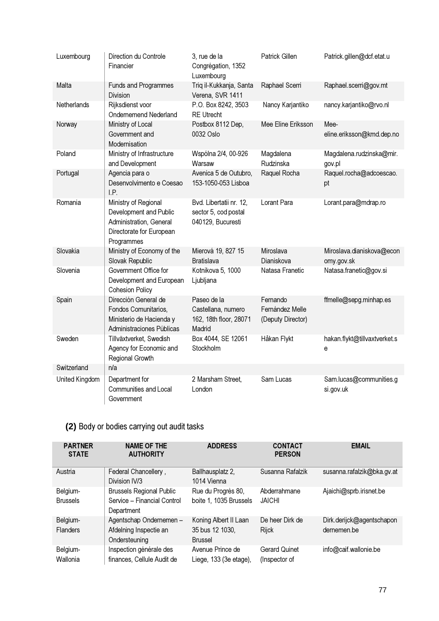| Luxembourg     | Direction du Controle<br>Financier                                                                                  | 3, rue de la<br>Congrégation, 1352<br>Luxembourg                      | Patrick Gillen                                   | Patrick.gillen@dcf.etat.u               |
|----------------|---------------------------------------------------------------------------------------------------------------------|-----------------------------------------------------------------------|--------------------------------------------------|-----------------------------------------|
| Malta          | <b>Funds and Programmes</b><br><b>Division</b>                                                                      | Triq il-Kukkanja, Santa<br>Verena, SVR 1411                           | Raphael Scerri                                   | Raphael.scerri@gov.mt                   |
| Netherlands    | Rijksdienst voor<br><b>Ondernemend Nederland</b>                                                                    | P.O. Box 8242, 3503<br><b>RE Utrecht</b>                              | Nancy Karjantiko                                 | nancy.karjantiko@rvo.nl                 |
| Norway         | Ministry of Local<br>Government and<br>Modernisation                                                                | Postbox 8112 Dep,<br>0032 Oslo                                        | Mee Eline Eriksson                               | Mee-<br>eline.eriksson@kmd.dep.no       |
| Poland         | Ministry of Infrastructure<br>and Development                                                                       | Wspólna 2/4, 00-926<br>Warsaw                                         | Magdalena<br>Rudzinska                           | Magdalena.rudzinska@mir.<br>gov.pl      |
| Portugal       | Agencia para o<br>Desenvolvimento e Coesao<br>I.P.                                                                  | Avenica 5 de Outubro,<br>153-1050-053 Lisboa                          | Raquel Rocha                                     | Raquel.rocha@adcoescao.<br>pt           |
| Romania        | Ministry of Regional<br>Development and Public<br>Administration, General<br>Directorate for European<br>Programmes | Bvd. Libertatii nr. 12,<br>sector 5, cod postal<br>040129, Bucuresti  | Lorant Para                                      | Lorant.para@mdrap.ro                    |
| Slovakia       | Ministry of Economy of the<br>Slovak Republic                                                                       | Mierová 19, 827 15<br>Bratislava                                      | Miroslava<br>Dianiskova                          | Miroslava.dianiskova@econ<br>omy.gov.sk |
| Slovenia       | Government Office for<br>Development and European<br><b>Cohesion Policy</b>                                         | Kotnikova 5, 1000<br>Ljubljana                                        | Natasa Franetic                                  | Natasa.franetic@gov.si                  |
| Spain          | Dirección General de<br>Fondos Comunitarios,<br>Ministerio de Hacienda y<br>Administraciones Públicas               | Paseo de la<br>Castellana, numero<br>162, 18th floor, 28071<br>Madrid | Fernando<br>Fernández Melle<br>(Deputy Director) | ffmelle@sepg.minhap.es                  |
| Sweden         | Tillväxtverket, Swedish<br>Agency for Economic and<br>Regional Growth                                               | Box 4044, SE 12061<br>Stockholm                                       | Håkan Flykt                                      | hakan.flykt@tillvaxtverket.s<br>e       |
| Switzerland    | n/a                                                                                                                 |                                                                       |                                                  |                                         |
| United Kingdom | Department for<br>Communities and Local<br>Government                                                               | 2 Marsham Street,<br>London                                           | Sam Lucas                                        | Sam.lucas@communities.g<br>si.gov.uk    |

# **(2)** Body or bodies carrying out audit tasks

| <b>PARTNER</b><br><b>STATE</b> | <b>NAME OF THE</b><br><b>AUTHORITY</b>                                       | <b>ADDRESS</b>                                             | <b>CONTACT</b><br><b>PERSON</b>       | <b>EMAIL</b>                             |
|--------------------------------|------------------------------------------------------------------------------|------------------------------------------------------------|---------------------------------------|------------------------------------------|
| Austria                        | Federal Chancellery,<br>Division IV/3                                        | Ballhausplatz 2,<br>1014 Vienna                            | Susanna Rafalzik                      | susanna.rafalzik@bka.gv.at               |
| Belgium-<br><b>Brussels</b>    | <b>Brussels Regional Public</b><br>Service - Financial Control<br>Department | Rue du Progrès 80,<br>boite 1, 1035 Brussels               | Abderrahmane<br><b>JAICHI</b>         | Ajaichi@sprb.irisnet.be                  |
| Belgium-<br><b>Flanders</b>    | Agentschap Ondernemen -<br>Afdelning Inspectie an<br>Ondersteuning           | Koning Albert II Laan<br>35 bus 12 1030,<br><b>Brussel</b> | De heer Dirk de<br><b>Rijck</b>       | Dirk.derijck@agentschapon<br>dernemen.be |
| Belgium-<br>Wallonia           | Inspection générale des<br>finances, Cellule Audit de                        | Avenue Prince de<br>Liege, 133 (3e etage),                 | <b>Gerard Quinet</b><br>(Inspector of | info@caif.wallonie.be                    |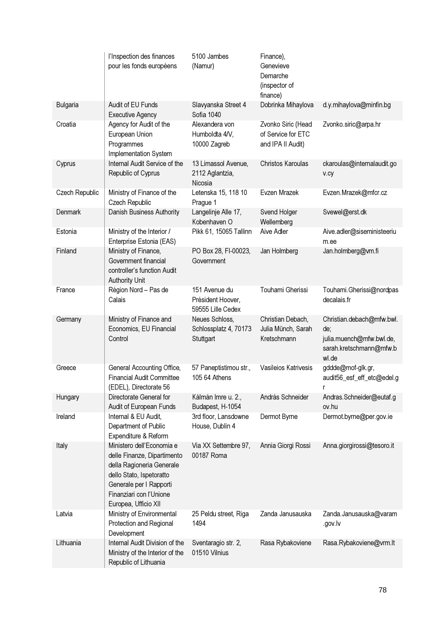|                | l'Inspection des finances<br>pour les fonds européens                                                                                                                                           | 5100 Jambes<br>(Namur)                                  | Finance),<br>Genevieve<br>Demarche<br>(inspector of<br>finance) |                                                                                                  |
|----------------|-------------------------------------------------------------------------------------------------------------------------------------------------------------------------------------------------|---------------------------------------------------------|-----------------------------------------------------------------|--------------------------------------------------------------------------------------------------|
| Bulgaria       | Audit of EU Funds<br><b>Executive Agency</b>                                                                                                                                                    | Slavyanska Street 4<br>Sofia 1040                       | Dobrinka Mihaylova                                              | d.y.mihaylova@minfin.bg                                                                          |
| Croatia        | Agency for Audit of the<br>European Union<br>Programmes<br>Implementation System                                                                                                                | Alexandera von<br>Humboldta 4/V,<br>10000 Zagreb        | Zvonko Siric (Head<br>of Service for ETC<br>and IPA II Audit)   | Zvonko.siric@arpa.hr                                                                             |
| Cyprus         | Internal Audit Service of the<br>Republic of Cyprus                                                                                                                                             | 13 Limassol Avenue,<br>2112 Aglantzia,<br>Nicosia       | Christos Karoulas                                               | ckaroulas@internalaudit.go<br>v.cy                                                               |
| Czech Republic | Ministry of Finance of the<br>Czech Republic                                                                                                                                                    | Letenska 15, 118 10<br>Prague 1                         | Evzen Mrazek                                                    | Evzen.Mrazek@mfcr.cz                                                                             |
| <b>Denmark</b> | Danish Business Authority                                                                                                                                                                       | Langelinje Alle 17,<br>Kobenhaven O                     | Svend Holger<br>Wellemberg                                      | Svewel@erst.dk                                                                                   |
| Estonia        | Ministry of the Interior /<br>Enterprise Estonia (EAS)                                                                                                                                          | Pikk 61, 15065 Tallinn                                  | Aive Adler                                                      | Aive.adler@siseministeeriu<br>m.ee                                                               |
| Finland        | Ministry of Finance,<br>Government financial<br>controller's function Audit<br><b>Authority Unit</b>                                                                                            | PO Box 28, FI-00023,<br>Government                      | Jan Holmberg                                                    | Jan.holmberg@vm.fi                                                                               |
| France         | Région Nord - Pas de<br>Calais                                                                                                                                                                  | 151 Avenue du<br>Président Hoover,<br>59555 Lille Cedex | Touhami Gherissi                                                | Touhami.Gherissi@nordpas<br>decalais.fr                                                          |
| Germany        | Ministry of Finance and<br>Economics, EU Financial<br>Control                                                                                                                                   | Neues Schloss,<br>Schlossplatz 4, 70173<br>Stuttgart    | Christian Debach,<br>Julia Münch, Sarah<br>Kretschmann          | Christian.debach@mfw.bwl.<br>de;<br>julia.muench@mfw.bwl.de,<br>sarah.kretschmann@mfw.b<br>wl.de |
| Greece         | General Accounting Office,<br><b>Financial Audit Committee</b><br>(EDEL), Directorate 56                                                                                                        | 57 Paneptistimou str.,<br>105 64 Athens                 | Vasileios Katrivesis                                            | gddde@mof-glk.gr,<br>audit56_esf_eff_etc@edel.g<br>r                                             |
| Hungary        | Directorate General for<br>Audit of European Funds                                                                                                                                              | Kálmán Imre u. 2.,<br>Budapest, H-1054                  | András Schneider                                                | Andras.Schneider@eutaf.g<br>ov.hu                                                                |
| Ireland        | Internal & EU Audit,<br>Department of Public<br>Expenditure & Reform                                                                                                                            | 3rd floor, Lansdowne<br>House, Dublin 4                 | Dermot Byrne                                                    | Dermot.byrne@per.gov.ie                                                                          |
| Italy          | Ministero dell'Economia e<br>delle Finanze, Dipartimento<br>della Ragioneria Generale<br>dello Stato, Ispetoratto<br>Generale per I Rapporti<br>Finanziari con l'Unione<br>Europea, Ufficio XII | Via XX Settembre 97,<br>00187 Roma                      | Annia Giorgi Rossi                                              | Anna.giorgirossi@tesoro.it                                                                       |
| Latvia         | Ministry of Environmental<br>Protection and Regional<br>Development                                                                                                                             | 25 Peldu street, Riga<br>1494                           | Zanda Janusauska                                                | Zanda.Janusauska@varam<br>.gov.lv                                                                |
| Lithuania      | Internal Audit Division of the<br>Ministry of the Interior of the<br>Republic of Lithuania                                                                                                      | Sventaragio str. 2,<br>01510 Vilnius                    | Rasa Rybakoviene                                                | Rasa.Rybakoviene@vrm.lt                                                                          |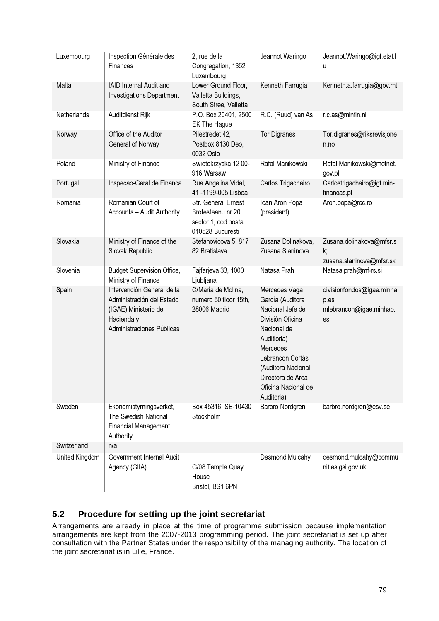| Luxembourg     | Inspection Générale des<br>Finances                                                                                        | 2, rue de la<br>Congrégation, 1352<br>Luxembourg                                      | Jeannot Waringo                                                                                                                                                                                                         | Jeannot. Waringo@igf.etat.l<br>u                                   |
|----------------|----------------------------------------------------------------------------------------------------------------------------|---------------------------------------------------------------------------------------|-------------------------------------------------------------------------------------------------------------------------------------------------------------------------------------------------------------------------|--------------------------------------------------------------------|
| Malta          | <b>IAID Internal Audit and</b><br><b>Investigations Department</b>                                                         | Lower Ground Floor,<br>Valletta Buildings,<br>South Stree, Valletta                   | Kenneth Farrugia                                                                                                                                                                                                        | Kenneth.a.farrugia@gov.mt                                          |
| Netherlands    | Auditdienst Rijk                                                                                                           | P.O. Box 20401, 2500<br>EK The Hague                                                  | R.C. (Ruud) van As                                                                                                                                                                                                      | r.c.as@minfin.nl                                                   |
| Norway         | Office of the Auditor<br>General of Norway                                                                                 | Pilestredet 42,<br>Postbox 8130 Dep,<br>0032 Oslo                                     | <b>Tor Digranes</b>                                                                                                                                                                                                     | Tor.digranes@riksrevisjone<br>n.no                                 |
| Poland         | Ministry of Finance                                                                                                        | Swietokrzyska 1200-<br>916 Warsaw                                                     | Rafal Manikowski                                                                                                                                                                                                        | Rafal.Manikowski@mofnet.<br>gov.pl                                 |
| Portugal       | Inspecao-Geral de Financa                                                                                                  | Rua Angelina Vidal,<br>41-1199-005 Lisboa                                             | Carlos Trigacheiro                                                                                                                                                                                                      | Carlostrigacheiro@igf.min-<br>financas.pt                          |
| Romania        | Romanian Court of<br>Accounts - Audit Authority                                                                            | Str. General Ernest<br>Brotesteanu nr 20,<br>sector 1, cod postal<br>010528 Bucuresti | Ioan Aron Popa<br>(president)                                                                                                                                                                                           | Aron.popa@rcc.ro                                                   |
| Slovakia       | Ministry of Finance of the<br>Slovak Republic                                                                              | Stefanovicova 5, 817<br>82 Bratislava                                                 | Zusana Dolinakova,<br>Zusana Slaninova                                                                                                                                                                                  | Zusana.dolinakova@mfsr.s<br>k;<br>zusana.slaninova@mfsr.sk         |
| Slovenia       | <b>Budget Supervision Office,</b><br>Ministry of Finance                                                                   | Fajfarjeva 33, 1000<br>Ljubljana                                                      | Natasa Prah                                                                                                                                                                                                             | Natasa.prah@mf-rs.si                                               |
| Spain          | Intervención General de la<br>Administración del Estado<br>(IGAE) Ministerio de<br>Hacienda y<br>Administraciones Públicas | C/María de Molina,<br>numero 50 floor 15th,<br>28006 Madrid                           | Mercedes Vaga<br>García (Auditora<br>Nacional Jefe de<br>División Oficina<br>Nacional de<br>Auditioria)<br>Mercedes<br>Lebrancon Cortás<br>(Auditora Nacional<br>Directora de Area<br>Oficina Nacional de<br>Auditoria) | divisionfondos@igae.minha<br>p.es<br>mlebrancon@igae.minhap.<br>es |
| Sweden         | Ekonomistyrningsverket,<br>The Swedish National<br><b>Financial Management</b><br>Authority                                | Box 45316, SE-10430<br>Stockholm                                                      | Barbro Nordgren                                                                                                                                                                                                         | barbro.nordgren@esv.se                                             |
| Switzerland    | n/a                                                                                                                        |                                                                                       |                                                                                                                                                                                                                         |                                                                    |
| United Kingdom | Government Internal Audit<br>Agency (GIIA)                                                                                 | G/08 Temple Quay<br>House<br>Bristol, BS1 6PN                                         | Desmond Mulcahy                                                                                                                                                                                                         | desmond.mulcahy@commu<br>nities.gsi.gov.uk                         |

# **5.2 Procedure for setting up the joint secretariat**

Arrangements are already in place at the time of programme submission because implementation arrangements are kept from the 2007-2013 programming period. The joint secretariat is set up after consultation with the Partner States under the responsibility of the managing authority. The location of the joint secretariat is in Lille, France.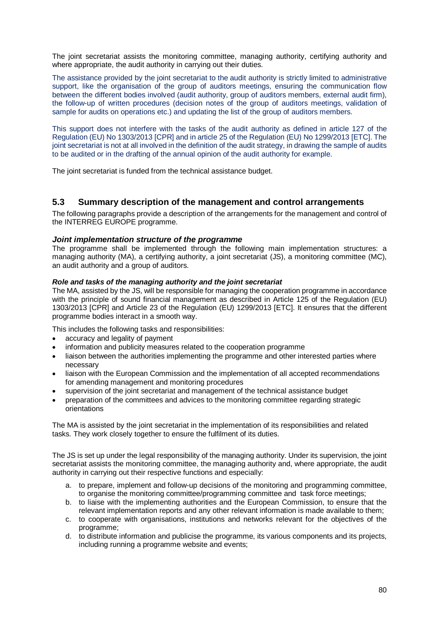The joint secretariat assists the monitoring committee, managing authority, certifying authority and where appropriate, the audit authority in carrying out their duties.

The assistance provided by the joint secretariat to the audit authority is strictly limited to administrative support, like the organisation of the group of auditors meetings, ensuring the communication flow between the different bodies involved (audit authority, group of auditors members, external audit firm), the follow-up of written procedures (decision notes of the group of auditors meetings, validation of sample for audits on operations etc.) and updating the list of the group of auditors members.

This support does not interfere with the tasks of the audit authority as defined in article 127 of the Regulation (EU) No 1303/2013 [CPR] and in article 25 of the Regulation (EU) No 1299/2013 [ETC]. The joint secretariat is not at all involved in the definition of the audit strategy, in drawing the sample of audits to be audited or in the drafting of the annual opinion of the audit authority for example.

The joint secretariat is funded from the technical assistance budget.

# **5.3 Summary description of the management and control arrangements**

The following paragraphs provide a description of the arrangements for the management and control of the INTERREG EUROPE programme.

## **Joint implementation structure of the programme**

The programme shall be implemented through the following main implementation structures: a managing authority (MA), a certifying authority, a joint secretariat (JS), a monitoring committee (MC), an audit authority and a group of auditors.

### **Role and tasks of the managing authority and the joint secretariat**

The MA, assisted by the JS, will be responsible for managing the cooperation programme in accordance with the principle of sound financial management as described in Article 125 of the Regulation (EU) 1303/2013 [CPR] and Article 23 of the Regulation (EU) 1299/2013 [ETC]. It ensures that the different programme bodies interact in a smooth way.

This includes the following tasks and responsibilities:

- accuracy and legality of payment
- information and publicity measures related to the cooperation programme
- liaison between the authorities implementing the programme and other interested parties where necessary
- liaison with the European Commission and the implementation of all accepted recommendations for amending management and monitoring procedures
- supervision of the joint secretariat and management of the technical assistance budget
- preparation of the committees and advices to the monitoring committee regarding strategic orientations

The MA is assisted by the joint secretariat in the implementation of its responsibilities and related tasks. They work closely together to ensure the fulfilment of its duties.

The JS is set up under the legal responsibility of the managing authority. Under its supervision, the joint secretariat assists the monitoring committee, the managing authority and, where appropriate, the audit authority in carrying out their respective functions and especially:

- a. to prepare, implement and follow-up decisions of the monitoring and programming committee, to organise the monitoring committee/programming committee and task force meetings;
- b. to liaise with the implementing authorities and the European Commission, to ensure that the relevant implementation reports and any other relevant information is made available to them;
- c. to cooperate with organisations, institutions and networks relevant for the objectives of the programme;
- d. to distribute information and publicise the programme, its various components and its projects, including running a programme website and events;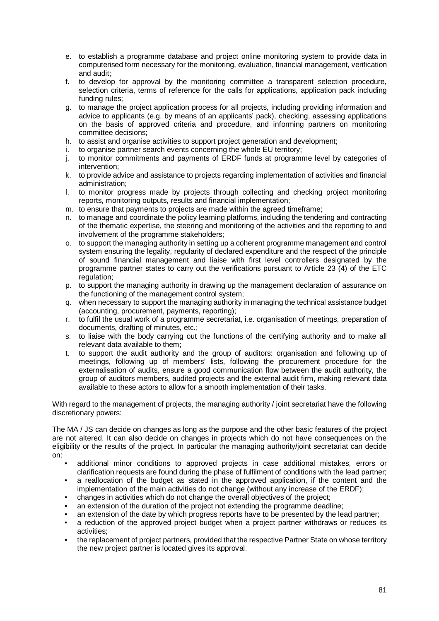- e. to establish a programme database and project online monitoring system to provide data in computerised form necessary for the monitoring, evaluation, financial management, verification and audit;
- f. to develop for approval by the monitoring committee a transparent selection procedure, selection criteria, terms of reference for the calls for applications, application pack including funding rules;
- g. to manage the project application process for all projects, including providing information and advice to applicants (e.g. by means of an applicants' pack), checking, assessing applications on the basis of approved criteria and procedure, and informing partners on monitoring committee decisions;
- h. to assist and organise activities to support project generation and development;
- i. to organise partner search events concerning the whole EU territory;
- j. to monitor commitments and payments of ERDF funds at programme level by categories of intervention;
- k. to provide advice and assistance to projects regarding implementation of activities and financial administration;
- l. to monitor progress made by projects through collecting and checking project monitoring reports, monitoring outputs, results and financial implementation;
- m. to ensure that payments to projects are made within the agreed timeframe;
- n. to manage and coordinate the policy learning platforms, including the tendering and contracting of the thematic expertise, the steering and monitoring of the activities and the reporting to and involvement of the programme stakeholders;
- o. to support the managing authority in setting up a coherent programme management and control system ensuring the legality, regularity of declared expenditure and the respect of the principle of sound financial management and liaise with first level controllers designated by the programme partner states to carry out the verifications pursuant to Article 23 (4) of the ETC regulation:
- p. to support the managing authority in drawing up the management declaration of assurance on the functioning of the management control system;
- q. when necessary to support the managing authority in managing the technical assistance budget (accounting, procurement, payments, reporting);
- r. to fulfil the usual work of a programme secretariat, i.e. organisation of meetings, preparation of documents, drafting of minutes, etc.;
- s. to liaise with the body carrying out the functions of the certifying authority and to make all relevant data available to them;
- t. to support the audit authority and the group of auditors: organisation and following up of meetings, following up of members' lists, following the procurement procedure for the externalisation of audits, ensure a good communication flow between the audit authority, the group of auditors members, audited projects and the external audit firm, making relevant data available to these actors to allow for a smooth implementation of their tasks.

With regard to the management of projects, the managing authority / joint secretariat have the following discretionary powers:

The MA / JS can decide on changes as long as the purpose and the other basic features of the project are not altered. It can also decide on changes in projects which do not have consequences on the eligibility or the results of the project. In particular the managing authority/joint secretariat can decide on:

- additional minor conditions to approved projects in case additional mistakes, errors or clarification requests are found during the phase of fulfilment of conditions with the lead partner;
- a reallocation of the budget as stated in the approved application, if the content and the implementation of the main activities do not change (without any increase of the ERDF);
- changes in activities which do not change the overall objectives of the project;
- an extension of the duration of the project not extending the programme deadline;
- an extension of the date by which progress reports have to be presented by the lead partner;
- a reduction of the approved project budget when a project partner withdraws or reduces its activities;
- the replacement of project partners, provided that the respective Partner State on whose territory the new project partner is located gives its approval.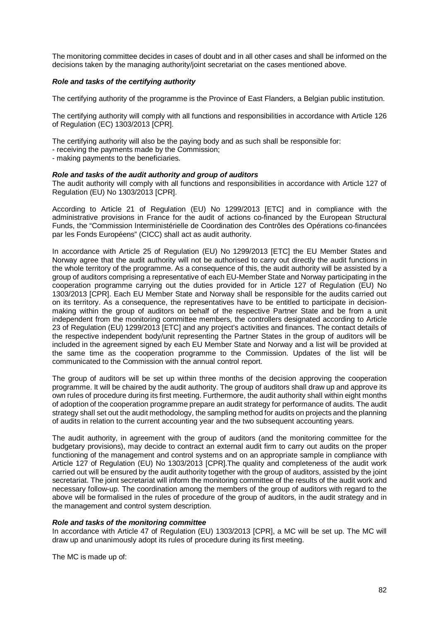The monitoring committee decides in cases of doubt and in all other cases and shall be informed on the decisions taken by the managing authority/joint secretariat on the cases mentioned above.

### **Role and tasks of the certifying authority**

The certifying authority of the programme is the Province of East Flanders, a Belgian public institution.

The certifying authority will comply with all functions and responsibilities in accordance with Article 126 of Regulation (EC) 1303/2013 [CPR].

The certifying authority will also be the paying body and as such shall be responsible for:

- receiving the payments made by the Commission;

- making payments to the beneficiaries.

### **Role and tasks of the audit authority and group of auditors**

The audit authority will comply with all functions and responsibilities in accordance with Article 127 of Regulation (EU) No 1303/2013 [CPR].

According to Article 21 of Regulation (EU) No 1299/2013 [ETC] and in compliance with the administrative provisions in France for the audit of actions co-financed by the European Structural Funds, the "Commission Interministérielle de Coordination des Contrôles des Opérations co-financées par les Fonds Européens" (CICC) shall act as audit authority.

In accordance with Article 25 of Regulation (EU) No 1299/2013 [ETC] the EU Member States and Norway agree that the audit authority will not be authorised to carry out directly the audit functions in the whole territory of the programme. As a consequence of this, the audit authority will be assisted by a group of auditors comprising a representative of each EU-Member State and Norway participating in the cooperation programme carrying out the duties provided for in Article 127 of Regulation (EU) No 1303/2013 [CPR]. Each EU Member State and Norway shall be responsible for the audits carried out on its territory. As a consequence, the representatives have to be entitled to participate in decisionmaking within the group of auditors on behalf of the respective Partner State and be from a unit independent from the monitoring committee members, the controllers designated according to Article 23 of Regulation (EU) 1299/2013 [ETC] and any project's activities and finances. The contact details of the respective independent body/unit representing the Partner States in the group of auditors will be included in the agreement signed by each EU Member State and Norway and a list will be provided at the same time as the cooperation programme to the Commission. Updates of the list will be communicated to the Commission with the annual control report.

The group of auditors will be set up within three months of the decision approving the cooperation programme. It will be chaired by the audit authority. The group of auditors shall draw up and approve its own rules of procedure during its first meeting. Furthermore, the audit authority shall within eight months of adoption of the cooperation programme prepare an audit strategy for performance of audits. The audit strategy shall set out the audit methodology, the sampling method for audits on projects and the planning of audits in relation to the current accounting year and the two subsequent accounting years.

The audit authority, in agreement with the group of auditors (and the monitoring committee for the budgetary provisions), may decide to contract an external audit firm to carry out audits on the proper functioning of the management and control systems and on an appropriate sample in compliance with Article 127 of Regulation (EU) No 1303/2013 [CPR].The quality and completeness of the audit work carried out will be ensured by the audit authority together with the group of auditors, assisted by the joint secretariat. The joint secretariat will inform the monitoring committee of the results of the audit work and necessary follow-up. The coordination among the members of the group of auditors with regard to the above will be formalised in the rules of procedure of the group of auditors, in the audit strategy and in the management and control system description.

### **Role and tasks of the monitoring committee**

In accordance with Article 47 of Regulation (EU) 1303/2013 [CPR], a MC will be set up. The MC will draw up and unanimously adopt its rules of procedure during its first meeting.

The MC is made up of: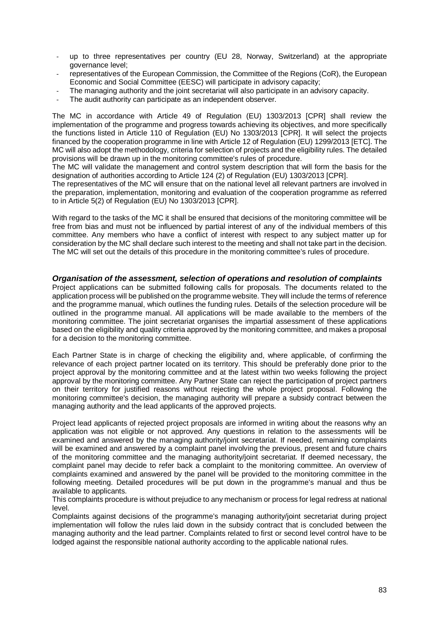- up to three representatives per country (EU 28, Norway, Switzerland) at the appropriate governance level;
- representatives of the European Commission, the Committee of the Regions (CoR), the European Economic and Social Committee (EESC) will participate in advisory capacity;
- The managing authority and the joint secretariat will also participate in an advisory capacity.
- The audit authority can participate as an independent observer.

The MC in accordance with Article 49 of Regulation (EU) 1303/2013 [CPR] shall review the implementation of the programme and progress towards achieving its objectives, and more specifically the functions listed in Article 110 of Regulation (EU) No 1303/2013 [CPR]. It will select the projects financed by the cooperation programme in line with Article 12 of Regulation (EU) 1299/2013 [ETC]. The MC will also adopt the methodology, criteria for selection of projects and the eligibility rules. The detailed provisions will be drawn up in the monitoring committee's rules of procedure.

The MC will validate the management and control system description that will form the basis for the designation of authorities according to Article 124 (2) of Regulation (EU) 1303/2013 [CPR].

The representatives of the MC will ensure that on the national level all relevant partners are involved in the preparation, implementation, monitoring and evaluation of the cooperation programme as referred to in Article 5(2) of Regulation (EU) No 1303/2013 [CPR].

With regard to the tasks of the MC it shall be ensured that decisions of the monitoring committee will be free from bias and must not be influenced by partial interest of any of the individual members of this committee. Any members who have a conflict of interest with respect to any subject matter up for consideration by the MC shall declare such interest to the meeting and shall not take part in the decision. The MC will set out the details of this procedure in the monitoring committee's rules of procedure.

### **Organisation of the assessment, selection of operations and resolution of complaints**

Project applications can be submitted following calls for proposals. The documents related to the application process will be published on the programme website. They will include the terms of reference and the programme manual, which outlines the funding rules. Details of the selection procedure will be outlined in the programme manual. All applications will be made available to the members of the monitoring committee. The joint secretariat organises the impartial assessment of these applications based on the eligibility and quality criteria approved by the monitoring committee, and makes a proposal for a decision to the monitoring committee.

Each Partner State is in charge of checking the eligibility and, where applicable, of confirming the relevance of each project partner located on its territory. This should be preferably done prior to the project approval by the monitoring committee and at the latest within two weeks following the project approval by the monitoring committee. Any Partner State can reject the participation of project partners on their territory for justified reasons without rejecting the whole project proposal. Following the monitoring committee's decision, the managing authority will prepare a subsidy contract between the managing authority and the lead applicants of the approved projects.

Project lead applicants of rejected project proposals are informed in writing about the reasons why an application was not eligible or not approved. Any questions in relation to the assessments will be examined and answered by the managing authority/joint secretariat. If needed, remaining complaints will be examined and answered by a complaint panel involving the previous, present and future chairs of the monitoring committee and the managing authority/joint secretariat. If deemed necessary, the complaint panel may decide to refer back a complaint to the monitoring committee. An overview of complaints examined and answered by the panel will be provided to the monitoring committee in the following meeting. Detailed procedures will be put down in the programme's manual and thus be available to applicants.

This complaints procedure is without prejudice to any mechanism or process for legal redress at national level.

Complaints against decisions of the programme's managing authority/joint secretariat during project implementation will follow the rules laid down in the subsidy contract that is concluded between the managing authority and the lead partner. Complaints related to first or second level control have to be lodged against the responsible national authority according to the applicable national rules.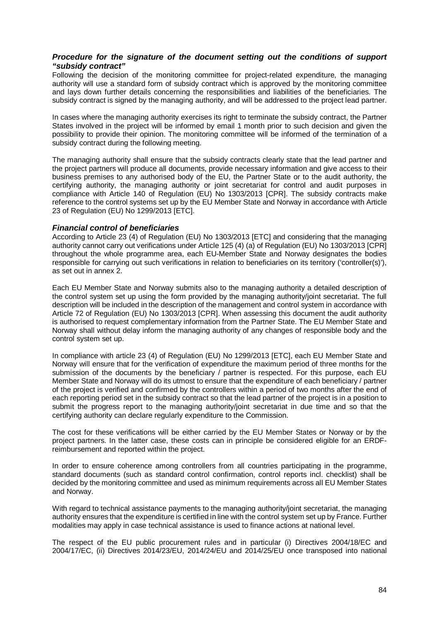## **Procedure for the signature of the document setting out the conditions of support "subsidy contract"**

Following the decision of the monitoring committee for project-related expenditure, the managing authority will use a standard form of subsidy contract which is approved by the monitoring committee and lays down further details concerning the responsibilities and liabilities of the beneficiaries. The subsidy contract is signed by the managing authority, and will be addressed to the project lead partner.

In cases where the managing authority exercises its right to terminate the subsidy contract, the Partner States involved in the project will be informed by email 1 month prior to such decision and given the possibility to provide their opinion. The monitoring committee will be informed of the termination of a subsidy contract during the following meeting.

The managing authority shall ensure that the subsidy contracts clearly state that the lead partner and the project partners will produce all documents, provide necessary information and give access to their business premises to any authorised body of the EU, the Partner State or to the audit authority, the certifying authority, the managing authority or joint secretariat for control and audit purposes in compliance with Article 140 of Regulation (EU) No 1303/2013 [CPR]. The subsidy contracts make reference to the control systems set up by the EU Member State and Norway in accordance with Article 23 of Regulation (EU) No 1299/2013 [ETC].

## **Financial control of beneficiaries**

According to Article 23 (4) of Regulation (EU) No 1303/2013 [ETC] and considering that the managing authority cannot carry out verifications under Article 125 (4) (a) of Regulation (EU) No 1303/2013 [CPR] throughout the whole programme area, each EU-Member State and Norway designates the bodies responsible for carrying out such verifications in relation to beneficiaries on its territory ('controller(s)'), as set out in annex 2.

Each EU Member State and Norway submits also to the managing authority a detailed description of the control system set up using the form provided by the managing authority/joint secretariat. The full description will be included in the description of the management and control system in accordance with Article 72 of Regulation (EU) No 1303/2013 [CPR]. When assessing this document the audit authority is authorised to request complementary information from the Partner State. The EU Member State and Norway shall without delay inform the managing authority of any changes of responsible body and the control system set up.

In compliance with article 23 (4) of Regulation (EU) No 1299/2013 [ETC], each EU Member State and Norway will ensure that for the verification of expenditure the maximum period of three months for the submission of the documents by the beneficiary / partner is respected. For this purpose, each EU Member State and Norway will do its utmost to ensure that the expenditure of each beneficiary / partner of the project is verified and confirmed by the controllers within a period of two months after the end of each reporting period set in the subsidy contract so that the lead partner of the project is in a position to submit the progress report to the managing authority/joint secretariat in due time and so that the certifying authority can declare regularly expenditure to the Commission.

The cost for these verifications will be either carried by the EU Member States or Norway or by the project partners. In the latter case, these costs can in principle be considered eligible for an ERDFreimbursement and reported within the project.

In order to ensure coherence among controllers from all countries participating in the programme, standard documents (such as standard control confirmation, control reports incl. checklist) shall be decided by the monitoring committee and used as minimum requirements across all EU Member States and Norway.

With regard to technical assistance payments to the managing authority/joint secretariat, the managing authority ensures that the expenditure is certified in line with the control system set up by France. Further modalities may apply in case technical assistance is used to finance actions at national level.

The respect of the EU public procurement rules and in particular (i) Directives 2004/18/EC and 2004/17/EC, (ii) Directives 2014/23/EU, 2014/24/EU and 2014/25/EU once transposed into national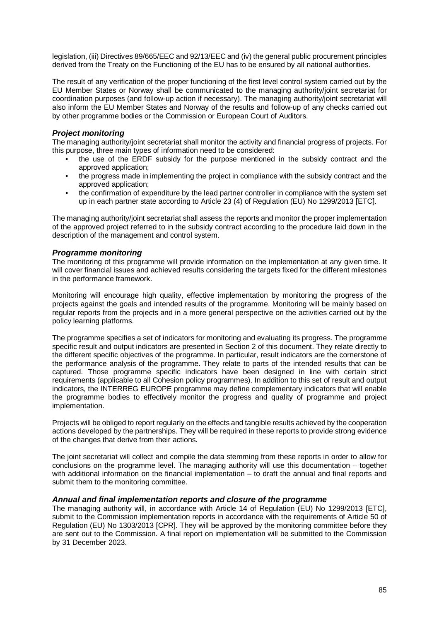legislation, (iii) Directives 89/665/EEC and 92/13/EEC and (iv) the general public procurement principles derived from the Treaty on the Functioning of the EU has to be ensured by all national authorities.

The result of any verification of the proper functioning of the first level control system carried out by the EU Member States or Norway shall be communicated to the managing authority/joint secretariat for coordination purposes (and follow-up action if necessary). The managing authority/joint secretariat will also inform the EU Member States and Norway of the results and follow-up of any checks carried out by other programme bodies or the Commission or European Court of Auditors.

## **Project monitoring**

The managing authority/joint secretariat shall monitor the activity and financial progress of projects. For this purpose, three main types of information need to be considered:

- the use of the ERDF subsidy for the purpose mentioned in the subsidy contract and the approved application;
- the progress made in implementing the project in compliance with the subsidy contract and the approved application;
- the confirmation of expenditure by the lead partner controller in compliance with the system set up in each partner state according to Article 23 (4) of Regulation (EU) No 1299/2013 [ETC].

The managing authority/joint secretariat shall assess the reports and monitor the proper implementation of the approved project referred to in the subsidy contract according to the procedure laid down in the description of the management and control system.

## **Programme monitoring**

The monitoring of this programme will provide information on the implementation at any given time. It will cover financial issues and achieved results considering the targets fixed for the different milestones in the performance framework.

Monitoring will encourage high quality, effective implementation by monitoring the progress of the projects against the goals and intended results of the programme. Monitoring will be mainly based on regular reports from the projects and in a more general perspective on the activities carried out by the policy learning platforms.

The programme specifies a set of indicators for monitoring and evaluating its progress. The programme specific result and output indicators are presented in Section 2 of this document. They relate directly to the different specific objectives of the programme. In particular, result indicators are the cornerstone of the performance analysis of the programme. They relate to parts of the intended results that can be captured. Those programme specific indicators have been designed in line with certain strict requirements (applicable to all Cohesion policy programmes). In addition to this set of result and output indicators, the INTERREG EUROPE programme may define complementary indicators that will enable the programme bodies to effectively monitor the progress and quality of programme and project implementation.

Projects will be obliged to report regularly on the effects and tangible results achieved by the cooperation actions developed by the partnerships. They will be required in these reports to provide strong evidence of the changes that derive from their actions.

The joint secretariat will collect and compile the data stemming from these reports in order to allow for conclusions on the programme level. The managing authority will use this documentation – together with additional information on the financial implementation – to draft the annual and final reports and submit them to the monitoring committee.

## **Annual and final implementation reports and closure of the programme**

The managing authority will, in accordance with Article 14 of Regulation (EU) No 1299/2013 [ETC], submit to the Commission implementation reports in accordance with the requirements of Article 50 of Regulation (EU) No 1303/2013 [CPR]. They will be approved by the monitoring committee before they are sent out to the Commission. A final report on implementation will be submitted to the Commission by 31 December 2023.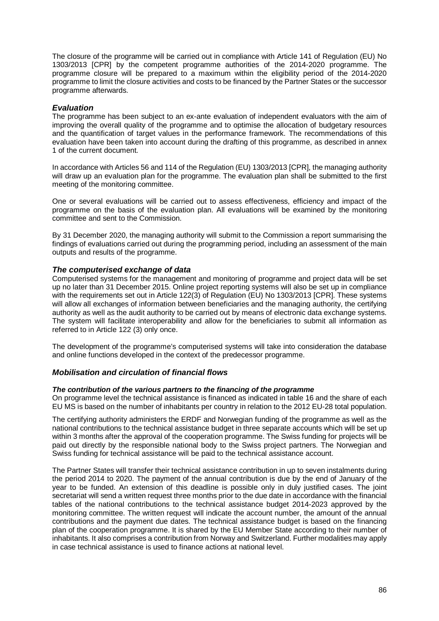The closure of the programme will be carried out in compliance with Article 141 of Regulation (EU) No 1303/2013 [CPR] by the competent programme authorities of the 2014-2020 programme. The programme closure will be prepared to a maximum within the eligibility period of the 2014-2020 programme to limit the closure activities and costs to be financed by the Partner States or the successor programme afterwards.

## **Evaluation**

The programme has been subject to an ex-ante evaluation of independent evaluators with the aim of improving the overall quality of the programme and to optimise the allocation of budgetary resources and the quantification of target values in the performance framework. The recommendations of this evaluation have been taken into account during the drafting of this programme, as described in annex 1 of the current document.

In accordance with Articles 56 and 114 of the Regulation (EU) 1303/2013 [CPR], the managing authority will draw up an evaluation plan for the programme. The evaluation plan shall be submitted to the first meeting of the monitoring committee.

One or several evaluations will be carried out to assess effectiveness, efficiency and impact of the programme on the basis of the evaluation plan. All evaluations will be examined by the monitoring committee and sent to the Commission.

By 31 December 2020, the managing authority will submit to the Commission a report summarising the findings of evaluations carried out during the programming period, including an assessment of the main outputs and results of the programme.

## **The computerised exchange of data**

Computerised systems for the management and monitoring of programme and project data will be set up no later than 31 December 2015. Online project reporting systems will also be set up in compliance with the requirements set out in Article 122(3) of Regulation (EU) No 1303/2013 [CPR]. These systems will allow all exchanges of information between beneficiaries and the managing authority, the certifying authority as well as the audit authority to be carried out by means of electronic data exchange systems. The system will facilitate interoperability and allow for the beneficiaries to submit all information as referred to in Article 122 (3) only once.

The development of the programme's computerised systems will take into consideration the database and online functions developed in the context of the predecessor programme.

## **Mobilisation and circulation of financial flows**

## **The contribution of the various partners to the financing of the programme**

On programme level the technical assistance is financed as indicated in table 16 and the share of each EU MS is based on the number of inhabitants per country in relation to the 2012 EU-28 total population.

The certifying authority administers the ERDF and Norwegian funding of the programme as well as the national contributions to the technical assistance budget in three separate accounts which will be set up within 3 months after the approval of the cooperation programme. The Swiss funding for projects will be paid out directly by the responsible national body to the Swiss project partners. The Norwegian and Swiss funding for technical assistance will be paid to the technical assistance account.

The Partner States will transfer their technical assistance contribution in up to seven instalments during the period 2014 to 2020. The payment of the annual contribution is due by the end of January of the year to be funded. An extension of this deadline is possible only in duly justified cases. The joint secretariat will send a written request three months prior to the due date in accordance with the financial tables of the national contributions to the technical assistance budget 2014-2023 approved by the monitoring committee. The written request will indicate the account number, the amount of the annual contributions and the payment due dates. The technical assistance budget is based on the financing plan of the cooperation programme. It is shared by the EU Member State according to their number of inhabitants. It also comprises a contribution from Norway and Switzerland. Further modalities may apply in case technical assistance is used to finance actions at national level.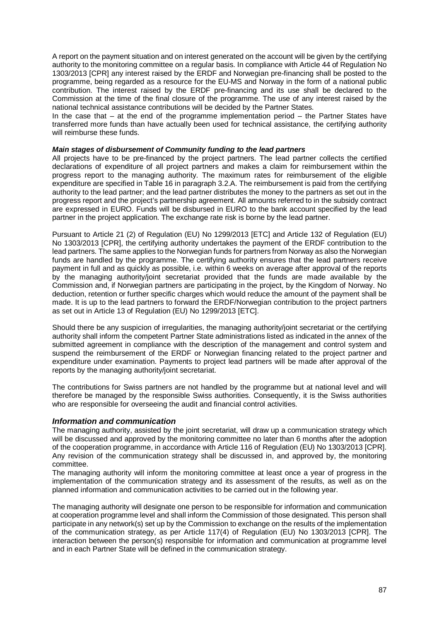A report on the payment situation and on interest generated on the account will be given by the certifying authority to the monitoring committee on a regular basis. In compliance with Article 44 of Regulation No 1303/2013 [CPR] any interest raised by the ERDF and Norwegian pre-financing shall be posted to the programme, being regarded as a resource for the EU-MS and Norway in the form of a national public contribution. The interest raised by the ERDF pre-financing and its use shall be declared to the Commission at the time of the final closure of the programme. The use of any interest raised by the national technical assistance contributions will be decided by the Partner States.

In the case that  $-$  at the end of the programme implementation period  $-$  the Partner States have transferred more funds than have actually been used for technical assistance, the certifying authority will reimburse these funds.

### **Main stages of disbursement of Community funding to the lead partners**

All projects have to be pre-financed by the project partners. The lead partner collects the certified declarations of expenditure of all project partners and makes a claim for reimbursement within the progress report to the managing authority. The maximum rates for reimbursement of the eligible expenditure are specified in Table 16 in paragraph 3.2.A. The reimbursement is paid from the certifying authority to the lead partner; and the lead partner distributes the money to the partners as set out in the progress report and the project's partnership agreement. All amounts referred to in the subsidy contract are expressed in EURO. Funds will be disbursed in EURO to the bank account specified by the lead partner in the project application. The exchange rate risk is borne by the lead partner.

Pursuant to Article 21 (2) of Regulation (EU) No 1299/2013 [ETC] and Article 132 of Regulation (EU) No 1303/2013 [CPR], the certifying authority undertakes the payment of the ERDF contribution to the lead partners. The same applies to the Norwegian funds for partners from Norway as also the Norwegian funds are handled by the programme. The certifying authority ensures that the lead partners receive payment in full and as quickly as possible, i.e. within 6 weeks on average after approval of the reports by the managing authority/joint secretariat provided that the funds are made available by the Commission and, if Norwegian partners are participating in the project, by the Kingdom of Norway. No deduction, retention or further specific charges which would reduce the amount of the payment shall be made. It is up to the lead partners to forward the ERDF/Norwegian contribution to the project partners as set out in Article 13 of Regulation (EU) No 1299/2013 [ETC].

Should there be any suspicion of irregularities, the managing authority/joint secretariat or the certifying authority shall inform the competent Partner State administrations listed as indicated in the annex of the submitted agreement in compliance with the description of the management and control system and suspend the reimbursement of the ERDF or Norwegian financing related to the project partner and expenditure under examination. Payments to project lead partners will be made after approval of the reports by the managing authority/joint secretariat.

The contributions for Swiss partners are not handled by the programme but at national level and will therefore be managed by the responsible Swiss authorities. Consequently, it is the Swiss authorities who are responsible for overseeing the audit and financial control activities.

## **Information and communication**

The managing authority, assisted by the joint secretariat, will draw up a communication strategy which will be discussed and approved by the monitoring committee no later than 6 months after the adoption of the cooperation programme, in accordance with Article 116 of Regulation (EU) No 1303/2013 [CPR]. Any revision of the communication strategy shall be discussed in, and approved by, the monitoring committee.

The managing authority will inform the monitoring committee at least once a year of progress in the implementation of the communication strategy and its assessment of the results, as well as on the planned information and communication activities to be carried out in the following year.

The managing authority will designate one person to be responsible for information and communication at cooperation programme level and shall inform the Commission of those designated. This person shall participate in any network(s) set up by the Commission to exchange on the results of the implementation of the communication strategy, as per Article 117(4) of Regulation (EU) No 1303/2013 [CPR]. The interaction between the person(s) responsible for information and communication at programme level and in each Partner State will be defined in the communication strategy.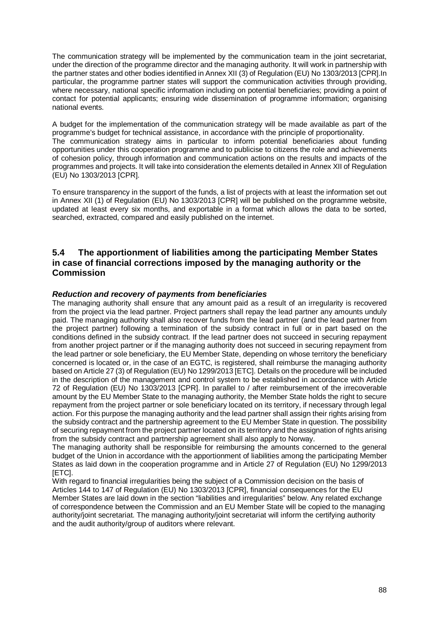The communication strategy will be implemented by the communication team in the joint secretariat, under the direction of the programme director and the managing authority. It will work in partnership with the partner states and other bodies identified in Annex XII (3) of Regulation (EU) No 1303/2013 [CPR].In particular, the programme partner states will support the communication activities through providing, where necessary, national specific information including on potential beneficiaries; providing a point of contact for potential applicants; ensuring wide dissemination of programme information; organising national events.

A budget for the implementation of the communication strategy will be made available as part of the programme's budget for technical assistance, in accordance with the principle of proportionality. The communication strategy aims in particular to inform potential beneficiaries about funding opportunities under this cooperation programme and to publicise to citizens the role and achievements of cohesion policy, through information and communication actions on the results and impacts of the programmes and projects. It will take into consideration the elements detailed in Annex XII of Regulation (EU) No 1303/2013 [CPR].

To ensure transparency in the support of the funds, a list of projects with at least the information set out in Annex XII (1) of Regulation (EU) No 1303/2013 [CPR] will be published on the programme website, updated at least every six months, and exportable in a format which allows the data to be sorted, searched, extracted, compared and easily published on the internet.

# **5.4 The apportionment of liabilities among the participating Member States in case of financial corrections imposed by the managing authority or the Commission**

# **Reduction and recovery of payments from beneficiaries**

The managing authority shall ensure that any amount paid as a result of an irregularity is recovered from the project via the lead partner. Project partners shall repay the lead partner any amounts unduly paid. The managing authority shall also recover funds from the lead partner (and the lead partner from the project partner) following a termination of the subsidy contract in full or in part based on the conditions defined in the subsidy contract. If the lead partner does not succeed in securing repayment from another project partner or if the managing authority does not succeed in securing repayment from the lead partner or sole beneficiary, the EU Member State, depending on whose territory the beneficiary concerned is located or, in the case of an EGTC, is registered, shall reimburse the managing authority based on Article 27 (3) of Regulation (EU) No 1299/2013 [ETC]. Details on the procedure will be included in the description of the management and control system to be established in accordance with Article 72 of Regulation (EU) No 1303/2013 [CPR]. In parallel to / after reimbursement of the irrecoverable amount by the EU Member State to the managing authority, the Member State holds the right to secure repayment from the project partner or sole beneficiary located on its territory, if necessary through legal action. For this purpose the managing authority and the lead partner shall assign their rights arising from the subsidy contract and the partnership agreement to the EU Member State in question. The possibility of securing repayment from the project partner located on its territory and the assignation of rights arising from the subsidy contract and partnership agreement shall also apply to Norway.

The managing authority shall be responsible for reimbursing the amounts concerned to the general budget of the Union in accordance with the apportionment of liabilities among the participating Member States as laid down in the cooperation programme and in Article 27 of Regulation (EU) No 1299/2013 [ETC].

With regard to financial irregularities being the subject of a Commission decision on the basis of Articles 144 to 147 of Regulation (EU) No 1303/2013 [CPR], financial consequences for the EU Member States are laid down in the section "liabilities and irregularities" below. Any related exchange of correspondence between the Commission and an EU Member State will be copied to the managing authority/joint secretariat. The managing authority/joint secretariat will inform the certifying authority and the audit authority/group of auditors where relevant.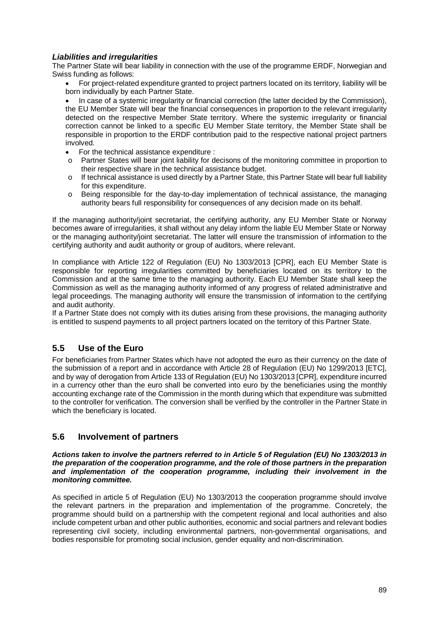# **Liabilities and irregularities**

The Partner State will bear liability in connection with the use of the programme ERDF, Norwegian and Swiss funding as follows:

• For project-related expenditure granted to project partners located on its territory, liability will be born individually by each Partner State.

• In case of a systemic irregularity or financial correction (the latter decided by the Commission), the EU Member State will bear the financial consequences in proportion to the relevant irregularity detected on the respective Member State territory. Where the systemic irregularity or financial correction cannot be linked to a specific EU Member State territory, the Member State shall be responsible in proportion to the ERDF contribution paid to the respective national project partners involved.

- For the technical assistance expenditure :
- o Partner States will bear joint liability for decisons of the monitoring committee in proportion to their respective share in the technical assistance budget.
- $\circ$  If technical assistance is used directly by a Partner State, this Partner State will bear full liability for this expenditure.
- o Being responsible for the day-to-day implementation of technical assistance, the managing authority bears full responsibility for consequences of any decision made on its behalf.

If the managing authority/joint secretariat, the certifying authority, any EU Member State or Norway becomes aware of irregularities, it shall without any delay inform the liable EU Member State or Norway or the managing authority/joint secretariat. The latter will ensure the transmission of information to the certifying authority and audit authority or group of auditors, where relevant.

In compliance with Article 122 of Regulation (EU) No 1303/2013 [CPR], each EU Member State is responsible for reporting irregularities committed by beneficiaries located on its territory to the Commission and at the same time to the managing authority. Each EU Member State shall keep the Commission as well as the managing authority informed of any progress of related administrative and legal proceedings. The managing authority will ensure the transmission of information to the certifying and audit authority.

If a Partner State does not comply with its duties arising from these provisions, the managing authority is entitled to suspend payments to all project partners located on the territory of this Partner State.

# **5.5 Use of the Euro**

For beneficiaries from Partner States which have not adopted the euro as their currency on the date of the submission of a report and in accordance with Article 28 of Regulation (EU) No 1299/2013 [ETC], and by way of derogation from Article 133 of Regulation (EU) No 1303/2013 [CPR], expenditure incurred in a currency other than the euro shall be converted into euro by the beneficiaries using the monthly accounting exchange rate of the Commission in the month during which that expenditure was submitted to the controller for verification. The conversion shall be verified by the controller in the Partner State in which the beneficiary is located.

# **5.6 Involvement of partners**

### **Actions taken to involve the partners referred to in Article 5 of Regulation (EU) No 1303/2013 in the preparation of the cooperation programme, and the role of those partners in the preparation and implementation of the cooperation programme, including their involvement in the monitoring committee.**

As specified in article 5 of Regulation (EU) No 1303/2013 the cooperation programme should involve the relevant partners in the preparation and implementation of the programme. Concretely, the programme should build on a partnership with the competent regional and local authorities and also include competent urban and other public authorities, economic and social partners and relevant bodies representing civil society, including environmental partners, non-governmental organisations, and bodies responsible for promoting social inclusion, gender equality and non-discrimination.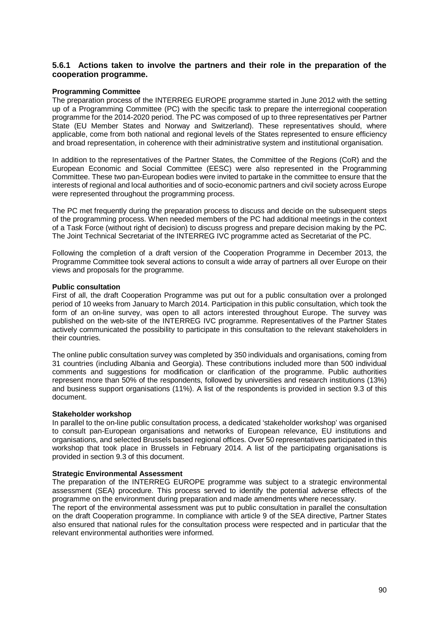## **5.6.1 Actions taken to involve the partners and their role in the preparation of the cooperation programme.**

### **Programming Committee**

The preparation process of the INTERREG EUROPE programme started in June 2012 with the setting up of a Programming Committee (PC) with the specific task to prepare the interregional cooperation programme for the 2014-2020 period. The PC was composed of up to three representatives per Partner State (EU Member States and Norway and Switzerland). These representatives should, where applicable, come from both national and regional levels of the States represented to ensure efficiency and broad representation, in coherence with their administrative system and institutional organisation.

In addition to the representatives of the Partner States, the Committee of the Regions (CoR) and the European Economic and Social Committee (EESC) were also represented in the Programming Committee. These two pan-European bodies were invited to partake in the committee to ensure that the interests of regional and local authorities and of socio-economic partners and civil society across Europe were represented throughout the programming process.

The PC met frequently during the preparation process to discuss and decide on the subsequent steps of the programming process. When needed members of the PC had additional meetings in the context of a Task Force (without right of decision) to discuss progress and prepare decision making by the PC. The Joint Technical Secretariat of the INTERREG IVC programme acted as Secretariat of the PC.

Following the completion of a draft version of the Cooperation Programme in December 2013, the Programme Committee took several actions to consult a wide array of partners all over Europe on their views and proposals for the programme.

### **Public consultation**

First of all, the draft Cooperation Programme was put out for a public consultation over a prolonged period of 10 weeks from January to March 2014. Participation in this public consultation, which took the form of an on-line survey, was open to all actors interested throughout Europe. The survey was published on the web-site of the INTERREG IVC programme. Representatives of the Partner States actively communicated the possibility to participate in this consultation to the relevant stakeholders in their countries.

The online public consultation survey was completed by 350 individuals and organisations, coming from 31 countries (including Albania and Georgia). These contributions included more than 500 individual comments and suggestions for modification or clarification of the programme. Public authorities represent more than 50% of the respondents, followed by universities and research institutions (13%) and business support organisations (11%). A list of the respondents is provided in section 9.3 of this document.

### **Stakeholder workshop**

In parallel to the on-line public consultation process, a dedicated 'stakeholder workshop' was organised to consult pan-European organisations and networks of European relevance, EU institutions and organisations, and selected Brussels based regional offices. Over 50 representatives participated in this workshop that took place in Brussels in February 2014. A list of the participating organisations is provided in section 9.3 of this document.

### **Strategic Environmental Assessment**

The preparation of the INTERREG EUROPE programme was subject to a strategic environmental assessment (SEA) procedure. This process served to identify the potential adverse effects of the programme on the environment during preparation and made amendments where necessary.

The report of the environmental assessment was put to public consultation in parallel the consultation on the draft Cooperation programme. In compliance with article 9 of the SEA directive, Partner States also ensured that national rules for the consultation process were respected and in particular that the relevant environmental authorities were informed.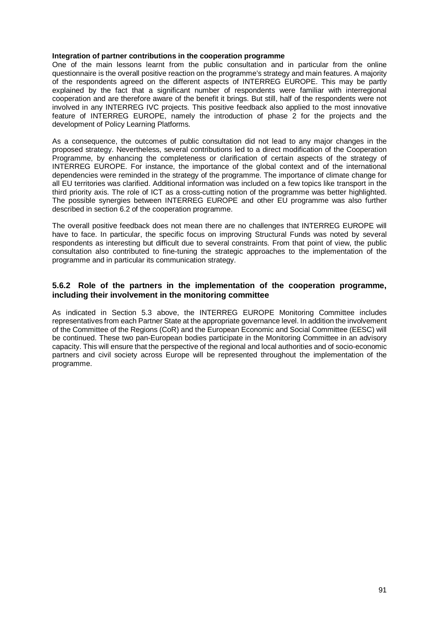### **Integration of partner contributions in the cooperation programme**

One of the main lessons learnt from the public consultation and in particular from the online questionnaire is the overall positive reaction on the programme's strategy and main features. A majority of the respondents agreed on the different aspects of INTERREG EUROPE. This may be partly explained by the fact that a significant number of respondents were familiar with interregional cooperation and are therefore aware of the benefit it brings. But still, half of the respondents were not involved in any INTERREG IVC projects. This positive feedback also applied to the most innovative feature of INTERREG EUROPE, namely the introduction of phase 2 for the projects and the development of Policy Learning Platforms.

As a consequence, the outcomes of public consultation did not lead to any major changes in the proposed strategy. Nevertheless, several contributions led to a direct modification of the Cooperation Programme, by enhancing the completeness or clarification of certain aspects of the strategy of INTERREG EUROPE. For instance, the importance of the global context and of the international dependencies were reminded in the strategy of the programme. The importance of climate change for all EU territories was clarified. Additional information was included on a few topics like transport in the third priority axis. The role of ICT as a cross-cutting notion of the programme was better highlighted. The possible synergies between INTERREG EUROPE and other EU programme was also further described in section 6.2 of the cooperation programme.

The overall positive feedback does not mean there are no challenges that INTERREG EUROPE will have to face. In particular, the specific focus on improving Structural Funds was noted by several respondents as interesting but difficult due to several constraints. From that point of view, the public consultation also contributed to fine-tuning the strategic approaches to the implementation of the programme and in particular its communication strategy.

### **5.6.2 Role of the partners in the implementation of the cooperation programme, including their involvement in the monitoring committee**

As indicated in Section 5.3 above, the INTERREG EUROPE Monitoring Committee includes representatives from each Partner State at the appropriate governance level. In addition the involvement of the Committee of the Regions (CoR) and the European Economic and Social Committee (EESC) will be continued. These two pan-European bodies participate in the Monitoring Committee in an advisory capacity. This will ensure that the perspective of the regional and local authorities and of socio-economic partners and civil society across Europe will be represented throughout the implementation of the programme.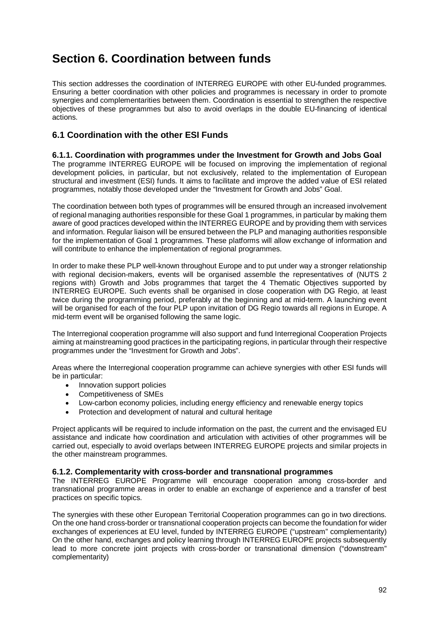# **Section 6. Coordination between funds**

This section addresses the coordination of INTERREG EUROPE with other EU-funded programmes. Ensuring a better coordination with other policies and programmes is necessary in order to promote synergies and complementarities between them. Coordination is essential to strengthen the respective objectives of these programmes but also to avoid overlaps in the double EU-financing of identical actions.

# **6.1 Coordination with the other ESI Funds**

**6.1.1. Coordination with programmes under the Investment for Growth and Jobs Goal**  The programme INTERREG EUROPE will be focused on improving the implementation of regional development policies, in particular, but not exclusively, related to the implementation of European structural and investment (ESI) funds. It aims to facilitate and improve the added value of ESI related programmes, notably those developed under the "Investment for Growth and Jobs" Goal.

The coordination between both types of programmes will be ensured through an increased involvement of regional managing authorities responsible for these Goal 1 programmes, in particular by making them aware of good practices developed within the INTERREG EUROPE and by providing them with services and information. Regular liaison will be ensured between the PLP and managing authorities responsible for the implementation of Goal 1 programmes. These platforms will allow exchange of information and will contribute to enhance the implementation of regional programmes.

In order to make these PLP well-known throughout Europe and to put under way a stronger relationship with regional decision-makers, events will be organised assemble the representatives of (NUTS 2 regions with) Growth and Jobs programmes that target the 4 Thematic Objectives supported by INTERREG EUROPE. Such events shall be organised in close cooperation with DG Regio, at least twice during the programming period, preferably at the beginning and at mid-term. A launching event will be organised for each of the four PLP upon invitation of DG Regio towards all regions in Europe. A mid-term event will be organised following the same logic.

The Interregional cooperation programme will also support and fund Interregional Cooperation Projects aiming at mainstreaming good practices in the participating regions, in particular through their respective programmes under the "Investment for Growth and Jobs".

Areas where the Interregional cooperation programme can achieve synergies with other ESI funds will be in particular:

- Innovation support policies
- Competitiveness of SMEs
- Low-carbon economy policies, including energy efficiency and renewable energy topics
- Protection and development of natural and cultural heritage

Project applicants will be required to include information on the past, the current and the envisaged EU assistance and indicate how coordination and articulation with activities of other programmes will be carried out, especially to avoid overlaps between INTERREG EUROPE projects and similar projects in the other mainstream programmes.

# **6.1.2. Complementarity with cross-border and transnational programmes**

The INTERREG EUROPE Programme will encourage cooperation among cross-border and transnational programme areas in order to enable an exchange of experience and a transfer of best practices on specific topics.

The synergies with these other European Territorial Cooperation programmes can go in two directions. On the one hand cross-border or transnational cooperation projects can become the foundation for wider exchanges of experiences at EU level, funded by INTERREG EUROPE ("upstream" complementarity) On the other hand, exchanges and policy learning through INTERREG EUROPE projects subsequently lead to more concrete joint projects with cross-border or transnational dimension ("downstream" complementarity)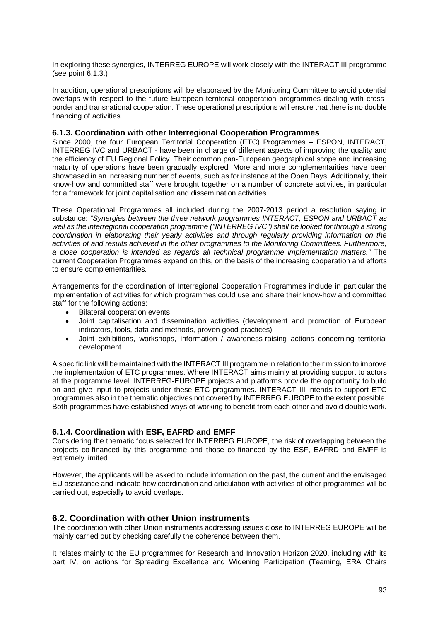In exploring these synergies, INTERREG EUROPE will work closely with the INTERACT III programme (see point 6.1.3.)

In addition, operational prescriptions will be elaborated by the Monitoring Committee to avoid potential overlaps with respect to the future European territorial cooperation programmes dealing with crossborder and transnational cooperation. These operational prescriptions will ensure that there is no double financing of activities.

### **6.1.3. Coordination with other Interregional Cooperation Programmes**

Since 2000, the four European Territorial Cooperation (ETC) Programmes – ESPON, INTERACT, INTERREG IVC and URBACT - have been in charge of different aspects of improving the quality and the efficiency of EU Regional Policy. Their common pan-European geographical scope and increasing maturity of operations have been gradually explored. More and more complementarities have been showcased in an increasing number of events, such as for instance at the Open Days. Additionally, their know-how and committed staff were brought together on a number of concrete activities, in particular for a framework for joint capitalisation and dissemination activities.

These Operational Programmes all included during the 2007-2013 period a resolution saying in substance: "Synergies between the three network programmes INTERACT, ESPON and URBACT as well as the interregional cooperation programme ("INTERREG IVC") shall be looked for through a strong coordination in elaborating their yearly activities and through regularly providing information on the activities of and results achieved in the other programmes to the Monitoring Committees. Furthermore, a close cooperation is intended as regards all technical programme implementation matters." The current Cooperation Programmes expand on this, on the basis of the increasing cooperation and efforts to ensure complementarities.

Arrangements for the coordination of Interregional Cooperation Programmes include in particular the implementation of activities for which programmes could use and share their know-how and committed staff for the following actions:

- **Bilateral cooperation events**
- Joint capitalisation and dissemination activities (development and promotion of European indicators, tools, data and methods, proven good practices)
- Joint exhibitions, workshops, information / awareness-raising actions concerning territorial development.

A specific link will be maintained with the INTERACT III programme in relation to their mission to improve the implementation of ETC programmes. Where INTERACT aims mainly at providing support to actors at the programme level, INTERREG-EUROPE projects and platforms provide the opportunity to build on and give input to projects under these ETC programmes. INTERACT III intends to support ETC programmes also in the thematic objectives not covered by INTERREG EUROPE to the extent possible. Both programmes have established ways of working to benefit from each other and avoid double work.

## **6.1.4. Coordination with ESF, EAFRD and EMFF**

Considering the thematic focus selected for INTERREG EUROPE, the risk of overlapping between the projects co-financed by this programme and those co-financed by the ESF, EAFRD and EMFF is extremely limited.

However, the applicants will be asked to include information on the past, the current and the envisaged EU assistance and indicate how coordination and articulation with activities of other programmes will be carried out, especially to avoid overlaps.

## **6.2. Coordination with other Union instruments**

The coordination with other Union instruments addressing issues close to INTERREG EUROPE will be mainly carried out by checking carefully the coherence between them.

It relates mainly to the EU programmes for Research and Innovation Horizon 2020, including with its part IV, on actions for Spreading Excellence and Widening Participation (Teaming, ERA Chairs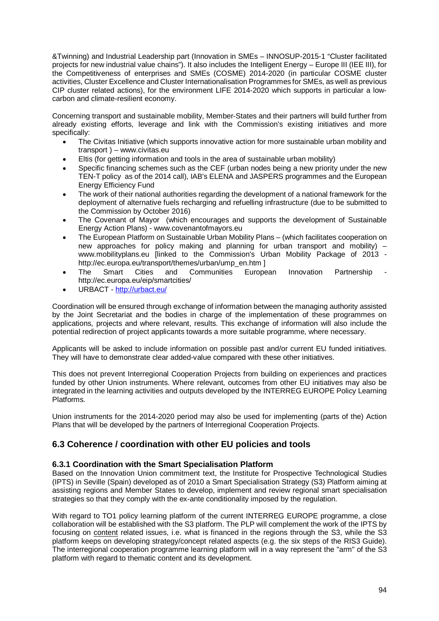&Twinning) and Industrial Leadership part (Innovation in SMEs – INNOSUP-2015-1 "Cluster facilitated projects for new industrial value chains"). It also includes the Intelligent Energy – Europe III (IEE III), for the Competitiveness of enterprises and SMEs (COSME) 2014-2020 (in particular COSME cluster activities, Cluster Excellence and Cluster Internationalisation Programmes for SMEs, as well as previous CIP cluster related actions), for the environment LIFE 2014-2020 which supports in particular a lowcarbon and climate-resilient economy.

Concerning transport and sustainable mobility, Member-States and their partners will build further from already existing efforts, leverage and link with the Commission's existing initiatives and more specifically:

- The Civitas Initiative (which supports innovative action for more sustainable urban mobility and transport ) – www.civitas.eu
- Eltis (for getting information and tools in the area of sustainable urban mobility)
- Specific financing schemes such as the CEF (urban nodes being a new priority under the new TEN-T policy as of the 2014 call), IAB's ELENA and JASPERS programmes and the European Energy Efficiency Fund
- The work of their national authorities regarding the development of a national framework for the deployment of alternative fuels recharging and refuelling infrastructure (due to be submitted to the Commission by October 2016)
- The Covenant of Mayor (which encourages and supports the development of Sustainable Energy Action Plans) - www.covenantofmayors.eu
- The European Platform on Sustainable Urban Mobility Plans (which facilitates cooperation on new approaches for policy making and planning for urban transport and mobility) – www.mobilityplans.eu [linked to the Commission's Urban Mobility Package of 2013 http://ec.europa.eu/transport/themes/urban/ump\_en.htm ]
- The Smart Cities and Communities European Innovation Partnership http://ec.europa.eu/eip/smartcities/
- URBACT http://urbact.eu/

Coordination will be ensured through exchange of information between the managing authority assisted by the Joint Secretariat and the bodies in charge of the implementation of these programmes on applications, projects and where relevant, results. This exchange of information will also include the potential redirection of project applicants towards a more suitable programme, where necessary.

Applicants will be asked to include information on possible past and/or current EU funded initiatives. They will have to demonstrate clear added-value compared with these other initiatives.

This does not prevent Interregional Cooperation Projects from building on experiences and practices funded by other Union instruments. Where relevant, outcomes from other EU initiatives may also be integrated in the learning activities and outputs developed by the INTERREG EUROPE Policy Learning Platforms.

Union instruments for the 2014-2020 period may also be used for implementing (parts of the) Action Plans that will be developed by the partners of Interregional Cooperation Projects.

# **6.3 Coherence / coordination with other EU policies and tools**

# **6.3.1 Coordination with the Smart Specialisation Platform**

Based on the Innovation Union commitment text, the Institute for Prospective Technological Studies (IPTS) in Seville (Spain) developed as of 2010 a Smart Specialisation Strategy (S3) Platform aiming at assisting regions and Member States to develop, implement and review regional smart specialisation strategies so that they comply with the ex-ante conditionality imposed by the regulation.

With regard to TO1 policy learning platform of the current INTERREG EUROPE programme, a close collaboration will be established with the S3 platform. The PLP will complement the work of the IPTS by focusing on content related issues, i.e. what is financed in the regions through the S3, while the S3 platform keeps on developing strategy/concept related aspects (e.g. the six steps of the RIS3 Guide). The interregional cooperation programme learning platform will in a way represent the "arm" of the S3 platform with regard to thematic content and its development.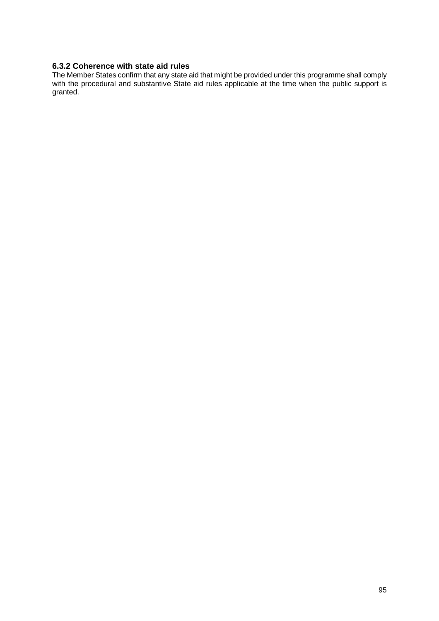# **6.3.2 Coherence with state aid rules**

The Member States confirm that any state aid that might be provided under this programme shall comply with the procedural and substantive State aid rules applicable at the time when the public support is granted.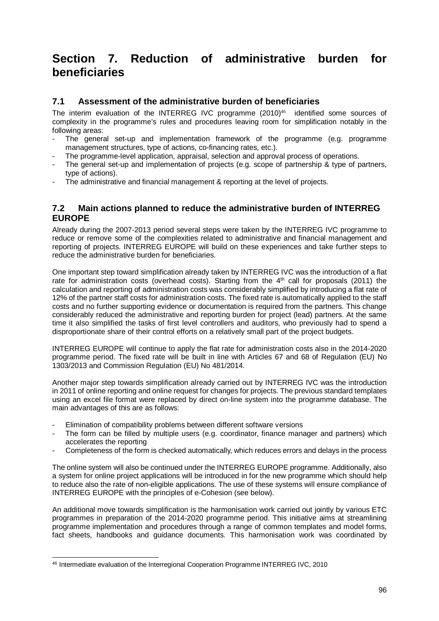# **Section 7. Reduction of administrative burden for beneficiaries**

# **7.1 Assessment of the administrative burden of beneficiaries**

The interim evaluation of the INTERREG IVC programme  $(2010)^{46}$  identified some sources of complexity in the programme's rules and procedures leaving room for simplification notably in the following areas:

- The general set-up and implementation framework of the programme (e.g. programme management structures, type of actions, co-financing rates, etc.).
- The programme-level application, appraisal, selection and approval process of operations.
- The general set-up and implementation of projects (e.g. scope of partnership & type of partners, type of actions).
- The administrative and financial management & reporting at the level of projects.

# **7.2 Main actions planned to reduce the administrative burden of INTERREG EUROPE**

Already during the 2007-2013 period several steps were taken by the INTERREG IVC programme to reduce or remove some of the complexities related to administrative and financial management and reporting of projects. INTERREG EUROPE will build on these experiences and take further steps to reduce the administrative burden for beneficiaries.

One important step toward simplification already taken by INTERREG IVC was the introduction of a flat rate for administration costs (overhead costs). Starting from the 4<sup>th</sup> call for proposals (2011) the calculation and reporting of administration costs was considerably simplified by introducing a flat rate of 12% of the partner staff costs for administration costs. The fixed rate is automatically applied to the staff costs and no further supporting evidence or documentation is required from the partners. This change considerably reduced the administrative and reporting burden for project (lead) partners. At the same time it also simplified the tasks of first level controllers and auditors, who previously had to spend a disproportionate share of their control efforts on a relatively small part of the project budgets.

INTERREG EUROPE will continue to apply the flat rate for administration costs also in the 2014-2020 programme period. The fixed rate will be built in line with Articles 67 and 68 of Regulation (EU) No 1303/2013 and Commission Regulation (EU) No 481/2014.

Another major step towards simplification already carried out by INTERREG IVC was the introduction in 2011 of online reporting and online request for changes for projects. The previous standard templates using an excel file format were replaced by direct on-line system into the programme database. The main advantages of this are as follows:

- Elimination of compatibility problems between different software versions
- The form can be filled by multiple users (e.g. coordinator, finance manager and partners) which accelerates the reporting
- Completeness of the form is checked automatically, which reduces errors and delays in the process

The online system will also be continued under the INTERREG EUROPE programme. Additionally, also a system for online project applications will be introduced in for the new programme which should help to reduce also the rate of non-eligible applications. The use of these systems will ensure compliance of INTERREG EUROPE with the principles of e-Cohesion (see below).

An additional move towards simplification is the harmonisation work carried out jointly by various ETC programmes in preparation of the 2014-2020 programme period. This initiative aims at streamlining programme implementation and procedures through a range of common templates and model forms, fact sheets, handbooks and guidance documents. This harmonisation work was coordinated by

l 46 Intermediate evaluation of the Interregional Cooperation Programme INTERREG IVC, 2010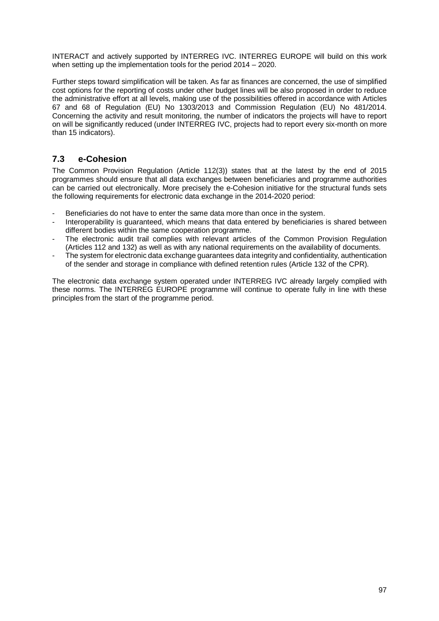INTERACT and actively supported by INTERREG IVC. INTERREG EUROPE will build on this work when setting up the implementation tools for the period 2014 – 2020.

Further steps toward simplification will be taken. As far as finances are concerned, the use of simplified cost options for the reporting of costs under other budget lines will be also proposed in order to reduce the administrative effort at all levels, making use of the possibilities offered in accordance with Articles 67 and 68 of Regulation (EU) No 1303/2013 and Commission Regulation (EU) No 481/2014. Concerning the activity and result monitoring, the number of indicators the projects will have to report on will be significantly reduced (under INTERREG IVC, projects had to report every six-month on more than 15 indicators).

# **7.3 e-Cohesion**

The Common Provision Regulation (Article 112(3)) states that at the latest by the end of 2015 programmes should ensure that all data exchanges between beneficiaries and programme authorities can be carried out electronically. More precisely the e-Cohesion initiative for the structural funds sets the following requirements for electronic data exchange in the 2014-2020 period:

- Beneficiaries do not have to enter the same data more than once in the system.
- Interoperability is guaranteed, which means that data entered by beneficiaries is shared between different bodies within the same cooperation programme.
- The electronic audit trail complies with relevant articles of the Common Provision Regulation (Articles 112 and 132) as well as with any national requirements on the availability of documents.
- The system for electronic data exchange guarantees data integrity and confidentiality, authentication of the sender and storage in compliance with defined retention rules (Article 132 of the CPR).

The electronic data exchange system operated under INTERREG IVC already largely complied with these norms. The INTERREG EUROPE programme will continue to operate fully in line with these principles from the start of the programme period.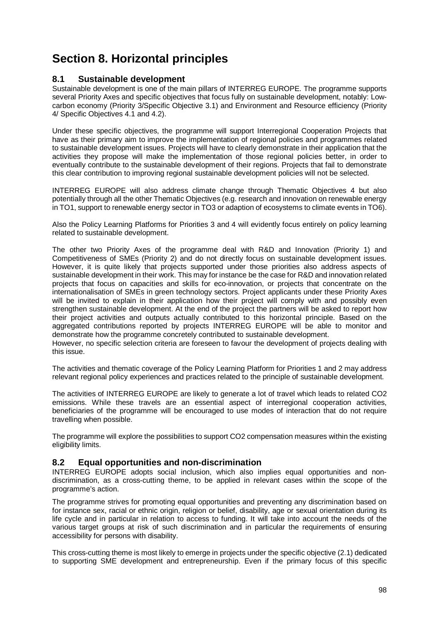# **Section 8. Horizontal principles**

# **8.1 Sustainable development**

Sustainable development is one of the main pillars of INTERREG EUROPE. The programme supports several Priority Axes and specific objectives that focus fully on sustainable development, notably: Lowcarbon economy (Priority 3/Specific Objective 3.1) and Environment and Resource efficiency (Priority 4/ Specific Objectives 4.1 and 4.2).

Under these specific objectives, the programme will support Interregional Cooperation Projects that have as their primary aim to improve the implementation of regional policies and programmes related to sustainable development issues. Projects will have to clearly demonstrate in their application that the activities they propose will make the implementation of those regional policies better, in order to eventually contribute to the sustainable development of their regions. Projects that fail to demonstrate this clear contribution to improving regional sustainable development policies will not be selected.

INTERREG EUROPE will also address climate change through Thematic Objectives 4 but also potentially through all the other Thematic Objectives (e.g. research and innovation on renewable energy in TO1, support to renewable energy sector in TO3 or adaption of ecosystems to climate events in TO6).

Also the Policy Learning Platforms for Priorities 3 and 4 will evidently focus entirely on policy learning related to sustainable development.

The other two Priority Axes of the programme deal with R&D and Innovation (Priority 1) and Competitiveness of SMEs (Priority 2) and do not directly focus on sustainable development issues. However, it is quite likely that projects supported under those priorities also address aspects of sustainable development in their work. This may for instance be the case for R&D and innovation related projects that focus on capacities and skills for eco-innovation, or projects that concentrate on the internationalisation of SMEs in green technology sectors. Project applicants under these Priority Axes will be invited to explain in their application how their project will comply with and possibly even strengthen sustainable development. At the end of the project the partners will be asked to report how their project activities and outputs actually contributed to this horizontal principle. Based on the aggregated contributions reported by projects INTERREG EUROPE will be able to monitor and demonstrate how the programme concretely contributed to sustainable development.

However, no specific selection criteria are foreseen to favour the development of projects dealing with this issue.

The activities and thematic coverage of the Policy Learning Platform for Priorities 1 and 2 may address relevant regional policy experiences and practices related to the principle of sustainable development.

The activities of INTERREG EUROPE are likely to generate a lot of travel which leads to related CO2 emissions. While these travels are an essential aspect of interregional cooperation activities, beneficiaries of the programme will be encouraged to use modes of interaction that do not require travelling when possible.

The programme will explore the possibilities to support CO2 compensation measures within the existing eligibility limits.

# **8.2 Equal opportunities and non-discrimination**

INTERREG EUROPE adopts social inclusion, which also implies equal opportunities and nondiscrimination, as a cross-cutting theme, to be applied in relevant cases within the scope of the programme's action.

The programme strives for promoting equal opportunities and preventing any discrimination based on for instance sex, racial or ethnic origin, religion or belief, disability, age or sexual orientation during its life cycle and in particular in relation to access to funding. It will take into account the needs of the various target groups at risk of such discrimination and in particular the requirements of ensuring accessibility for persons with disability.

This cross-cutting theme is most likely to emerge in projects under the specific objective (2.1) dedicated to supporting SME development and entrepreneurship. Even if the primary focus of this specific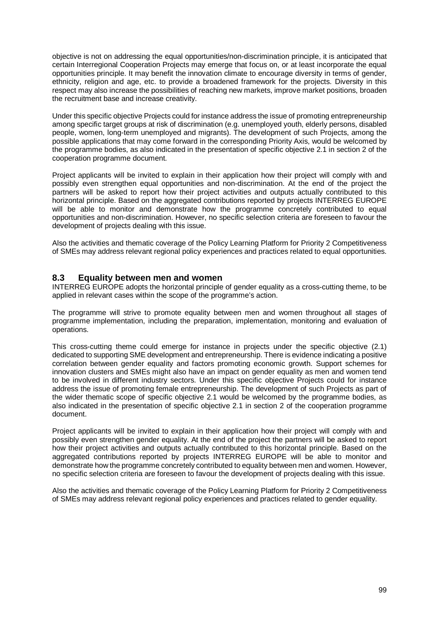objective is not on addressing the equal opportunities/non-discrimination principle, it is anticipated that certain Interregional Cooperation Projects may emerge that focus on, or at least incorporate the equal opportunities principle. It may benefit the innovation climate to encourage diversity in terms of gender, ethnicity, religion and age, etc. to provide a broadened framework for the projects. Diversity in this respect may also increase the possibilities of reaching new markets, improve market positions, broaden the recruitment base and increase creativity.

Under this specific objective Projects could for instance address the issue of promoting entrepreneurship among specific target groups at risk of discrimination (e.g. unemployed youth, elderly persons, disabled people, women, long-term unemployed and migrants). The development of such Projects, among the possible applications that may come forward in the corresponding Priority Axis, would be welcomed by the programme bodies, as also indicated in the presentation of specific objective 2.1 in section 2 of the cooperation programme document.

Project applicants will be invited to explain in their application how their project will comply with and possibly even strengthen equal opportunities and non-discrimination. At the end of the project the partners will be asked to report how their project activities and outputs actually contributed to this horizontal principle. Based on the aggregated contributions reported by projects INTERREG EUROPE will be able to monitor and demonstrate how the programme concretely contributed to equal opportunities and non-discrimination. However, no specific selection criteria are foreseen to favour the development of projects dealing with this issue.

Also the activities and thematic coverage of the Policy Learning Platform for Priority 2 Competitiveness of SMEs may address relevant regional policy experiences and practices related to equal opportunities.

# **8.3 Equality between men and women**

INTERREG EUROPE adopts the horizontal principle of gender equality as a cross-cutting theme, to be applied in relevant cases within the scope of the programme's action.

The programme will strive to promote equality between men and women throughout all stages of programme implementation, including the preparation, implementation, monitoring and evaluation of operations.

This cross-cutting theme could emerge for instance in projects under the specific objective (2.1) dedicated to supporting SME development and entrepreneurship. There is evidence indicating a positive correlation between gender equality and factors promoting economic growth. Support schemes for innovation clusters and SMEs might also have an impact on gender equality as men and women tend to be involved in different industry sectors. Under this specific objective Projects could for instance address the issue of promoting female entrepreneurship. The development of such Projects as part of the wider thematic scope of specific objective 2.1 would be welcomed by the programme bodies, as also indicated in the presentation of specific objective 2.1 in section 2 of the cooperation programme document.

Project applicants will be invited to explain in their application how their project will comply with and possibly even strengthen gender equality. At the end of the project the partners will be asked to report how their project activities and outputs actually contributed to this horizontal principle. Based on the aggregated contributions reported by projects INTERREG EUROPE will be able to monitor and demonstrate how the programme concretely contributed to equality between men and women. However, no specific selection criteria are foreseen to favour the development of projects dealing with this issue.

Also the activities and thematic coverage of the Policy Learning Platform for Priority 2 Competitiveness of SMEs may address relevant regional policy experiences and practices related to gender equality.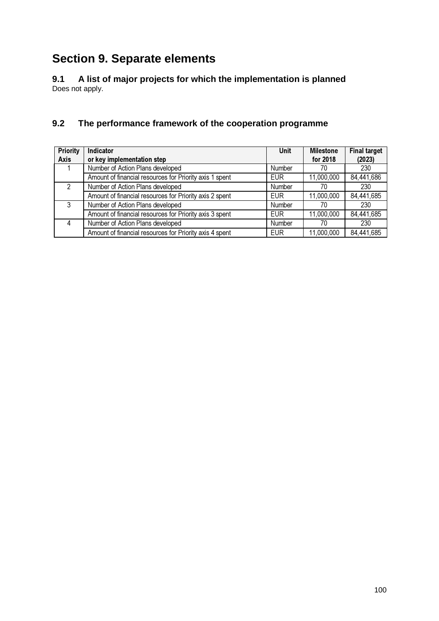# **Section 9. Separate elements**

**9.1 A list of major projects for which the implementation is planned**  Does not apply.

# **9.2 The performance framework of the cooperation programme**

| <b>Priority</b> | Indicator                                               | <b>Unit</b> | <b>Milestone</b> | <b>Final target</b> |
|-----------------|---------------------------------------------------------|-------------|------------------|---------------------|
| <b>Axis</b>     | or key implementation step                              |             | for 2018         | (2023)              |
|                 | Number of Action Plans developed                        | Number      | 70               | 230                 |
|                 | Amount of financial resources for Priority axis 1 spent | <b>EUR</b>  | 11,000,000       | 84,441,686          |
| 2               | Number of Action Plans developed                        | Number      | 70               | 230                 |
|                 | Amount of financial resources for Priority axis 2 spent | <b>FUR</b>  | 11,000,000       | 84,441,685          |
| 3               | Number of Action Plans developed                        | Number      | 70               | 230                 |
|                 | Amount of financial resources for Priority axis 3 spent | <b>EUR</b>  | 11,000,000       | 84,441,685          |
|                 | Number of Action Plans developed                        | Number      | 70               | 230                 |
|                 | Amount of financial resources for Priority axis 4 spent | <b>EUR</b>  | 11,000,000       | 84,441,685          |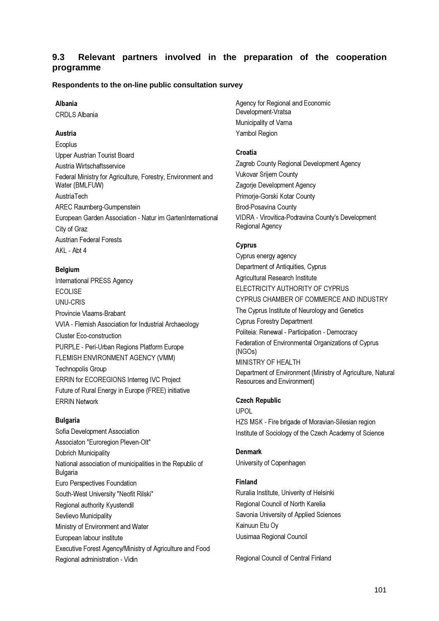# **9.3 Relevant partners involved in the preparation of the cooperation programme**

## **Respondents to the on-line public consultation survey**

### Albania

CRDLS Albania

## Austria

Ecoplus Upper Austrian Tourist Board Austria Wirtschaftsservice Federal Ministry for Agriculture, Forestry, Environment and Water (BMLFUW) **AustriaTech** AREC Raumberg-Gumpenstein European Garden Association - Natur im GartenInternational City of Graz Austrian Federal Forests AKL - Abt 4

### Belgium

International PRESS Agency ECOLISE UNU-CRIS Provincie Vlaams-Brabant VVIA - Flemish Association for Industrial Archaeology Cluster Eco-construction PURPLE - Peri-Urban Regions Platform Europe FLEMISH ENVIRONMENT AGENCY (VMM) Technopolis Group ERRIN for ECOREGIONS Interreg IVC Project Future of Rural Energy in Europe (FREE) initiative ERRIN Network

### Bulgaria

Sofia Development Association Associaton "Euroregion Pleven-Olt" Dobrich Municipality National association of municipalities in the Republic of Bulgaria Euro Perspectives Foundation South-West University "Neofit Rilski" Regional authority Kyustendil Sevlievo Municipality Ministry of Environment and Water European labour institute Executive Forest Agency/Ministry of Agriculture and Food Regional administration - Vidin

Agency for Regional and Economic Development-Vratsa Municipality of Varna Yambol Region

### Croatia

Zagreb County Regional Development Agency Vukovar Srijem County Zagorje Development Agency Primorje-Gorski Kotar County Brod-Posavina County VIDRA - Virovitica-Podravina County's Development Regional Agency

## Cyprus

Cyprus energy agency Department of Antiquities, Cyprus Agricultural Research Institute ELECTRICITY AUTHORITY OF CYPRUS CYPRUS CHAMBER OF COMMERCE AND INDUSTRY The Cyprus Institute of Neurology and Genetics Cyprus Forestry Department Politeia: Renewal - Participation - Democracy Federation of Environmental Organizations of Cyprus (NGOs) MINISTRY OF HEALTH Department of Environment (Ministry of Agriculture, Natural Resources and Environment)

# Czech Republic

UPOL HZS MSK - Fire brigade of Moravian-Silesian region Institute of Sociology of the Czech Academy of Science

#### Denmark

University of Copenhagen

### Finland

Ruralia Institute, Univerity of Helsinki Regional Council of North Karelia Savonia University of Applied Sciences Kainuun Etu Oy Uusimaa Regional Council

Regional Council of Central Finland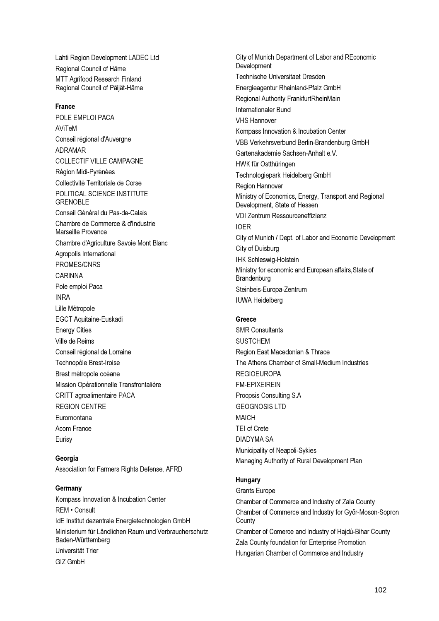Lahti Region Development LADEC Ltd Regional Council of Häme MTT Agrifood Research Finland Regional Council of Päijät-Häme

### France

POLE EMPLOI PACA AViTeM Conseil régional d'Auvergne ADRAMAR COLLECTIF VILLE CAMPAGNE Région Midi-Pyrénées Collectivité Territoriale de Corse POLITICAL SCIENCE INSTITUTE **GRENOBLE** Conseil Général du Pas-de-Calais Chambre de Commerce & d'Industrie Marseille Provence Chambre d'Agriculture Savoie Mont Blanc Agropolis International PROMES/CNRS CARINNA Pole emploi Paca INRA Lille Métropole EGCT Aquitaine-Euskadi Energy Cities Ville de Reims Conseil régional de Lorraine Technopôle Brest-Iroise Brest métropole océane Mission Opérationnelle Transfrontalière CRITT agroalimentaire PACA REGION CENTRE Euromontana Acom France Eurisy

Georgia Association for Farmers Rights Defense, AFRD

**Germany** Kompass Innovation & Incubation Center REM • Consult IdE Institut dezentrale Energietechnologien GmbH Ministerium für Ländlichen Raum und Verbraucherschutz Baden-Württemberg Universität Trier GIZ GmbH

City of Munich Department of Labor and REconomic Development Technische Universitaet Dresden Energieagentur Rheinland-Pfalz GmbH Regional Authority FrankfurtRheinMain Internationaler Bund VHS Hannover Kompass Innovation & Incubation Center VBB Verkehrsverbund Berlin-Brandenburg GmbH Gartenakademie Sachsen-Anhalt e.V. HWK für Ostthüringen Technologiepark Heidelberg GmbH Region Hannover Ministry of Economics, Energy, Transport and Regional Development, State of Hessen VDI Zentrum Ressourceneffizienz IOER City of Munich / Dept. of Labor and Economic Development City of Duisburg IHK Schleswig-Holstein Ministry for economic and European affairs,State of **Brandenburg** Steinbeis-Europa-Zentrum IUWA Heidelberg

## Greece

SMR Consultants **SUSTCHEM** Region East Macedonian & Thrace The Athens Chamber of Small-Medium Industries REGIOEUROPA FM-EPIXEIREIN Proopsis Consulting S.A GEOGNOSIS LTD MAICH TEI of Crete DIADYMA SA Municipality of Neapoli-Sykies Managing Authority of Rural Development Plan

## **Hungary**

Grants Europe Chamber of Commerce and Industry of Zala County Chamber of Commerce and Industry for Győr-Moson-Sopron **County** Chamber of Comerce and Industry of Hajdú-Bihar County Zala County foundation for Enterprise Promotion Hungarian Chamber of Commerce and Industry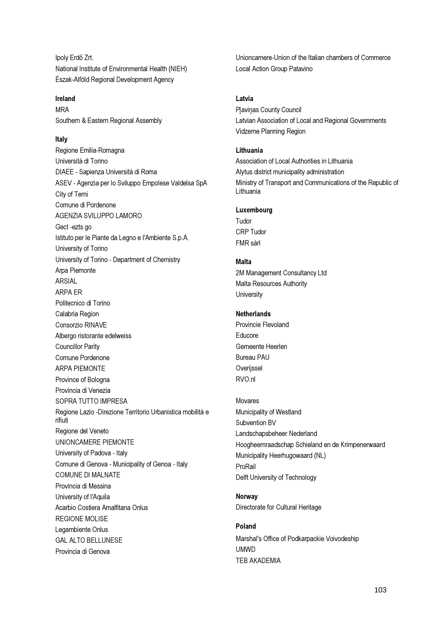Ipoly Erdő Zrt. National Institute of Environmental Health (NIEH) Észak-Alföld Regional Development Agency

### Ireland

MRA Southern & Eastern Regional Assembly

## Italy

Regione Emilia-Romagna Università di Torino DIAEE - Sapienza Università di Roma ASEV - Agenzia per lo Sviluppo Empolese Valdelsa SpA City of Terni Comune di Pordenone AGENZIA SVILUPPO LAMORO Gect -ezts go Istituto per le Piante da Legno e l'Ambiente S.p.A. University of Torino University of Torino - Department of Chemistry Arpa Piemonte ARSIAL ARPA ER Politecnico di Torino Calabria Region Consorzio RINAVE Albergo ristorante edelweiss Councillor Parity Comune Pordenone ARPA PIEMONTE Province of Bologna Provincia di Venezia SOPRA TUTTO IMPRESA Regione Lazio -Direzione Territorio Urbanistica mobilità e rifiuti Regione del Veneto UNIONCAMERE PIEMONTE University of Padova - Italy Comune di Genova - Municipality of Genoa - Italy COMUNE DI MALNATE Provincia di Messina University of l'Aquila Acarbio Costiera Amalfitana Onlus REGIONE MOLISE Legambiente Onlus GAL ALTO BELLUNESE Provincia di Genova

Unioncamere-Union of the Italian chambers of Commerce Local Action Group Patavino

### Latvia

Plavinas County Council Latvian Association of Local and Regional Governments Vidzeme Planning Region

#### Lithuania

Association of Local Authorities in Lithuania Alytus district municipality administration Ministry of Transport and Communications of the Republic of Lithuania

# Luxembourg

Tudor CRP Tudor FMR sàrl

## Malta

2M Management Consultancy Ltd Malta Resources Authority **University** 

### Netherlands

Provincie Flevoland Educore Gemeente Heerlen Bureau PAU **Overijssel** RVO.nl

#### Movares

Municipality of Westland Subvention BV Landschapsbeheer Nederland Hoogheemraadschap Schieland en de Krimpenerwaard Municipality Heerhugowaard (NL) ProRail Delft University of Technology

# Norway

Directorate for Cultural Heritage

## Poland

Marshal's Office of Podkarpackie Voivodeship UMWD TEB AKADEMIA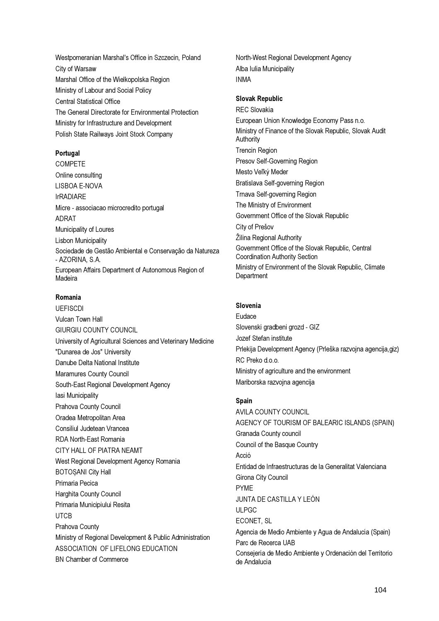Westpomeranian Marshal's Office in Szczecin, Poland City of Warsaw Marshal Office of the Wielkopolska Region Ministry of Labour and Social Policy Central Statistical Office The General Directorate for Environmental Protection Ministry for Infrastructure and Development Polish State Railways Joint Stock Company

## Portugal

COMPETE Online consulting LISBOA E-NOVA IrRADIARE Micre - associacao microcredito portugal ADRAT Municipality of Loures Lisbon Municipality Sociedade de Gestão Ambiental e Conservação da Natureza - AZORINA, S.A. European Affairs Department of Autonomous Region of Madeira

# Romania

UEFISCDI Vulcan Town Hall GIURGIU COUNTY COUNCIL University of Agricultural Sciences and Veterinary Medicine "Dunarea de Jos" University Danube Delta National Institute Maramures County Council South-East Regional Development Agency Iasi Municipality Prahova County Council Oradea Metropolitan Area Consiliul Judetean Vrancea RDA North-East Romania CITY HALL OF PIATRA NEAMT West Regional Development Agency Romania BOTOȘANI City Hall Primaria Pecica Harghita County Council Primaria Municipiului Resita UTCB Prahova County Ministry of Regional Development & Public Administration ASSOCIATION OF LIFELONG EDUCATION BN Chamber of Commerce

North-West Regional Development Agency Alba Iulia Municipality INMA

## Slovak Republic

REC Slovakia European Union Knowledge Economy Pass n.o. Ministry of Finance of the Slovak Republic, Slovak Audit **Authority** Trencin Region Presov Self-Governing Region Mesto Veľký Meder Bratislava Self-governing Region Trnava Self-governing Region The Ministry of Environment Government Office of the Slovak Republic City of Prešov Žilina Regional Authority Government Office of the Slovak Republic, Central Coordination Authority Section Ministry of Environment of the Slovak Republic, Climate **Department** 

# Slovenia

Eudace Slovenski gradbeni grozd - GIZ Jozef Stefan institute Prlekija Development Agency (Prleška razvojna agencija,giz) RC Preko d.o.o. Ministry of agriculture and the environment Mariborska razvojna agencija

# Spain

AVILA COUNTY COUNCIL AGENCY OF TOURISM OF BALEARIC ISLANDS (SPAIN) Granada County council Council of the Basque Country Acció Entidad de Infraestructuras de la Generalitat Valenciana Girona City Council PYME JUNTA DE CASTILLA Y LEÓN ULPGC ECONET, SL Agencia de Medio Ambiente y Agua de Andalucía (Spain) Parc de Recerca UAB Consejería de Medio Ambiente y Ordenación del Territorio de Andalucía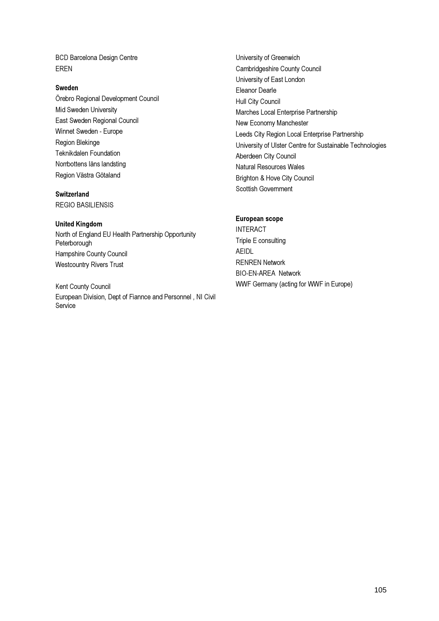BCD Barcelona Design Centre EREN

### Sweden

Örebro Regional Development Council Mid Sweden University East Sweden Regional Council Winnet Sweden - Europe Region Blekinge Teknikdalen Foundation Norrbottens läns landsting Region Västra Götaland

### **Switzerland**

REGIO BASILIENSIS

### United Kingdom

North of England EU Health Partnership Opportunity Peterborough Hampshire County Council Westcountry Rivers Trust

Kent County Council European Division, Dept of Fiannce and Personnel , NI Civil **Service** 

University of Greenwich Cambridgeshire County Council University of East London Eleanor Dearle Hull City Council Marches Local Enterprise Partnership New Economy Manchester Leeds City Region Local Enterprise Partnership University of Ulster Centre for Sustainable Technologies Aberdeen City Council Natural Resources Wales Brighton & Hove City Council Scottish Government

## European scope

INTERACT Triple E consulting AEIDL RENREN Network BIO-EN-AREA Network WWF Germany (acting for WWF in Europe)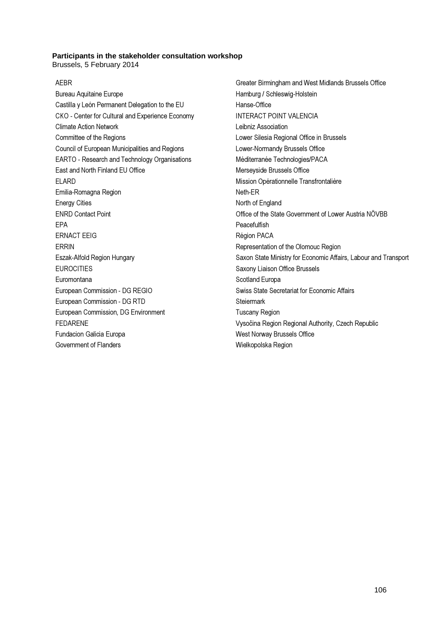### **Participants in the stakeholder consultation workshop**

Brussels, 5 February 2014

### AEBR

Bureau Aquitaine Europe Castilla y León Permanent Delegation to the EU CKO - Center for Cultural and Experience Economy Climate Action Network Committee of the Regions Council of European Municipalities and Regions EARTO - Research and Technology Organisations East and North Finland EU Office ELARD Emilia-Romagna Region Energy Cities ENRD Contact Point EPA ERNACT EEIG ERRIN Eszak-Alfold Region Hungary EUROCITIES Euromontana European Commission - DG REGIO European Commission - DG RTD European Commission, DG Environment FEDARENE Fundacion Galicia Europa Government of Flanders

Greater Birmingham and West Midlands Brussels Office Hamburg / Schleswig-Holstein Hanse-Office INTERACT POINT VALENCIA Leibniz Association Lower Silesia Regional Office in Brussels Lower-Normandy Brussels Office Méditerranée Technologies/PACA Merseyside Brussels Office Mission Opérationnelle Transfrontalière Neth-ER North of England Office of the State Government of Lower Austria NÖVBB Peacefulfish Région PACA Representation of the Olomouc Region Saxon State Ministry for Economic Affairs, Labour and Transport Saxony Liaison Office Brussels Scotland Europa Swiss State Secretariat for Economic Affairs **Steiermark** Tuscany Region Vysočina Region Regional Authority, Czech Republic West Norway Brussels Office Wielkopolska Region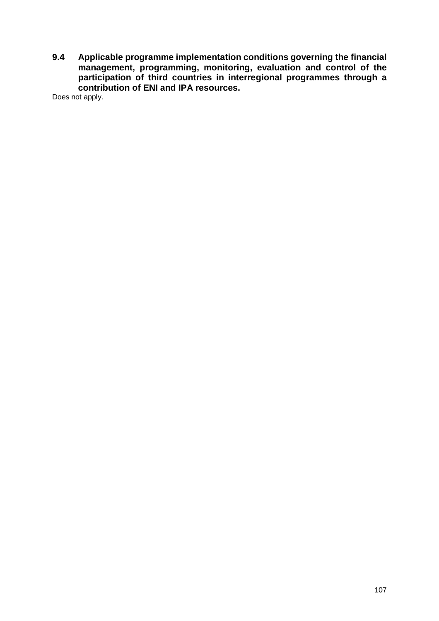**9.4 Applicable programme implementation conditions governing the financial management, programming, monitoring, evaluation and control of the participation of third countries in interregional programmes through a contribution of ENI and IPA resources.** 

Does not apply.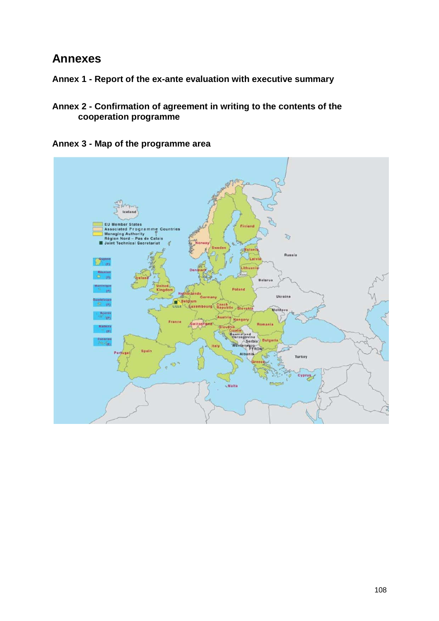# **Annexes**

- **Annex 1 Report of the ex-ante evaluation with executive summary**
- **Annex 2 Confirmation of agreement in writing to the contents of the cooperation programme**

**Annex 3 - Map of the programme area** 

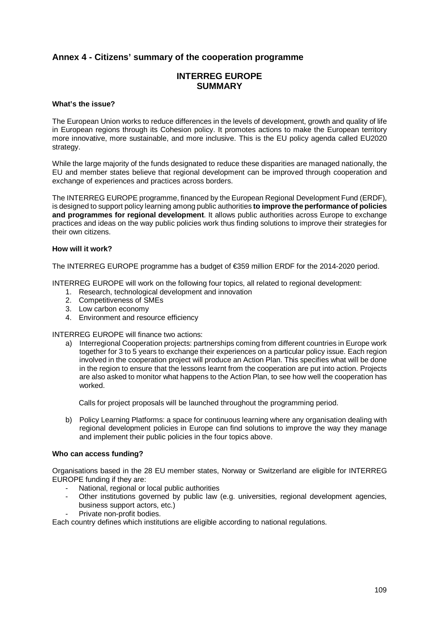# **Annex 4 - Citizens' summary of the cooperation programme**

## **INTERREG EUROPE SUMMARY**

#### **What's the issue?**

The European Union works to reduce differences in the levels of development, growth and quality of life in European regions through its Cohesion policy. It promotes actions to make the European territory more innovative, more sustainable, and more inclusive. This is the EU policy agenda called EU2020 strategy.

While the large majority of the funds designated to reduce these disparities are managed nationally, the EU and member states believe that regional development can be improved through cooperation and exchange of experiences and practices across borders.

The INTERREG EUROPE programme, financed by the European Regional Development Fund (ERDF), is designed to support policy learning among public authorities **to improve the performance of policies and programmes for regional development**. It allows public authorities across Europe to exchange practices and ideas on the way public policies work thus finding solutions to improve their strategies for their own citizens.

## **How will it work?**

The INTERREG EUROPE programme has a budget of €359 million ERDF for the 2014-2020 period.

INTERREG EUROPE will work on the following four topics, all related to regional development:

- 1. Research, technological development and innovation
- 2. Competitiveness of SMEs
- 3. Low carbon economy
- 4. Environment and resource efficiency

INTERREG EUROPE will finance two actions:

a) Interregional Cooperation projects: partnerships coming from different countries in Europe work together for 3 to 5 years to exchange their experiences on a particular policy issue. Each region involved in the cooperation project will produce an Action Plan. This specifies what will be done in the region to ensure that the lessons learnt from the cooperation are put into action. Projects are also asked to monitor what happens to the Action Plan, to see how well the cooperation has worked.

Calls for project proposals will be launched throughout the programming period.

b) Policy Learning Platforms: a space for continuous learning where any organisation dealing with regional development policies in Europe can find solutions to improve the way they manage and implement their public policies in the four topics above.

#### **Who can access funding?**

Organisations based in the 28 EU member states, Norway or Switzerland are eligible for INTERREG EUROPE funding if they are:

- National, regional or local public authorities
- Other institutions governed by public law (e.g. universities, regional development agencies, business support actors, etc.)
- Private non-profit bodies.

Each country defines which institutions are eligible according to national regulations.